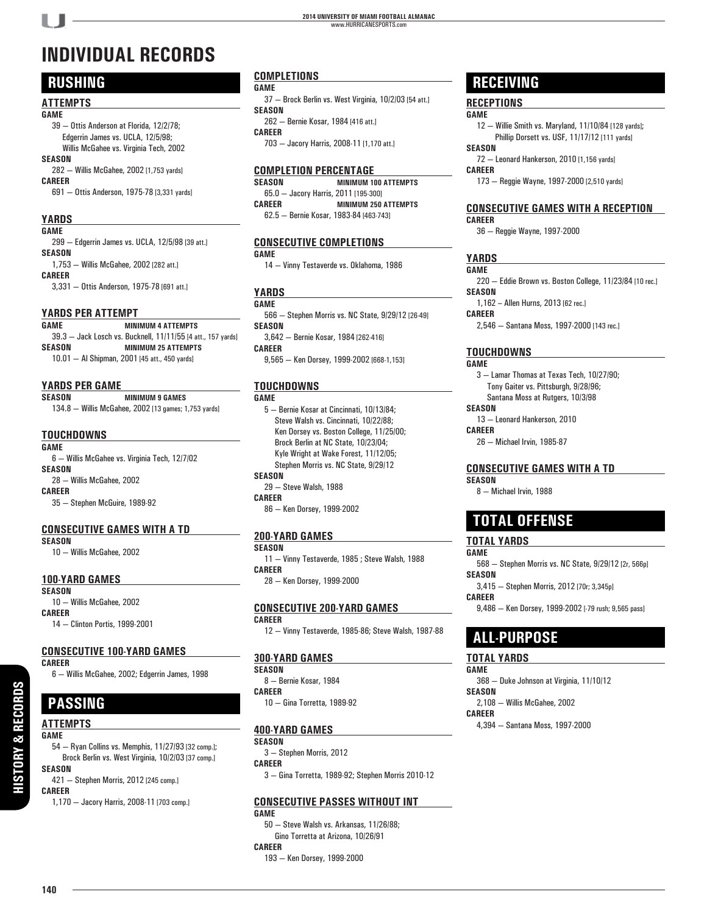# **INDIVIDUAL RECORDS**

## **RUSHING**

#### **ATTEMPTS**

#### **GAME**

- 39 Ottis Anderson at Florida, 12/2/78; Edgerrin James vs. UCLA, 12/5/98; Willis McGahee vs. Virginia Tech, 2002
- **SEASON** 282 — Willis McGahee, 2002 [1,753 yards] **CAREER**
	- 691 Ottis Anderson, 1975-78 [3,331 yards]

#### **YARDS**

| . .<br>× |  |  |  |  |
|----------|--|--|--|--|
|----------|--|--|--|--|

| 299 - Edgerrin James vs. UCLA, 12/5/98 [39 att.] |
|--------------------------------------------------|
| SEASON                                           |
| 1,753 - Willis McGahee, 2002 [282 att.]          |
| CAREER                                           |
| 3.331 - Ottis Anderson, 1975-78 [691 att.]       |
|                                                  |
|                                                  |

#### **YARDS PER ATTEMPT**

| GAME   | <b>MINIMUM 4 ATTEMPTS</b>                                    |
|--------|--------------------------------------------------------------|
|        | 39.3 - Jack Losch vs. Bucknell, 11/11/55 [4 att., 157 yards] |
| SEASON | <b>MINIMUM 25 ATTEMPTS</b>                                   |
|        | 10.01 - Al Shipman, 2001 [45 att., 450 yards]                |

#### **YARDS PER GAME**

**SEASON MINIMUM 9 GAMES** 134.8 — Willis McGahee, 2002 [13 games; 1,753 yards]

#### **TOUCHDOWNS**

**GAME** 6 — Willis McGahee vs. Virginia Tech, 12/7/02 **SEASON** 28 — Willis McGahee, 2002 **CAREER** 35 — Stephen McGuire, 1989-92

#### **CONSECUTIVE GAMES WITH A TD**

**SEASON**

10 — Willis McGahee, 2002

#### **100-YARD GAMES**

**SEASON**

10 — Willis McGahee, 2002 **CAREER**

14 — Clinton Portis, 1999-2001

#### **CONSECUTIVE 100-YARD GAMES**

#### **CAREER**

6 — Willis McGahee, 2002; Edgerrin James, 1998

# **PASSING**

#### **ATTEMPTS GAME**

54 — Ryan Collins vs. Memphis, 11/27/93 [32 comp.]; Brock Berlin vs. West Virginia, 10/2/03 [37 comp.] **SEASON**

421 — Stephen Morris, 2012 [245 comp.] **CAREER**

1,170 — Jacory Harris, 2008-11 [703 comp.]

#### **COMPLETIONS**

**GAME**

37 — Brock Berlin vs. West Virginia, 10/2/03 [54 att.] **SEASON** 262 — Bernie Kosar, 1984 [416 att.]

**CAREER**

703 — Jacory Harris, 2008-11 [1,170 att.]

# **COMPLETION PERCENTAGE**

**MINIMUM 100 ATTEMPTS** 65.0 — Jacory Harris, 2011 [195-300] **CAREER MINIMUM 250 ATTEMPTS** 62.5 — Bernie Kosar, 1983-84 [463-743]

#### **CONSECUTIVE COMPLETIONS**

**GAME**

14 — Vinny Testaverde vs. Oklahoma, 1986

#### **YARDS**

**GAME** 566 — Stephen Morris vs. NC State, 9/29/12 [26-49] **SEASON** 3,642 — Bernie Kosar, 1984 [262-416] **CAREER** 9,565 — Ken Dorsey, 1999-2002 [668-1,153]

#### **TOUCHDOWNS**

#### **GAME**

5 — Bernie Kosar at Cincinnati, 10/13/84; Steve Walsh vs. Cincinnati, 10/22/88; Ken Dorsey vs. Boston College, 11/25/00; Brock Berlin at NC State, 10/23/04; Kyle Wright at Wake Forest, 11/12/05; Stephen Morris vs. NC State, 9/29/12 **SEASON** 29 — Steve Walsh, 1988 **CAREER**

86 — Ken Dorsey, 1999-2002

#### **200-YARD GAMES**

**SEASON** 11 — Vinny Testaverde, 1985 ; Steve Walsh, 1988 **CAREER** 28 — Ken Dorsey, 1999-2000

#### **CONSECUTIVE 200-YARD GAMES**

**CAREER** 12 — Vinny Testaverde, 1985-86; Steve Walsh, 1987-88

#### **300-YARD GAMES**

**SEASON** 8 — Bernie Kosar, 1984 **CAREER** 10 — Gina Torretta, 1989-92

#### **400-YARD GAMES**

**SEASON** 3 — Stephen Morris, 2012 **CAREER**

3 — Gina Torretta, 1989-92; Stephen Morris 2010-12

#### **CONSECUTIVE PASSES WITHOUT INT**

**GAME** 50 — Steve Walsh vs. Arkansas, 11/26/88; Gino Torretta at Arizona, 10/26/91 **CAREER** 193 — Ken Dorsey, 1999-2000

### **RECEIVING**

#### **RECEPTIONS**

**GAME**

12 — Willie Smith vs. Maryland, 11/10/84 [128 yards]; Phillip Dorsett vs. USF, 11/17/12 [111 yards]

**SEASON** 72 — Leonard Hankerson, 2010 [1,156 yards]

**CAREER**

173 — Reggie Wayne, 1997-2000 [2,510 yards]

#### **CONSECUTIVE GAMES WITH A RECEPTION CAREER**

36 — Reggie Wayne, 1997-2000

#### **YARDS**

**GAME** 220 — Eddie Brown vs. Boston College, 11/23/84 [10 rec.] **SEASON**

1,162 – Allen Hurns, 2013 [62 rec.]

**CAREER**

2,546 — Santana Moss, 1997-2000 [143 rec.]

#### **TOUCHDOWNS**

**GAME** 3 — Lamar Thomas at Texas Tech, 10/27/90; Tony Gaiter vs. Pittsburgh, 9/28/96;

Santana Moss at Rutgers, 10/3/98

**SEASON**

13 — Leonard Hankerson, 2010 **CAREER**

26 — Michael Irvin, 1985-87

#### **CONSECUTIVE GAMES WITH A TD**

**SEASON**

8 — Michael Irvin, 1988

## **TOTAL OFFENSE**

#### **TOTAL YARDS**

**GAME** 568 — Stephen Morris vs. NC State, 9/29/12 [2r, 566p] **SEASON** 3,415 — Stephen Morris, 2012 [70r; 3,345p] **CAREER**

9,486 — Ken Dorsey, 1999-2002 [-79 rush; 9,565 pass]

## **ALL-PURPOSE**

#### **TOTAL YARDS**

**GAME** 368 — Duke Johnson at Virginia, 11/10/12 **SEASON** 2,108 — Willis McGahee, 2002

**CAREER** 4,394 — Santana Moss, 1997-2000

**140**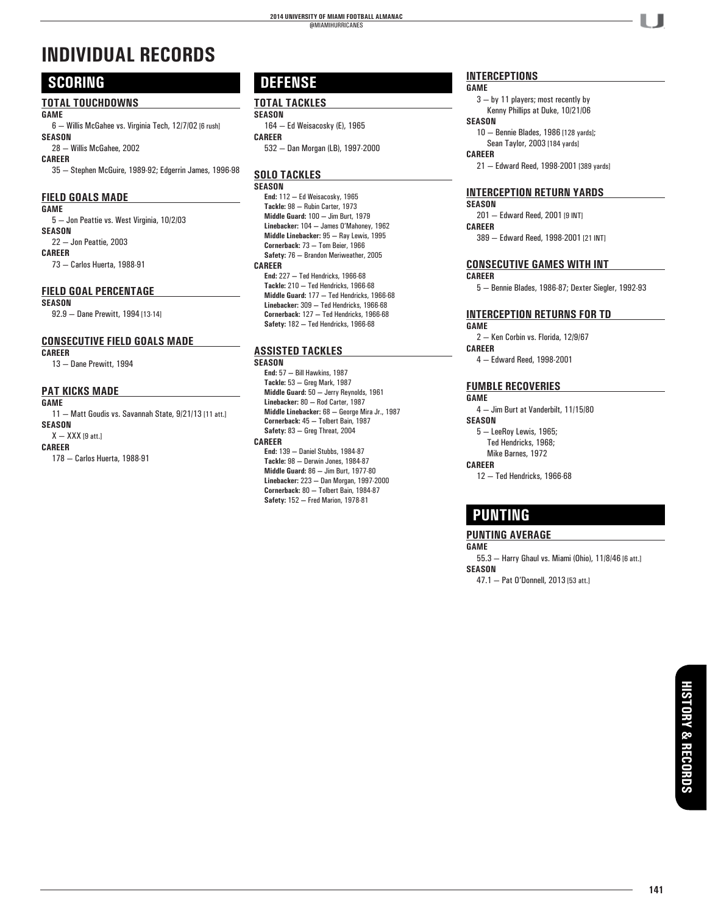# **INDIVIDUAL RECORDS**

## **SCORING**

#### **TOTAL TOUCHDOWNS**

**GAME**

6 — Willis McGahee vs. Virginia Tech, 12/7/02 [6 rush] **SEASON**

28 — Willis McGahee, 2002

**CAREER**

35 — Stephen McGuire, 1989-92; Edgerrin James, 1996-98

#### **FIELD GOALS MADE**

**GAME**

5 — Jon Peattie vs. West Virginia, 10/2/03 **SEASON** 22 — Jon Peattie, 2003 **CAREER**

73 — Carlos Huerta, 1988-91

#### **FIELD GOAL PERCENTAGE**

#### **SEASON**

92.9 — Dane Prewitt, 1994 [13-14]

#### **CONSECUTIVE FIELD GOALS MADE**

**CAREER**

13 — Dane Prewitt, 1994

#### **PAT KICKS MADE**

#### **GAME**

11 — Matt Goudis vs. Savannah State, 9/21/13 [11 att.] **SEASON**  $X - XXX$  [9 att.]

**CAREER**

#### 178 — Carlos Huerta, 1988-91

## **DEFENSE**

#### **TOTAL TACKLES SEASON**

164 — Ed Weisacosky (E), 1965 **CAREER** 532 — Dan Morgan (LB), 1997-2000

### **SOLO TACKLES**

**SEASON** 

**End:** 112 **—** Ed Weisacosky, 1965 **Tackle:** 98 **—** Rubin Carter, 1973 **Middle Guard:** 100 **—** Jim Burt, 1979 **Linebacker:** 104 **—** James O'Mahoney, 1962  **Middle Linebacker:** 95 **—** Ray Lewis, 1995 **Cornerback:** 73 **—** Tom Beier, 1966 **Safety:** 76 **—** Brandon Meriweather, 2005 **CAREER End:** 227 **—** Ted Hendricks, 1966-68 **Tackle:** 210 **—** Ted Hendricks, 1966-68 **Middle Guard:** 177 **—** Ted Hendricks, 1966-68 **Linebacker:** 309 **—** Ted Hendricks, 1966-68 **Cornerback:** 127 **—** Ted Hendricks, 1966-68 **Safety:** 182 **—** Ted Hendricks, 1966-68

#### **ASSISTED TACKLES**

**SEASON** 

**End:** 57 **—** Bill Hawkins, 1987 **Tackle:** 53 **—** Greg Mark, 1987 **Middle Guard:** 50 **—** Jerry Reynolds, 1961 **Linebacker:** 80 **—** Rod Carter, 1987  **Middle Linebacker:** 68 **—** George Mira Jr., 1987 **Cornerback:** 45 **—** Tolbert Bain, 1987 **Safety:** 83 **—** Greg Threat, 2004 **CAREER**

**End:** 139 **—** Daniel Stubbs, 1984-87 **Tackle:** 98 **—** Derwin Jones, 1984-87 **Middle Guard:** 86 **—** Jim Burt, 1977-80 **Linebacker:** 223 **—** Dan Morgan, 1997-2000 **Cornerback:** 80 **—** Tolbert Bain, 1984-87 **Safety:** 152 **—** Fred Marion, 1978-81

#### **INTERCEPTIONS**

#### **GAME**

3 — by 11 players; most recently by Kenny Phillips at Duke, 10/21/06 **SEASON**

10 — Bennie Blades, 1986 [128 yards]; Sean Taylor, 2003 [184 yards]

**CAREER**

21 — Edward Reed, 1998-2001 [389 yards]

#### **INTERCEPTION RETURN YARDS**

**SEASON** 201 — Edward Reed, 2001 [9 INT] **CAREER** 389 — Edward Reed, 1998-2001 [21 INT]

#### **CONSECUTIVE GAMES WITH INT**

**CAREER**

5 — Bennie Blades, 1986-87; Dexter Siegler, 1992-93

#### **INTERCEPTION RETURNS FOR TD**

#### **GAME** 2 — Ken Corbin vs. Florida, 12/9/67 **CAREER** 4 — Edward Reed, 1998-2001

#### **FUMBLE RECOVERIES**

**GAME** 4 — Jim Burt at Vanderbilt, 11/15/80

**SEASON**

- 5 LeeRoy Lewis, 1965; Ted Hendricks, 1968;
- Mike Barnes, 1972

**CAREER**

12 — Ted Hendricks, 1966-68

## **PUNTING**

#### **PUNTING AVERAGE**

**GAME** 55.3 — Harry Ghaul vs. Miami (Ohio), 11/8/46 [6 att.]

**SEASON** 47.1 — Pat O'Donnell, 2013 [53 att.]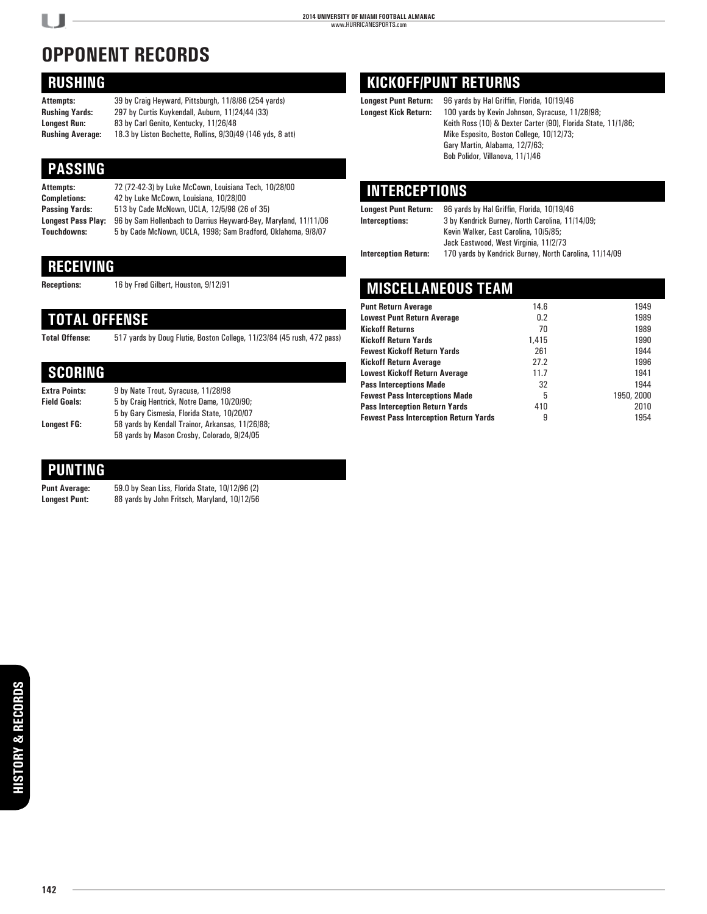# **OPPONENT RECORDS**

## **RUSHING**

**Attempts:** 39 by Craig Heyward, Pittsburgh, 11/8/86 (254 yards) **Rushing Yards:** 297 by Curtis Kuykendall, Auburn, 11/24/44 (33) **Longest Run:** 83 by Carl Genito, Kentucky, 11/26/48 **Rushing Average:** 18.3 by Liston Bochette, Rollins, 9/30/49 (146 yds, 8 att)

## **PASSING**

| Attempts:                 | 72 (72-42-3) by Luke McCown, Louisiana Tech, 10/28/00           |
|---------------------------|-----------------------------------------------------------------|
| <b>Completions:</b>       | 42 by Luke McCown, Louisiana, 10/28/00                          |
| Passing Yards:            | 513 by Cade McNown, UCLA, 12/5/98 (26 of 35)                    |
| <b>Longest Pass Play:</b> | 96 by Sam Hollenbach to Darrius Heyward-Bey, Maryland, 11/11/06 |
| Touchdowns:               | 5 by Cade McNown, UCLA, 1998; Sam Bradford, Oklahoma, 9/8/07    |
|                           |                                                                 |

## **RECEIVING**

**Receptions:** 16 by Fred Gilbert, Houston, 9/12/91

## **TOTAL OFFENSE**

**Total Offense:** 517 yards by Doug Flutie, Boston College, 11/23/84 (45 rush, 472 pass)

## **SCORING**

| <b>Extra Points:</b> | 9 by Nate Trout, Syracuse, 11/28/98              |
|----------------------|--------------------------------------------------|
| <b>Field Goals:</b>  | 5 by Craig Hentrick, Notre Dame, 10/20/90;       |
|                      | 5 by Gary Cismesia, Florida State, 10/20/07      |
| Lonaest FG:          | 58 yards by Kendall Trainor, Arkansas, 11/26/88; |
|                      | 58 yards by Mason Crosby, Colorado, 9/24/05      |

## **PUNTING**

**Punt Average:** 59.0 by Sean Liss, Florida State, 10/12/96 (2) **Longest Punt:** 88 yards by John Fritsch, Maryland, 10/12/56

## **KICKOFF/PUNT RETURNS**

**Longest Punt Return:** 96 yards by Hal Griffin, Florida, 10/19/46 **Longest Kick Return:** 100 yards by Kevin Johnson, Syracuse, 11/28/98; Keith Ross (10) & Dexter Carter (90), Florida State, 11/1/86; Mike Esposito, Boston College, 10/12/73; Gary Martin, Alabama, 12/7/63; Bob Polidor, Villanova, 11/1/46

## **INTERCEPTIONS**

**Longest Punt Return:** 96 yards by Hal Griffin, Florida, 10/19/46

**Interceptions:** 3 by Kendrick Burney, North Carolina, 11/14/09; Kevin Walker, East Carolina, 10/5/85; Jack Eastwood, West Virginia, 11/2/73 **Interception Return:** 170 yards by Kendrick Burney, North Carolina, 11/14/09

## **MISCELLANEOUS TEAM**

| <b>Punt Return Average</b>                   | 14.6  | 1949       |
|----------------------------------------------|-------|------------|
|                                              |       |            |
| <b>Lowest Punt Return Average</b>            | 0.2   | 1989       |
| <b>Kickoff Returns</b>                       | 70    | 1989       |
| <b>Kickoff Return Yards</b>                  | 1.415 | 1990       |
| <b>Fewest Kickoff Return Yards</b>           | 261   | 1944       |
| <b>Kickoff Return Average</b>                | 27.2  | 1996       |
| <b>Lowest Kickoff Return Average</b>         | 11.7  | 1941       |
| <b>Pass Interceptions Made</b>               | 32    | 1944       |
| <b>Fewest Pass Interceptions Made</b>        | 5     | 1950, 2000 |
| <b>Pass Interception Return Yards</b>        | 410   | 2010       |
| <b>Fewest Pass Interception Return Yards</b> | 9     | 1954       |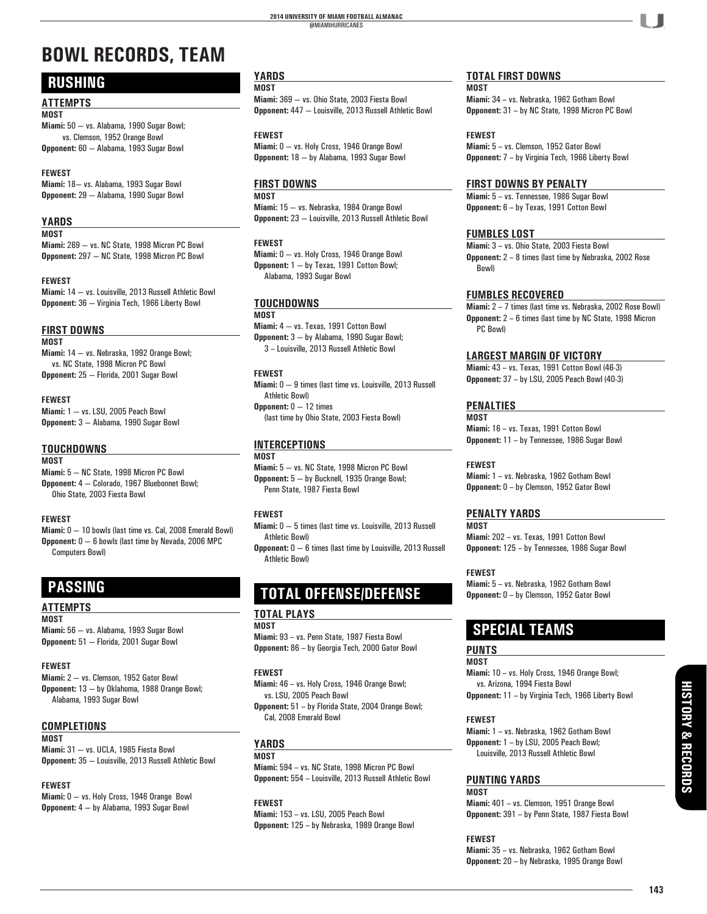# **BOWL RECORDS, TEAM**

## **RUSHING**

#### **ATTEMPTS**

**MOST**

**Miami:** 50 — vs. Alabama, 1990 Sugar Bowl; vs. Clemson, 1952 Orange Bowl **Opponent:** 60 — Alabama, 1993 Sugar Bowl

#### **FEWEST**

**Miami:** 18— vs. Alabama, 1993 Sugar Bowl **Opponent:** 29 — Alabama, 1990 Sugar Bowl

#### **YARDS**

**MOST**

**Miami:** 269 — vs. NC State, 1998 Micron PC Bowl **Opponent:** 297 — NC State, 1998 Micron PC Bowl

#### **FEWEST**

**Miami:** 14 — vs. Louisville, 2013 Russell Athletic Bowl **Opponent:** 36 — Virginia Tech, 1966 Liberty Bowl

#### **FIRST DOWNS**

**MOST Miami:** 14 — vs. Nebraska, 1992 Orange Bowl; vs. NC State, 1998 Micron PC Bowl **Opponent:** 25 — Florida, 2001 Sugar Bowl

#### **FEWEST**

**Miami:** 1 — vs. LSU, 2005 Peach Bowl **Opponent:** 3 — Alabama, 1990 Sugar Bowl

#### **TOUCHDOWNS**

**MOST Miami:** 5 — NC State, 1998 Micron PC Bowl **Opponent:** 4 — Colorado, 1967 Bluebonnet Bowl; Ohio State, 2003 Fiesta Bowl

#### **FEWEST**

**Miami:** 0 — 10 bowls (last time vs. Cal, 2008 Emerald Bowl) **Opponent:** 0 — 6 bowls (last time by Nevada, 2006 MPC Computers Bowl)

## **PASSING**

#### **ATTEMPTS MOST**

**Miami:** 56 — vs. Alabama, 1993 Sugar Bowl **Opponent:** 51 — Florida, 2001 Sugar Bowl

#### **FEWEST**

**Miami:** 2 — vs. Clemson, 1952 Gator Bowl **Opponent:** 13 — by Oklahoma, 1988 Orange Bowl; Alabama, 1993 Sugar Bowl

#### **COMPLETIONS MOST**

**Miami:** 31 — vs. UCLA, 1985 Fiesta Bowl **Opponent:** 35 — Louisville, 2013 Russell Athletic Bowl

#### **FEWEST**

**Miami:** 0 — vs. Holy Cross, 1946 Orange Bowl **Opponent:** 4 — by Alabama, 1993 Sugar Bowl

#### **YARDS**

**MOST**

**Miami:** 369 — vs. Ohio State, 2003 Fiesta Bowl **Opponent:** 447 — Louisville, 2013 Russell Athletic Bowl

**FEWEST**

**Miami:** 0 — vs. Holy Cross, 1946 Orange Bowl **Opponent:** 18 — by Alabama, 1993 Sugar Bowl

#### **FIRST DOWNS**

**MOST**

**Miami:** 15 — vs. Nebraska, 1984 Orange Bowl **Opponent:** 23 — Louisville, 2013 Russell Athletic Bowl

#### **FEWEST**

**Miami:** 0 — vs. Holy Cross, 1946 Orange Bowl **Opponent:** 1 — by Texas, 1991 Cotton Bowl; Alabama, 1993 Sugar Bowl

#### **TOUCHDOWNS**

**MOST Miami:** 4 — vs. Texas, 1991 Cotton Bowl

**Opponent:** 3 — by Alabama, 1990 Sugar Bowl; 3 – Louisville, 2013 Russell Athletic Bowl

#### **FEWEST**

**Miami:** 0 — 9 times (last time vs. Louisville, 2013 Russell Athletic Bowl)

**Opponent:** 0 — 12 times (last time by Ohio State, 2003 Fiesta Bowl)

### **INTERCEPTIONS**

**MOST**

**Miami:** 5 — vs. NC State, 1998 Micron PC Bowl **Opponent:** 5 — by Bucknell, 1935 Orange Bowl; Penn State, 1987 Fiesta Bowl

#### **FEWEST**

**Miami:** 0 — 5 times (last time vs. Louisville, 2013 Russell Athletic Bowl)

**Opponent:** 0 — 6 times (last time by Louisville, 2013 Russell Athletic Bowl)

## **TOTAL OFFENSE/DEFENSE**

#### **TOTAL PLAYS**

**MOST**

**Miami:** 93 – vs. Penn State, 1987 Fiesta Bowl **Opponent:** 86 – by Georgia Tech, 2000 Gator Bowl

#### **FEWEST**

**Miami:** 46 – vs. Holy Cross, 1946 Orange Bowl; vs. LSU, 2005 Peach Bowl

**Opponent:** 51 – by Florida State, 2004 Orange Bowl; Cal, 2008 Emerald Bowl

#### **YARDS MOST**

**Miami:** 594 – vs. NC State, 1998 Micron PC Bowl **Opponent:** 554 – Louisville, 2013 Russell Athletic Bowl

#### **FEWEST**

**Miami:** 153 – vs. LSU, 2005 Peach Bowl **Opponent:** 125 – by Nebraska, 1989 Orange Bowl

#### **TOTAL FIRST DOWNS**

**MOST Miami:** 34 – vs. Nebraska, 1962 Gotham Bowl **Opponent:** 31 – by NC State, 1998 Micron PC Bowl

#### **FEWEST**

**Miami:** 5 – vs. Clemson, 1952 Gator Bowl **Opponent:** 7 – by Virginia Tech, 1966 Liberty Bowl

#### **FIRST DOWNS BY PENALTY**

**Miami:** 5 – vs. Tennessee, 1986 Sugar Bowl **Opponent:** 6 – by Texas, 1991 Cotton Bowl

#### **FUMBLES LOST**

**Miami:** 3 – vs. Ohio State, 2003 Fiesta Bowl **Opponent:** 2 – 8 times (last time by Nebraska, 2002 Rose Bowl)

#### **FUMBLES RECOVERED**

**Miami:** 2 – 7 times (last time vs. Nebraska, 2002 Rose Bowl) **Opponent:** 2 – 6 times (last time by NC State, 1998 Micron PC Bowl)

#### **LARGEST MARGIN OF VICTORY**

**Miami:** 43 – vs. Texas, 1991 Cotton Bowl (46-3) **Opponent:** 37 – by LSU, 2005 Peach Bowl (40-3)

#### **PENALTIES**

**MOST Miami:** 16 – vs. Texas, 1991 Cotton Bowl **Opponent:** 11 – by Tennessee, 1986 Sugar Bowl

**FEWEST**

**Miami:** 1 – vs. Nebraska, 1962 Gotham Bowl **Opponent:** 0 – by Clemson, 1952 Gator Bowl

#### **PENALTY YARDS**

**MOST Miami:** 202 – vs. Texas, 1991 Cotton Bowl **Opponent:** 125 – by Tennessee, 1986 Sugar Bowl

**FEWEST**

**Miami:** 5 – vs. Nebraska, 1962 Gotham Bowl **Opponent:** 0 – by Clemson, 1952 Gator Bowl

## **SPECIAL TEAMS**

#### **PUNTS MOST**

**Miami:** 10 – vs. Holy Cross, 1946 Orange Bowl; vs. Arizona, 1994 Fiesta Bowl **Opponent:** 11 – by Virginia Tech, 1966 Liberty Bowl

#### **FEWEST**

**Miami:** 1 – vs. Nebraska, 1962 Gotham Bowl **Opponent:** 1 – by LSU, 2005 Peach Bowl; Louisville, 2013 Russell Athletic Bowl

#### **PUNTING YARDS**

**MOST Miami:** 401 – vs. Clemson, 1951 Orange Bowl **Opponent:** 391 – by Penn State, 1987 Fiesta Bowl

**FEWEST**

**Miami:** 35 – vs. Nebraska, 1962 Gotham Bowl **Opponent:** 20 – by Nebraska, 1995 Orange Bowl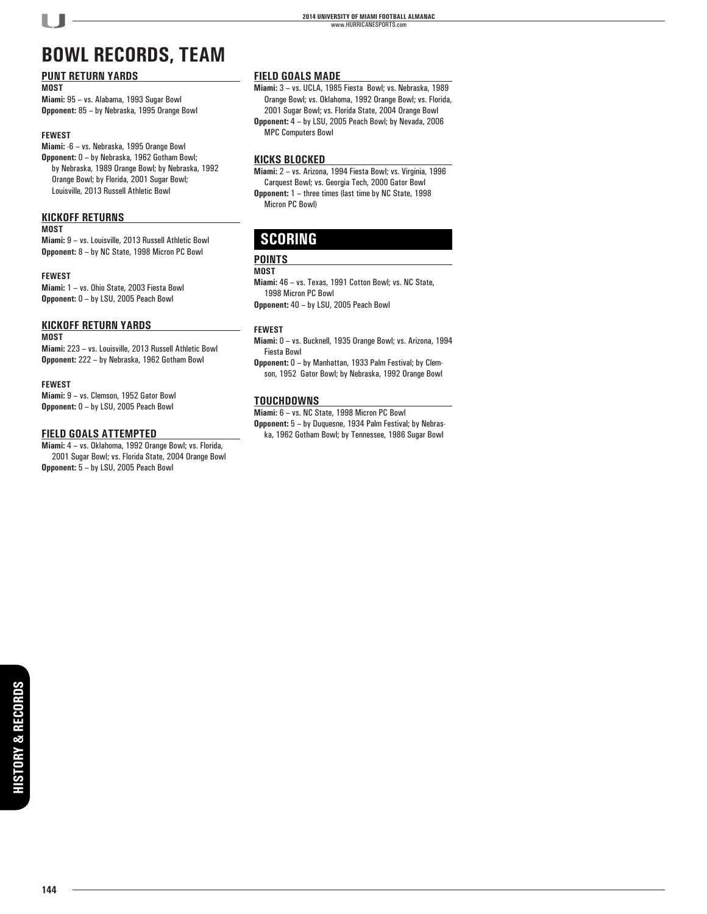# **BOWL RECORDS, TEAM**

#### **PUNT RETURN YARDS**

**MOST**

**Miami:** 95 – vs. Alabama, 1993 Sugar Bowl **Opponent:** 85 – by Nebraska, 1995 Orange Bowl

#### **FEWEST**

**Miami:** -6 – vs. Nebraska, 1995 Orange Bowl **Opponent:** 0 – by Nebraska, 1962 Gotham Bowl; by Nebraska, 1989 Orange Bowl; by Nebraska, 1992 Orange Bowl; by Florida, 2001 Sugar Bowl; Louisville, 2013 Russell Athletic Bowl

#### **KICKOFF RETURNS**

#### **MOST**

**Miami:** 9 – vs. Louisville, 2013 Russell Athletic Bowl **Opponent:** 8 – by NC State, 1998 Micron PC Bowl

#### **FEWEST**

**Miami:** 1 – vs. Ohio State, 2003 Fiesta Bowl **Opponent:** 0 – by LSU, 2005 Peach Bowl

#### **KICKOFF RETURN YARDS**

#### **MOST**

**Miami:** 223 – vs. Louisville, 2013 Russell Athletic Bowl **Opponent:** 222 – by Nebraska, 1962 Gotham Bowl

#### **FEWEST**

**Miami:** 9 – vs. Clemson, 1952 Gator Bowl **Opponent:** 0 – by LSU, 2005 Peach Bowl

#### **FIELD GOALS ATTEMPTED**

**Miami:** 4 – vs. Oklahoma, 1992 Orange Bowl; vs. Florida, 2001 Sugar Bowl; vs. Florida State, 2004 Orange Bowl **Opponent:** 5 – by LSU, 2005 Peach Bowl

#### **FIELD GOALS MADE**

**Miami:** 3 – vs. UCLA, 1985 Fiesta Bowl; vs. Nebraska, 1989 Orange Bowl; vs. Oklahoma, 1992 Orange Bowl; vs. Florida, 2001 Sugar Bowl; vs. Florida State, 2004 Orange Bowl **Opponent:** 4 – by LSU, 2005 Peach Bowl; by Nevada, 2006 MPC Computers Bowl

#### **KICKS BLOCKED**

**Miami:** 2 – vs. Arizona, 1994 Fiesta Bowl; vs. Virginia, 1996 Carquest Bowl; vs. Georgia Tech, 2000 Gator Bowl **Opponent:** 1 – three times (last time by NC State, 1998 Micron PC Bowl)

## **SCORING**

#### **POINTS**

#### **MOST**

**Miami:** 46 – vs. Texas, 1991 Cotton Bowl; vs. NC State, 1998 Micron PC Bowl **Opponent:** 40 – by LSU, 2005 Peach Bowl

#### **FEWEST**

- **Miami:** 0 vs. Bucknell, 1935 Orange Bowl; vs. Arizona, 1994 Fiesta Bowl
- **Opponent:** 0 by Manhattan, 1933 Palm Festival; by Clemson, 1952 Gator Bowl; by Nebraska, 1992 Orange Bowl

#### **TOUCHDOWNS**

**Miami:** 6 – vs. NC State, 1998 Micron PC Bowl **Opponent:** 5 – by Duquesne, 1934 Palm Festival; by Nebraska, 1962 Gotham Bowl; by Tennessee, 1986 Sugar Bowl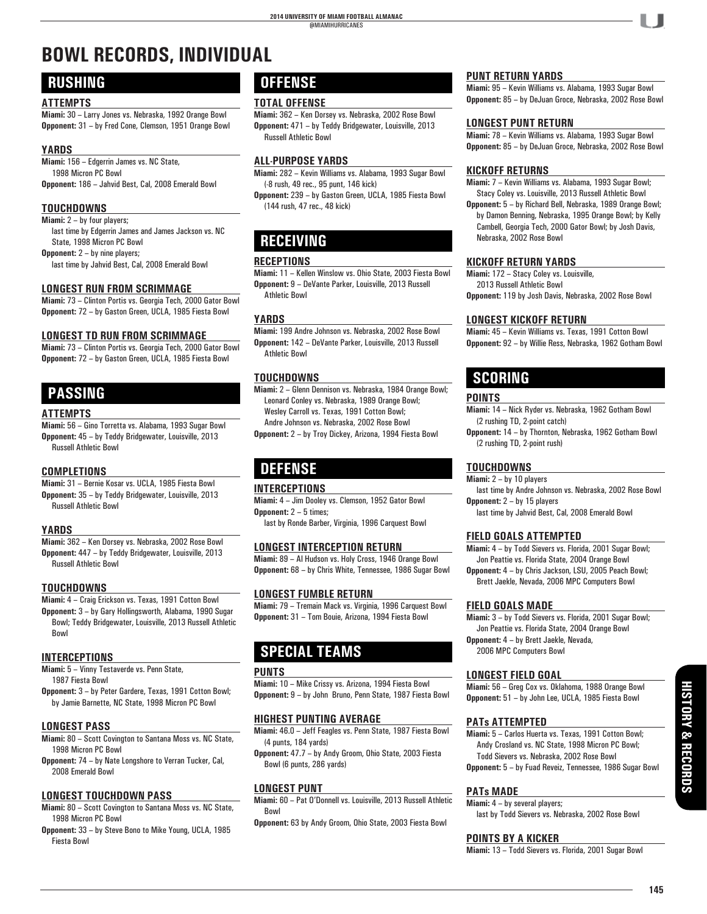# **BOWL RECORDS, INDIVIDUAL**

### **RUSHING**

#### **ATTEMPTS**

**Miami:** 30 – Larry Jones vs. Nebraska, 1992 Orange Bowl **Opponent:** 31 – by Fred Cone, Clemson, 1951 Orange Bowl

#### **YARDS**

**Miami:** 156 – Edgerrin James vs. NC State, 1998 Micron PC Bowl **Opponent:** 186 – Jahvid Best, Cal, 2008 Emerald Bowl

#### **TOUCHDOWNS**

**Miami:** 2 – by four players;

 last time by Edgerrin James and James Jackson vs. NC State, 1998 Micron PC Bowl

**Opponent:** 2 – by nine players;

last time by Jahvid Best, Cal, 2008 Emerald Bowl

#### **LONGEST RUN FROM SCRIMMAGE**

**Miami:** 73 – Clinton Portis vs. Georgia Tech, 2000 Gator Bowl **Opponent:** 72 – by Gaston Green, UCLA, 1985 Fiesta Bowl

#### **LONGEST TD RUN FROM SCRIMMAGE**

**Miami:** 73 – Clinton Portis vs. Georgia Tech, 2000 Gator Bowl **Opponent:** 72 – by Gaston Green, UCLA, 1985 Fiesta Bowl

## **PASSING**

#### **ATTEMPTS**

**Miami:** 56 – Gino Torretta vs. Alabama, 1993 Sugar Bowl **Opponent:** 45 – by Teddy Bridgewater, Louisville, 2013 Russell Athletic Bowl

#### **COMPLETIONS**

**Miami:** 31 – Bernie Kosar vs. UCLA, 1985 Fiesta Bowl **Opponent:** 35 – by Teddy Bridgewater, Louisville, 2013 Russell Athletic Bowl

#### **YARDS**

**Miami:** 362 – Ken Dorsey vs. Nebraska, 2002 Rose Bowl **Opponent:** 447 – by Teddy Bridgewater, Louisville, 2013 Russell Athletic Bowl

#### **TOUCHDOWNS**

**Miami:** 4 – Craig Erickson vs. Texas, 1991 Cotton Bowl **Opponent:** 3 – by Gary Hollingsworth, Alabama, 1990 Sugar Bowl; Teddy Bridgewater, Louisville, 2013 Russell Athletic Bowl

#### **INTERCEPTIONS**

**Miami:** 5 – Vinny Testaverde vs. Penn State, 1987 Fiesta Bowl

**Opponent:** 3 – by Peter Gardere, Texas, 1991 Cotton Bowl; by Jamie Barnette, NC State, 1998 Micron PC Bowl

#### **LONGEST PASS**

- **Miami:** 80 Scott Covington to Santana Moss vs. NC State, 1998 Micron PC Bowl
- **Opponent:** 74 by Nate Longshore to Verran Tucker, Cal, 2008 Emerald Bowl

#### **LONGEST TOUCHDOWN PASS**

- **Miami:** 80 Scott Covington to Santana Moss vs. NC State, 1998 Micron PC Bowl
- **Opponent:** 33 by Steve Bono to Mike Young, UCLA, 1985 Fiesta Bowl

## **OFFENSE**

#### **TOTAL OFFENSE**

**Miami:** 362 – Ken Dorsey vs. Nebraska, 2002 Rose Bowl **Opponent:** 471 – by Teddy Bridgewater, Louisville, 2013 Russell Athletic Bowl

#### **ALL-PURPOSE YARDS**

**Miami:** 282 – Kevin Williams vs. Alabama, 1993 Sugar Bowl (-8 rush, 49 rec., 95 punt, 146 kick)

**Opponent:** 239 – by Gaston Green, UCLA, 1985 Fiesta Bowl (144 rush, 47 rec., 48 kick)

# **RECEIVING**

#### **RECEPTIONS**

**Miami:** 11 – Kellen Winslow vs. Ohio State, 2003 Fiesta Bowl **Opponent:** 9 – DeVante Parker, Louisville, 2013 Russell Athletic Bowl

#### **YARDS**

**Miami:** 199 Andre Johnson vs. Nebraska, 2002 Rose Bowl **Opponent:** 142 – DeVante Parker, Louisville, 2013 Russell Athletic Bowl

#### **TOUCHDOWNS**

**Miami:** 2 – Glenn Dennison vs. Nebraska, 1984 Orange Bowl; Leonard Conley vs. Nebraska, 1989 Orange Bowl; Wesley Carroll vs. Texas, 1991 Cotton Bowl; Andre Johnson vs. Nebraska, 2002 Rose Bowl

**Opponent:** 2 – by Troy Dickey, Arizona, 1994 Fiesta Bowl

## **DEFENSE**

#### **INTERCEPTIONS**

**Miami:** 4 – Jim Dooley vs. Clemson, 1952 Gator Bowl **Opponent:** 2 – 5 times;

last by Ronde Barber, Virginia, 1996 Carquest Bowl

#### **LONGEST INTERCEPTION RETURN**

**Miami:** 89 – Al Hudson vs. Holy Cross, 1946 Orange Bowl **Opponent:** 68 – by Chris White, Tennessee, 1986 Sugar Bowl

#### **LONGEST FUMBLE RETURN**

**Miami:** 79 – Tremain Mack vs. Virginia, 1996 Carquest Bowl **Opponent:** 31 – Tom Bouie, Arizona, 1994 Fiesta Bowl

## **SPECIAL TEAMS**

#### **PUNTS**

**Miami:** 10 – Mike Crissy vs. Arizona, 1994 Fiesta Bowl **Opponent:** 9 – by John Bruno, Penn State, 1987 Fiesta Bowl

#### **HIGHEST PUNTING AVERAGE**

**Miami:** 46.0 – Jeff Feagles vs. Penn State, 1987 Fiesta Bowl (4 punts, 184 yards)

**Opponent:** 47.7 – by Andy Groom, Ohio State, 2003 Fiesta Bowl (6 punts, 286 yards)

#### **LONGEST PUNT**

**Miami:** 60 – Pat O'Donnell vs. Louisville, 2013 Russell Athletic Bowl

**Opponent:** 63 by Andy Groom, Ohio State, 2003 Fiesta Bowl

#### **PUNT RETURN YARDS**

**Miami:** 95 – Kevin Williams vs. Alabama, 1993 Sugar Bowl **Opponent:** 85 – by DeJuan Groce, Nebraska, 2002 Rose Bowl

#### **LONGEST PUNT RETURN**

**Miami:** 78 – Kevin Williams vs. Alabama, 1993 Sugar Bowl **Opponent:** 85 – by DeJuan Groce, Nebraska, 2002 Rose Bowl

#### **KICKOFF RETURNS**

**Miami:** 7 – Kevin Williams vs. Alabama, 1993 Sugar Bowl; Stacy Coley vs. Louisville, 2013 Russell Athletic Bowl

**Opponent:** 5 – by Richard Bell, Nebraska, 1989 Orange Bowl; by Damon Benning, Nebraska, 1995 Orange Bowl; by Kelly Cambell, Georgia Tech, 2000 Gator Bowl; by Josh Davis, Nebraska, 2002 Rose Bowl

#### **KICKOFF RETURN YARDS**

**Miami:** 172 – Stacy Coley vs. Louisville, 2013 Russell Athletic Bowl **Opponent:** 119 by Josh Davis, Nebraska, 2002 Rose Bowl

#### **LONGEST KICKOFF RETURN**

**Miami:** 45 – Kevin Williams vs. Texas, 1991 Cotton Bowl **Opponent:** 92 – by Willie Ress, Nebraska, 1962 Gotham Bowl

### **SCORING**

#### **POINTS**

**Miami:** 14 – Nick Ryder vs. Nebraska, 1962 Gotham Bowl (2 rushing TD, 2-point catch) **Opponent:** 14 – by Thornton, Nebraska, 1962 Gotham Bowl (2 rushing TD, 2-point rush)

#### **TOUCHDOWNS**

**Miami:** 2 – by 10 players

 last time by Andre Johnson vs. Nebraska, 2002 Rose Bowl **Opponent:** 2 – by 15 players

last time by Jahvid Best, Cal, 2008 Emerald Bowl

#### **FIELD GOALS ATTEMPTED**

**Miami:** 4 – by Todd Sievers vs. Florida, 2001 Sugar Bowl; Jon Peattie vs. Florida State, 2004 Orange Bowl **Opponent:** 4 – by Chris Jackson, LSU, 2005 Peach Bowl;

Brett Jaekle, Nevada, 2006 MPC Computers Bowl

#### **FIELD GOALS MADE**

**Miami:** 3 – by Todd Sievers vs. Florida, 2001 Sugar Bowl; Jon Peattie vs. Florida State, 2004 Orange Bowl **Opponent:** 4 – by Brett Jaekle, Nevada, 2006 MPC Computers Bowl

#### **LONGEST FIELD GOAL**

**Miami:** 56 – Greg Cox vs. Oklahoma, 1988 Orange Bowl **Opponent:** 51 – by John Lee, UCLA, 1985 Fiesta Bowl

#### **PATs ATTEMPTED**

**Miami:** 5 – Carlos Huerta vs. Texas, 1991 Cotton Bowl; Andy Crosland vs. NC State, 1998 Micron PC Bowl; Todd Sievers vs. Nebraska, 2002 Rose Bowl **Opponent:** 5 – by Fuad Reveiz, Tennessee, 1986 Sugar Bowl

#### **PATs MADE**

**Miami:**  $4 - by several players;$ last by Todd Sievers vs. Nebraska, 2002 Rose Bowl

#### **POINTS BY A KICKER**

**Miami:** 13 – Todd Sievers vs. Florida, 2001 Sugar Bowl

**PLAYERS HISTORY & RECORDS**

**HISTORY & RECORDS**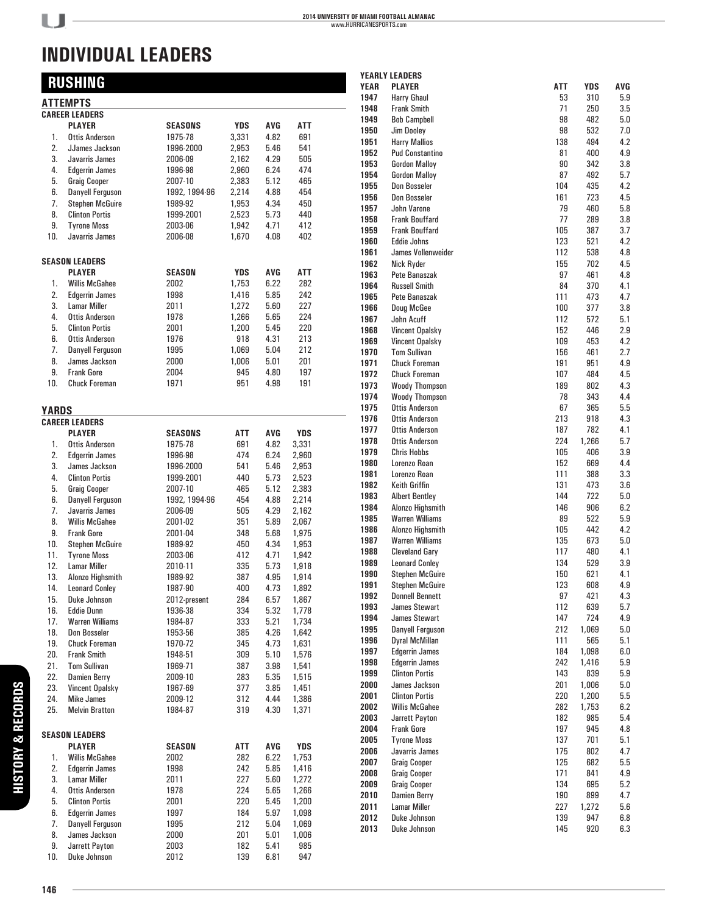## **RUSHING**

| <b>ATTEMPTS</b> |                         |                |            |      |       |  |  |
|-----------------|-------------------------|----------------|------------|------|-------|--|--|
|                 | <b>CAREER LEADERS</b>   |                |            |      |       |  |  |
|                 | <b>PLAYER</b>           | <b>SEASONS</b> | <b>YDS</b> | AVG  | ATT   |  |  |
| 1.              | <b>Ottis Anderson</b>   | 1975-78        | 3,331      | 4.82 | 691   |  |  |
| 2.              | JJames Jackson          | 1996-2000      | 2,953      | 5.46 | 541   |  |  |
| 3.              | Javarris James          | 2006-09        | 2,162      | 4.29 | 505   |  |  |
| 4.              | <b>Edgerrin James</b>   | 1996-98        | 2,960      | 6.24 | 474   |  |  |
| 5.              | <b>Graig Cooper</b>     | 2007-10        | 2,383      | 5.12 | 465   |  |  |
| 6.              | <b>Danyell Ferguson</b> | 1992, 1994-96  | 2,214      | 4.88 | 454   |  |  |
| 7.              | <b>Stephen McGuire</b>  | 1989-92        | 1,953      | 4.34 | 450   |  |  |
| 8.              | <b>Clinton Portis</b>   | 1999-2001      | 2,523      | 5.73 | 440   |  |  |
| 9.              | <b>Tyrone Moss</b>      | 2003-06        | 1,942      | 4.71 | 412   |  |  |
| 10.             | Javarris James          | 2006-08        | 1,670      | 4.08 | 402   |  |  |
|                 | <b>SEASON LEADERS</b>   |                |            |      |       |  |  |
|                 | <b>PLAYER</b>           | <b>SEASON</b>  | YDS        | AVG  | ATT   |  |  |
| 1.              | <b>Willis McGahee</b>   | 2002           | 1,753      | 6.22 | 282   |  |  |
| 2.              | <b>Edgerrin James</b>   | 1998           | 1,416      | 5.85 | 242   |  |  |
| 3.              | <b>Lamar Miller</b>     | 2011           | 1,272      | 5.60 | 227   |  |  |
| 4.              | <b>Ottis Anderson</b>   | 1978           | 1,266      | 5.65 | 224   |  |  |
| 5.              | <b>Clinton Portis</b>   | 2001           | 1,200      | 5.45 | 220   |  |  |
| 6.              | <b>Ottis Anderson</b>   | 1976           | 918        | 4.31 | 213   |  |  |
| 7.              | <b>Danyell Ferguson</b> | 1995           | 1,069      | 5.04 | 212   |  |  |
| 8.              | James Jackson           | 2000           | 1,006      | 5.01 | 201   |  |  |
| 9.              | <b>Frank Gore</b>       | 2004           | 945        | 4.80 | 197   |  |  |
| 10.             | <b>Chuck Foreman</b>    | 1971           | 951        | 4.98 | 191   |  |  |
|                 |                         |                |            |      |       |  |  |
| YARDS           |                         |                |            |      |       |  |  |
|                 | <b>CAREER LEADERS</b>   |                |            |      |       |  |  |
|                 | <b>PLAYER</b>           | <b>SEASONS</b> | ATT        | AVG  | YDS   |  |  |
| 1.              | <b>Ottis Anderson</b>   | 1975-78        | 691        | 4.82 | 3,331 |  |  |
| 2.              | <b>Edgerrin James</b>   | 1996-98        | 474        | 6.24 | 2,960 |  |  |
| 3.              | James Jackson           | 1996-2000      | 541        | 5.46 | 2,953 |  |  |
| 4.              | <b>Clinton Portis</b>   | 1999-2001      | 440        | 5.73 | 2,523 |  |  |
| 5.              | <b>Graig Cooper</b>     | 2007-10        | 465        | 5.12 | 2,383 |  |  |
| 6.              | Danyell Ferguson        | 1992, 1994-96  | 454        | 4.88 | 2,214 |  |  |
| 7.              | Javarris James          | 2006-09        | 505        | 4.29 | 2,162 |  |  |
| 8.              | <b>Willis McGahee</b>   | 2001-02        | 351        | 5.89 | 2,067 |  |  |
| 9.              | <b>Frank Gore</b>       | 2001-04        | 348        | 5.68 | 1,975 |  |  |
| 10.             | <b>Stephen McGuire</b>  | 1989-92        | 450        | 4.34 | 1,953 |  |  |
| 11.             | <b>Tyrone Moss</b>      | 2003-06        | 412        | 4.71 | 1,942 |  |  |
| 12.             | <b>Lamar Miller</b>     | 2010-11        | 335        | 5.73 | 1,918 |  |  |
| 13.             | Alonzo Highsmith        | 1989-92        | 387        | 4.95 | 1,914 |  |  |
| 14.             | <b>Leonard Conley</b>   | 1987-90        | 400        | 4.73 | 1,892 |  |  |
| 15.             | Duke Johnson            | 2012-present   | 284        | 6.57 | 1,867 |  |  |
| 16.             | Eddie Dunn              | 1936-38        | 334        | ხ.32 | 1,778 |  |  |
| 17.             | <b>Warren Williams</b>  | 1984-87        | 333        | 5.21 | 1,734 |  |  |
| 18.             | Don Bosseler            | 1953-56        | 385        | 4.26 | 1,642 |  |  |
| 19.             | <b>Chuck Foreman</b>    | 1970-72        | 345        | 4.73 | 1,631 |  |  |
| 20.             | <b>Frank Smith</b>      | 1948-51        | 309        | 5.10 | 1,576 |  |  |
| 21.             | <b>Tom Sullivan</b>     | 1969-71        | 387        | 3.98 | 1,541 |  |  |
| 22.             | Damien Berry            | 2009-10        | 283        | 5.35 | 1,515 |  |  |
| 23.             | Vincent Opalsky         | 1967-69        | 377        | 3.85 | 1,451 |  |  |
| 24.             | <b>Mike James</b>       | 2009-12        | 312        | 4.44 | 1,386 |  |  |
| 25.             | <b>Melvin Bratton</b>   | 1984-87        | 319        | 4.30 | 1,371 |  |  |
|                 | <b>SEASON LEADERS</b>   |                |            |      |       |  |  |
|                 | <b>PLAYER</b>           | SEASON         | ATT        | AVG  | YDS   |  |  |
| 1.              | <b>Willis McGahee</b>   | 2002           | 282        | 6.22 | 1,753 |  |  |
| 2.              | <b>Edgerrin James</b>   | 1998           | 242        | 5.85 | 1,416 |  |  |
| 3.              | <b>Lamar Miller</b>     | 2011           | 227        | 5.60 | 1,272 |  |  |
| 4.              | <b>Ottis Anderson</b>   | 1978           | 224        | 5.65 | 1,266 |  |  |
| 5.              | <b>Clinton Portis</b>   | 2001           | 220        | 5.45 | 1,200 |  |  |
| 6.              | <b>Edgerrin James</b>   | 1997           | 184        | 5.97 | 1,098 |  |  |
| 7.              | Danyell Ferguson        | 1995           | 212        | 5.04 | 1,069 |  |  |
| 8.              | James Jackson           | 2000           | 201        | 5.01 | 1,006 |  |  |
| 9.              | Jarrett Payton          | 2003           | 182        | 5.41 | 985   |  |  |
| 10.             | Duke Johnson            | 2012           | 139        | 6.81 | 947   |  |  |
|                 |                         |                |            |      |       |  |  |

|              | <b>YEARLY LEADERS</b>        |            |            |            |
|--------------|------------------------------|------------|------------|------------|
| <b>YEAR</b>  | <b>PLAYER</b>                | ATT        | <b>YDS</b> | AVG        |
| 1947         | Harry Ghaul                  | 53         | 310        | 5.9        |
| 1948         | <b>Frank Smith</b>           | 71         | 250        | 3.5        |
| 1949         | <b>Bob Campbell</b>          | 98         | 482        | 5.0        |
| 1950         | Jim Doolev                   | 98         | 532        | 7.0        |
| 1951         | <b>Harry Mallios</b>         | 138        | 494        | 4.2        |
| 1952         | <b>Pud Constantino</b>       | 81         | 400        | 4.9        |
| 1953         | <b>Gordon Malloy</b>         | 90         | 342        | 3.8        |
| 1954         | <b>Gordon Malloy</b>         | 87         | 492        | 5.7        |
| 1955         | Don Bosseler                 | 104        | 435        | 4.2        |
| 1956         | Don Bosseler                 | 161        | 723        | 4.5        |
| 1957         | John Varone                  | 79         | 460        | 5.8        |
| 1958         | <b>Frank Bouffard</b>        | 77         | 289        | 3.8        |
| 1959         | <b>Frank Bouffard</b>        | 105        | 387        | 3.7        |
| 1960         | <b>Eddie Johns</b>           | 123        | 521        | 4.2        |
| 1961         | James Vollenweider           | 112        | 538        | 4.8        |
| 1962         | Nick Ryder                   | 155        | 702        | 4.5        |
| 1963         | Pete Banaszak                | 97         | 461        | 4.8        |
| 1964         | <b>Russell Smith</b>         | 84         | 370        | 4.1        |
| 1965         | Pete Banaszak                | 111        | 473        | 4.7        |
| 1966         | Doug McGee                   | 100        | 377        | 3.8        |
| 1967         | John Acuff                   | 112        | 572        | 5.1        |
| 1968         | Vincent Opalsky              | 152        | 446        | 2.9        |
| 1969         | Vincent Opalsky              | 109        | 453        | 4.2        |
| 1970         | <b>Tom Sullivan</b>          | 156        | 461        | 2.7        |
| 1971         | <b>Chuck Foreman</b>         | 191        | 951        | 4.9        |
| 1972         | <b>Chuck Foreman</b>         | 107        | 484        | 4.5        |
| 1973         | <b>Woody Thompson</b>        | 189        | 802        | 4.3        |
| 1974         | <b>Woody Thompson</b>        | 78         | 343        | 4.4        |
| 1975         | <b>Ottis Anderson</b>        | 67         | 365        | 5.5        |
| 1976         | <b>Ottis Anderson</b>        | 213        | 918        | 4.3        |
| 1977         | <b>Ottis Anderson</b>        | 187        | 782        | 4.1        |
| 1978         | <b>Ottis Anderson</b>        | 224        | 1,266      | 5.7        |
| 1979         | <b>Chris Hobbs</b>           | 105        | 406        | 3.9        |
| 1980<br>1981 | Lorenzo Roan<br>Lorenzo Roan | 152<br>111 | 669        | 4.4        |
| 1982         | <b>Keith Griffin</b>         | 131        | 388<br>473 | 3.3<br>3.6 |
| 1983         | <b>Albert Bentley</b>        | 144        | 722        | 5.0        |
| 1984         | Alonzo Highsmith             | 146        | 906        | 6.2        |
| 1985         | <b>Warren Williams</b>       | 89         | 522        | 5.9        |
| 1986         | Alonzo Highsmith             | 105        | 442        | 4.2        |
| 1987         | <b>Warren Williams</b>       | 135        | 673        | 5.0        |
| 1988         | <b>Cleveland Gary</b>        | 117        | 480        | 4.1        |
| 1989         | <b>Leonard Conley</b>        | 134        | 529        | 3.9        |
| 1990         | <b>Stephen McGuire</b>       | 150        | 621        | 4.1        |
| 1991         | Stephen McGuire              | 123        | 608        | 4.9        |
| 1992         | <b>Donnell Bennett</b>       | 97         | 421        | 4.3        |
| 1993         | <b>James Stewart</b>         | 112        | 639        | 5.7        |
| 1994         | <b>James Stewart</b>         | 147        | 724        | 4.9        |
| 1995         | Danyell Ferguson             | 212        | 1,069      | 5.0        |
| 1996         | <b>Dyral McMillan</b>        | 111        | 565        | 5.1        |
| 1997         | <b>Edgerrin James</b>        | 184        | 1,098      | 6.0        |
| 1998         | <b>Edgerrin James</b>        | 242        | 1,416      | 5.9        |
| 1999         | <b>Clinton Portis</b>        | 143        | 839        | 5.9        |
| 2000         | James Jackson                | 201        | 1,006      | 5.0        |
| 2001         | <b>Clinton Portis</b>        | 220        | 1,200      | 5.5        |
| 2002         | <b>Willis McGahee</b>        | 282        | 1,753      | 6.2        |
| 2003         | Jarrett Payton               | 182        | 985        | 5.4        |
| 2004         | <b>Frank Gore</b>            | 197        | 945        | 4.8        |
| 2005         | <b>Tyrone Moss</b>           | 137        | 701        | 5.1        |
| 2006         | Javarris James               | 175        | 802        | 4.7        |
| 2007         | <b>Graig Cooper</b>          | 125        | 682        | 5.5        |
| 2008         | <b>Graig Cooper</b>          | 171        | 841        | 4.9        |
| 2009         | <b>Graig Cooper</b>          | 134        | 695        | 5.2        |
| 2010         | <b>Damien Berry</b>          | 190        | 899        | 4.7        |
| 2011         | Lamar Miller                 | 227        | 1,272      | 5.6        |
| 2012         | Duke Johnson                 | 139        | 947        | 6.8        |
| 2013         | Duke Johnson                 | 145        | 920        | 6.3        |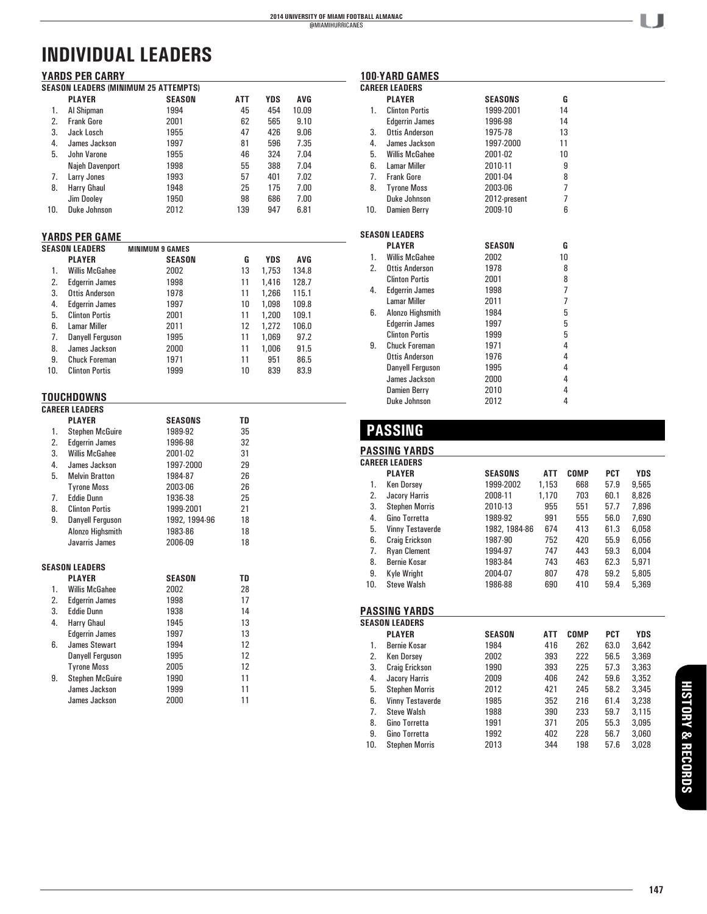| <b>YARDS PER CARRY</b> |                                             |               |            |            |       |  |  |  |
|------------------------|---------------------------------------------|---------------|------------|------------|-------|--|--|--|
|                        | <b>SEASON LEADERS (MINIMUM 25 ATTEMPTS)</b> |               |            |            |       |  |  |  |
|                        | <b>PLAYER</b>                               | <b>SEASON</b> | <b>ATT</b> | <b>YDS</b> | AVG   |  |  |  |
| 1.                     | Al Shipman                                  | 1994          | 45         | 454        | 10.09 |  |  |  |
| 2.                     | <b>Frank Gore</b>                           | 2001          | 62         | 565        | 9.10  |  |  |  |
| 3.                     | Jack Losch                                  | 1955          | 47         | 426        | 9.06  |  |  |  |
| 4.                     | James Jackson                               | 1997          | 81         | 596        | 7.35  |  |  |  |
| 5.                     | John Varone                                 | 1955          | 46         | 324        | 7.04  |  |  |  |
|                        | Najeh Davenport                             | 1998          | 55         | 388        | 7.04  |  |  |  |
| 7.                     | Larry Jones                                 | 1993          | 57         | 401        | 7.02  |  |  |  |
| 8.                     | Harry Ghaul                                 | 1948          | 25         | 175        | 7.00  |  |  |  |
|                        | Jim Dooley                                  | 1950          | 98         | 686        | 7.00  |  |  |  |
| 10.                    | Duke Johnson                                | 2012          | 139        | 947        | 6.81  |  |  |  |

#### **YARDS PER GAME**

| <b>SEASON LEADERS</b> |     |                       | <b>MINIMUM 9 GAMES</b> |    |            |       |  |
|-----------------------|-----|-----------------------|------------------------|----|------------|-------|--|
|                       |     | <b>PLAYER</b>         | <b>SEASON</b>          | G  | <b>YDS</b> | AVG   |  |
|                       | 1.  | <b>Willis McGahee</b> | 2002                   | 13 | 1,753      | 134.8 |  |
|                       | 2.  | <b>Edgerrin James</b> | 1998                   | 11 | 1,416      | 128.7 |  |
|                       | 3.  | Ottis Anderson        | 1978                   | 11 | 1.266      | 115.1 |  |
|                       | 4.  | <b>Edgerrin James</b> | 1997                   | 10 | 1,098      | 109.8 |  |
|                       | 5.  | <b>Clinton Portis</b> | 2001                   | 11 | 1.200      | 109.1 |  |
|                       | 6.  | <b>Lamar Miller</b>   | 2011                   | 12 | 1,272      | 106.0 |  |
|                       | 7.  | Danyell Ferguson      | 1995                   | 11 | 1.069      | 97.2  |  |
|                       | 8.  | James Jackson         | 2000                   | 11 | 1,006      | 91.5  |  |
|                       | 9.  | <b>Chuck Foreman</b>  | 1971                   | 11 | 951        | 86.5  |  |
|                       | 10. | <b>Clinton Portis</b> | 1999                   | 10 | 839        | 83.9  |  |
|                       |     |                       |                        |    |            |       |  |

# **TOUCHDOWNS**

|    | <b>CAREER LEADERS</b>   |                |    |
|----|-------------------------|----------------|----|
|    | <b>PLAYER</b>           | <b>SEASONS</b> | TD |
| 1. | <b>Stephen McGuire</b>  | 1989-92        | 35 |
| 2. | <b>Edgerrin James</b>   | 1996-98        | 32 |
| 3. | <b>Willis McGahee</b>   | 2001-02        | 31 |
| 4. | James Jackson           | 1997-2000      | 29 |
| 5. | <b>Melvin Bratton</b>   | 1984-87        | 26 |
|    | <b>Tyrone Moss</b>      | 2003-06        | 26 |
| 7. | <b>Eddie Dunn</b>       | 1936-38        | 25 |
| 8. | <b>Clinton Portis</b>   | 1999-2001      | 21 |
| 9. | <b>Danyell Ferguson</b> | 1992, 1994-96  | 18 |
|    | Alonzo Highsmith        | 1983-86        | 18 |
|    | Javarris James          | 2006-09        | 18 |
|    | <b>SEASON LEADERS</b>   |                |    |
|    | <b>PLAYER</b>           | <b>SEASON</b>  | TD |
| 1. | <b>Willis McGahee</b>   | 2002           | 28 |
| 2. | <b>Edgerrin James</b>   | 1998           | 17 |
| 3. | <b>Eddie Dunn</b>       | 1938           | 14 |
| 4. | Harry Ghaul             | 1945           | 13 |
|    | <b>Edgerrin James</b>   | 1997           | 13 |
| 6. | <b>James Stewart</b>    | 1994           | 12 |
|    | <b>Danyell Ferguson</b> | 1995           | 12 |
|    | <b>Tyrone Moss</b>      | 2005           | 12 |
| 9. | <b>Stephen McGuire</b>  | 1990           | 11 |
|    | James Jackson           | 1999           | 11 |
|    | James Jackson           | 2000           | 11 |

| <b>CAREER LEADERS</b> |                       |                |                |  |  |
|-----------------------|-----------------------|----------------|----------------|--|--|
|                       | <b>PLAYER</b>         | <b>SEASONS</b> | G              |  |  |
| 1.                    | <b>Clinton Portis</b> | 1999-2001      | 14             |  |  |
|                       | <b>Edgerrin James</b> | 1996-98        | 14             |  |  |
| 3.                    | <b>Ottis Anderson</b> | 1975-78        | 13             |  |  |
| 4.                    | James Jackson         | 1997-2000      | 11             |  |  |
| 5.                    | Willis McGahee        | 2001-02        | 10             |  |  |
| 6.                    | <b>Lamar Miller</b>   | 2010-11        | 9              |  |  |
|                       | 7. Frank Gore         | 2001-04        | 8              |  |  |
| 8.                    | <b>Tyrone Moss</b>    | 2003-06        | $\overline{7}$ |  |  |
|                       | Duke Johnson          | 2012-present   | $\overline{7}$ |  |  |
| 10.                   | <b>Damien Berry</b>   | 2009-10        | ĥ              |  |  |
|                       |                       |                |                |  |  |
|                       | <b>SEASON LEADERS</b> |                |                |  |  |
|                       | <b>PLAYER</b>         | <b>SEASON</b>  | G              |  |  |
| 1.                    | <b>Willis McGahee</b> | 2002           | 10             |  |  |
| 2.                    | <b>Ottis Anderson</b> | 1978           | 8              |  |  |
|                       | <b>Clinton Portis</b> | 2001           | 8              |  |  |
| 4.                    | <b>Edgerrin James</b> | 1998           | $\overline{7}$ |  |  |
|                       | <b>Lamar Miller</b>   | 2011           | $\overline{7}$ |  |  |
| 6.                    | Alonzo Highsmith      | 1984           | 5              |  |  |
|                       | <b>Edgerrin James</b> | 1997           | 5              |  |  |
|                       | <b>Clinton Portis</b> | 1999           | 5              |  |  |
| 9.                    | Chuck Foreman         | 1971           | 4              |  |  |
|                       | <b>Ottis Anderson</b> | 1976           | 4              |  |  |
|                       | Danyell Ferguson      | 1995           | 4              |  |  |
|                       | James Jackson         | 2000           | 4              |  |  |
|                       | Damien Berry          | 2010           | 4              |  |  |
|                       | Duke Johnson          | 2012           | 4              |  |  |

## **PASSING**

**100-YARD GAMES**

### **PASSING YARDS**

|     | <b>CAREER LEADERS</b> |                |            |      |            |       |
|-----|-----------------------|----------------|------------|------|------------|-------|
|     | <b>PLAYER</b>         | <b>SEASONS</b> | <b>ATT</b> | COMP | <b>PCT</b> | YDS   |
| 1.  | <b>Ken Dorsey</b>     | 1999-2002      | 1,153      | 668  | 57.9       | 9,565 |
| 2.  | Jacory Harris         | 2008-11        | 1,170      | 703  | 60.1       | 8,826 |
| 3.  | <b>Stephen Morris</b> | 2010-13        | 955        | 551  | 57.7       | 7,896 |
| 4.  | Gino Torretta         | 1989-92        | 991        | 555  | 56.0       | 7,690 |
| 5.  | Vinny Testaverde      | 1982, 1984-86  | 674        | 413  | 61.3       | 6,058 |
| 6.  | <b>Craig Erickson</b> | 1987-90        | 752        | 420  | 55.9       | 6,056 |
| 7.  | <b>Ryan Clement</b>   | 1994-97        | 747        | 443  | 59.3       | 6,004 |
| 8.  | Bernie Kosar          | 1983-84        | 743        | 463  | 62.3       | 5,971 |
| 9.  | Kyle Wright           | 2004-07        | 807        | 478  | 59.2       | 5,805 |
| 10. | <b>Steve Walsh</b>    | 1986-88        | 690        | 410  | 59.4       | 5.369 |

#### **PASSING YARDS**

|     | <b>SEASON LEADERS</b> |               |     |             |            |       |
|-----|-----------------------|---------------|-----|-------------|------------|-------|
|     | <b>PLAYER</b>         | <b>SEASON</b> | ATT | <b>COMP</b> | <b>PCT</b> | YDS   |
| 1.  | Bernie Kosar          | 1984          | 416 | 262         | 63.0       | 3,642 |
| 2.  | Ken Dorsey            | 2002          | 393 | 222         | 56.5       | 3,369 |
| 3.  | <b>Craig Erickson</b> | 1990          | 393 | 225         | 57.3       | 3.363 |
| 4.  | Jacory Harris         | 2009          | 406 | 242         | 59.6       | 3,352 |
| 5.  | <b>Stephen Morris</b> | 2012          | 421 | 245         | 58.2       | 3.345 |
| 6.  | Vinny Testaverde      | 1985          | 352 | 216         | 61.4       | 3.238 |
| 7.  | <b>Steve Walsh</b>    | 1988          | 390 | 233         | 59.7       | 3.115 |
| 8.  | Gino Torretta         | 1991          | 371 | 205         | 55.3       | 3.095 |
| 9.  | Gino Torretta         | 1992          | 402 | 228         | 56.7       | 3,060 |
| 10. | <b>Stephen Morris</b> | 2013          | 344 | 198         | 57.6       | 3.028 |
|     |                       |               |     |             |            |       |

· U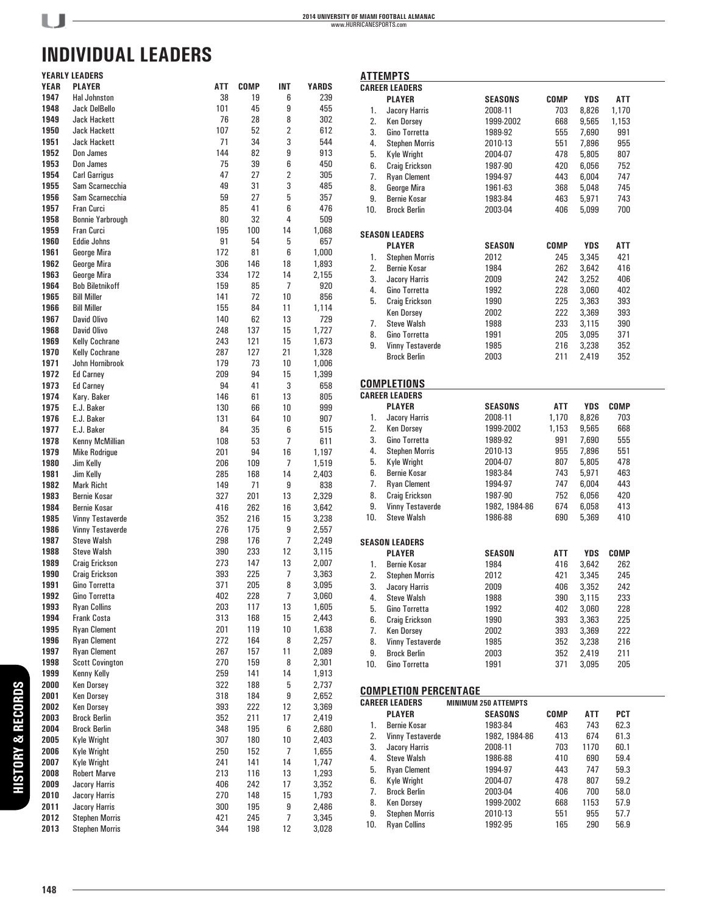$\overline{\phantom{a}}$ 

# **INDIVIDUAL LEADERS**

|             | <b>YEARLY LEADERS</b>   |     |      |                |       |
|-------------|-------------------------|-----|------|----------------|-------|
| <b>YEAR</b> | <b>PLAYER</b>           | ATT | COMP | INT            | YARDS |
| 1947        | <b>Hal Johnston</b>     | 38  | 19   | 6              | 239   |
| 1948        | Jack DelBello           | 101 | 45   | 9              | 455   |
| 1949        | <b>Jack Hackett</b>     | 76  | 28   | 8              | 302   |
| 1950        | <b>Jack Hackett</b>     | 107 | 52   | $\overline{2}$ | 612   |
| 1951        | <b>Jack Hackett</b>     | 71  | 34   | 3              | 544   |
| 1952        | Don James               | 144 | 82   | 9              | 913   |
| 1953        | Don James               | 75  | 39   | 6              | 450   |
| 1954        | Carl Garrigus           | 47  | 27   | $\overline{2}$ | 305   |
| 1955        | Sam Scarnecchia         | 49  | 31   | 3              | 485   |
| 1956        | Sam Scarnecchia         | 59  | 27   | 5              | 357   |
| 1957        | Fran Curci              | 85  | 41   | 6              | 476   |
| 1958        | <b>Bonnie Yarbrough</b> | 80  | 32   | 4              | 509   |
| 1959        | Fran Curci              | 195 | 100  | 14             | 1,068 |
| 1960        | <b>Eddie Johns</b>      | 91  | 54   | 5              | 657   |
| 1961        | George Mira             | 172 | 81   | 6              | 1,000 |
| 1962        | George Mira             | 306 | 146  | 18             | 1,893 |
| 1963        | George Mira             | 334 | 172  | 14             | 2,155 |
| 1964        | <b>Bob Biletnikoff</b>  | 159 | 85   | 7              | 920   |
| 1965        | <b>Bill Miller</b>      | 141 | 72   | 10             | 856   |
| 1966        | <b>Bill Miller</b>      | 155 | 84   | 11             | 1,114 |
| 1967        | David Olivo             | 140 | 62   | 13             | 729   |
| 1968        | David Olivo             | 248 | 137  | 15             | 1,727 |
| 1969        |                         | 243 | 121  | 15             |       |
| 1970        | <b>Kelly Cochrane</b>   |     |      |                | 1,673 |
|             | Kelly Cochrane          | 287 | 127  | 21             | 1,328 |
| 1971        | John Hornibrook         | 179 | 73   | 10             | 1,006 |
| 1972        | <b>Ed Carney</b>        | 209 | 94   | 15             | 1,399 |
| 1973        | <b>Ed Carney</b>        | 94  | 41   | 3              | 658   |
| 1974        | Kary. Baker             | 146 | 61   | 13             | 805   |
| 1975        | E.J. Baker              | 130 | 66   | 10             | 999   |
| 1976        | E.J. Baker              | 131 | 64   | 10             | 907   |
| 1977        | E.J. Baker              | 84  | 35   | 6              | 515   |
| 1978        | Kenny McMillian         | 108 | 53   | 7              | 611   |
| 1979        | Mike Rodrigue           | 201 | 94   | 16             | 1,197 |
| 1980        | Jim Kelly               | 206 | 109  | 7              | 1,519 |
| 1981        | Jim Kelly               | 285 | 168  | 14             | 2,403 |
| 1982        | <b>Mark Richt</b>       | 149 | 71   | 9              | 838   |
| 1983        | Bernie Kosar            | 327 | 201  | 13             | 2,329 |
| 1984        | Bernie Kosar            | 416 | 262  | 16             | 3,642 |
| 1985        | Vinny Testaverde        | 352 | 216  | 15             | 3,238 |
| 1986        | Vinny Testaverde        | 276 | 175  | 9              | 2,557 |
| 1987        | <b>Steve Walsh</b>      | 298 | 176  | 7              | 2,249 |
| 1988        | Steve Walsh             | 390 | 233  | 12             | 3,115 |
| 1989        | Craig Erickson          | 273 | 147  | 13             | 2,007 |
| 1990        | Craig Erickson          | 393 | 225  | 7              | 3,363 |
| 1991        | Gino Torretta           | 371 | 205  | 8              | 3,095 |
| 1992        | Gino Torretta           | 402 | 228  | 7              | 3,060 |
| 1993        | <b>Ryan Collins</b>     | 203 | 117  | 13             | 1,605 |
| 1994        | Frank Costa             | 313 | 168  | 15             | 2,443 |
| 1995        | <b>Ryan Clement</b>     | 201 | 119  | 10             | 1,638 |
| 1996        | <b>Ryan Clement</b>     | 272 | 164  | 8              | 2,257 |
| 1997        | <b>Ryan Clement</b>     | 267 | 157  | 11             | 2,089 |
| 1998        | <b>Scott Covington</b>  | 270 | 159  | 8              | 2,301 |
| 1999        | Kenny Kelly             | 259 | 141  | 14             | 1,913 |
| 2000        | Ken Dorsey              | 322 | 188  | 5              | 2,737 |
| 2001        | Ken Dorsey              | 318 | 184  | 9              | 2,652 |
| 2002        | <b>Ken Dorsey</b>       | 393 | 222  | 12             | 3,369 |
| 2003        | <b>Brock Berlin</b>     | 352 | 211  | 17             | 2,419 |
| 2004        | <b>Brock Berlin</b>     | 348 | 195  | 6              | 2,680 |
| 2005        | Kyle Wright             | 307 | 180  | 10             | 2,403 |
| 2006        | Kyle Wright             | 250 | 152  | 7              | 1,655 |
| 2007        | Kyle Wright             | 241 | 141  | 14             | 1,747 |
| 2008        | <b>Robert Marve</b>     | 213 | 116  | 13             | 1,293 |
| 2009        | <b>Jacory Harris</b>    | 406 | 242  | 17             | 3,352 |
| 2010        | <b>Jacory Harris</b>    | 270 | 148  | 15             | 1,793 |
| 2011        | <b>Jacory Harris</b>    | 300 | 195  | 9              | 2,486 |
| 2012        | <b>Stephen Morris</b>   | 421 | 245  | 7              | 3,345 |
| 2013        | <b>Stephen Morris</b>   | 344 | 198  | 12             | 3,028 |
|             |                         |     |      |                |       |

|           | <b>ATTEMPTS</b>                                       |                             |            |                |             |  |
|-----------|-------------------------------------------------------|-----------------------------|------------|----------------|-------------|--|
|           | <b>CAREER LEADERS</b>                                 |                             |            |                |             |  |
|           | <b>PLAYER</b>                                         | <b>SEASONS</b>              | COMP       | <b>YDS</b>     | ATT         |  |
| 1.        | Jacory Harris                                         | 2008-11                     | 703        | 8,826          | 1,170       |  |
| 2.        | <b>Ken Dorsey</b>                                     | 1999-2002                   | 668        | 9,565          | 1,153       |  |
| 3.        | Gino Torretta                                         | 1989-92                     | 555        | 7,690          | 991         |  |
| 4.        | <b>Stephen Morris</b>                                 | 2010-13                     | 551        | 7,896          | 955         |  |
| 5.        | <b>Kyle Wright</b>                                    | 2004-07                     | 478        | 5,805          | 807         |  |
| 6.        | <b>Craig Erickson</b>                                 | 1987-90                     | 420        | 6,056          | 752         |  |
| 7.        | <b>Ryan Clement</b>                                   | 1994-97                     | 443        | 6,004          | 747         |  |
| 8.        | George Mira                                           | 1961-63                     | 368        | 5,048          | 745         |  |
| 9.        | <b>Bernie Kosar</b>                                   | 1983-84                     | 463        | 5,971          | 743         |  |
| 10.       | <b>Brock Berlin</b>                                   | 2003-04                     | 406        | 5,099          | 700         |  |
|           | <b>SEASON LEADERS</b>                                 |                             |            |                |             |  |
|           | <b>PLAYER</b>                                         | <b>SEASON</b>               | COMP       | YDS            | ATT         |  |
| 1.        | <b>Stephen Morris</b>                                 | 2012                        | 245        | 3,345          | 421         |  |
| 2.        | <b>Bernie Kosar</b>                                   | 1984                        | 262        | 3,642          | 416         |  |
| 3.        | Jacory Harris                                         | 2009                        | 242        | 3,252          | 406         |  |
| 4.        | Gino Torretta                                         | 1992                        | 228        | 3,060          | 402         |  |
| 5.        | <b>Craig Erickson</b>                                 | 1990                        | 225        | 3,363          | 393         |  |
|           | <b>Ken Dorsey</b>                                     | 2002                        | 222        | 3,369          | 393         |  |
| 7.        | <b>Steve Walsh</b>                                    | 1988                        | 233        | 3,115          | 390         |  |
| 8.        | Gino Torretta                                         | 1991                        | 205        | 3,095          | 371         |  |
| 9.        | <b>Vinny Testaverde</b>                               | 1985                        | 216        | 3,238          | 352         |  |
|           | <b>Brock Berlin</b>                                   | 2003                        | 211        | 2,419          | 352         |  |
|           | <b>COMPLETIONS</b>                                    |                             |            |                |             |  |
|           | <b>CAREER LEADERS</b>                                 |                             |            |                |             |  |
|           | <b>PLAYER</b>                                         | <b>SEASONS</b>              | ATT        | <b>YDS</b>     | <b>COMP</b> |  |
| 1.        | Jacory Harris                                         | 2008-11                     | 1,170      | 8,826          | 703         |  |
| 2.        | <b>Ken Dorsey</b>                                     | 1999-2002                   | 1,153      | 9,565          | 668         |  |
| 3.        | Gino Torretta                                         | 1989-92                     | 991        | 7,690          | 555         |  |
| 4.        | <b>Stephen Morris</b>                                 | 2010-13                     | 955        | 7,896          | 551         |  |
| 5.        | <b>Kyle Wright</b>                                    | 2004-07                     | 807        | 5,805          | 478         |  |
| 6.        | <b>Bernie Kosar</b>                                   | 1983-84                     | 743        | 5,971          | 463         |  |
| 7.        | <b>Ryan Clement</b>                                   | 1994-97                     | 747        | 6,004          | 443         |  |
| 8.        | Craig Erickson                                        | 1987-90                     | 752        | 6,056          | 420         |  |
| 9.<br>10. | <b>Vinny Testaverde</b><br><b>Steve Walsh</b>         | 1982, 1984-86<br>1986-88    | 674<br>690 | 6,058<br>5,369 | 413<br>410  |  |
|           |                                                       |                             |            |                |             |  |
|           | <b>SEASON LEADERS</b><br><b>PLAYER</b>                | <b>SEASON</b>               | ATT        | <b>YDS</b>     | <b>COMP</b> |  |
| 1.        | Bernie Kosar                                          |                             |            |                |             |  |
| 2.        |                                                       | 1984<br>2012                | 416<br>421 | 3,642          | 262<br>245  |  |
| 3.        | <b>Stephen Morris</b>                                 | 2009                        | 406        | 3,345          | 242         |  |
|           | <b>Jacory Harris</b><br><b>Steve Walsh</b>            |                             | 390        | 3,352<br>3,115 |             |  |
| 4.<br>5.  | Gino Torretta                                         | 1988<br>1992                | 402        | 3,060          | 233<br>228  |  |
| 6.        | Craia Erickson                                        |                             | 393        | 3,363          | 225         |  |
| 7.        | <b>Ken Dorsey</b>                                     | 1990<br>2002                | 393        | 3,369          | 222         |  |
| 8.        | <b>Vinny Testaverde</b>                               | 1985                        | 352        | 3,238          |             |  |
| 9.        | <b>Brock Berlin</b>                                   | 2003                        | 352        | 2,419          | 216<br>211  |  |
| 10.       | Gino Torretta                                         | 1991                        | 371        | 3,095          | 205         |  |
|           |                                                       |                             |            |                |             |  |
|           | <b>COMPLETION PERCENTAGE</b><br><b>CAREER LEADERS</b> | <b>MINIMUM 250 ATTEMPTS</b> |            |                |             |  |
|           | <b>PLAYER</b>                                         | <b>SEASONS</b>              | COMP       | ATT            | PCT         |  |
| 1.        | <b>Bernie Kosar</b>                                   | 1983-84                     | 463        | 743            | 62.3        |  |
| 2.        | <b>Vinny Testaverde</b>                               | 1982, 1984-86               | 413        | 674            | 61.3        |  |
| 3.        | <b>Jacory Harris</b>                                  | 2008-11                     | 703        | 1170           | 60.1        |  |
| 4.        | <b>Steve Walsh</b>                                    | 1986-88                     | 410        | 690            | 59.4        |  |
| 5.        | <b>Ryan Clement</b>                                   | 1994-97                     | 443        | 747            | 59.3        |  |
| 6.        | <b>Kyle Wright</b>                                    | 2004-07                     | 478        | 807            | 59.2        |  |
| 7.        | <b>Brock Berlin</b>                                   | 2003-04                     | 406        | 700            | 58.0        |  |
| 8.        | <b>Ken Dorsey</b>                                     | 1999-2002                   | 668        | 1153           | 57.9        |  |
| 9.        | <b>Stephen Morris</b>                                 | 2010-13                     | 551        | 955            | 57.7        |  |
|           |                                                       |                             |            |                |             |  |

9. Stephen Morris 2010-13 551 955 57.7

10. Ryan Collins

**148**

**HISTORY & RECORDS**

**HISTORY & RECORDS**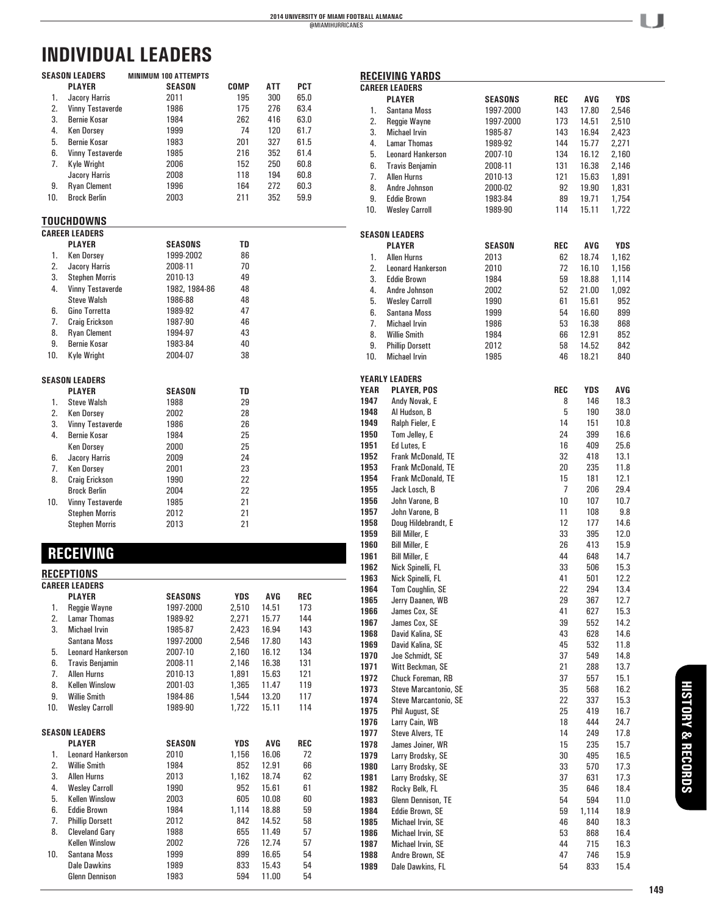|          | SEASON LEADERS<br><b>PLAYER</b>           | <b>MINIMUM 100 ATTEMPTS</b><br><b>SEASON</b> | COMP         | ATT            | PCT      |  |
|----------|-------------------------------------------|----------------------------------------------|--------------|----------------|----------|--|
| 1.       | Jacory Harris                             | 2011                                         | 195          | 300            | 65.0     |  |
| 2.       | <b>Vinny Testaverde</b>                   | 1986                                         | 175          | 276            | 63.4     |  |
| 3.       | Bernie Kosar                              | 1984                                         | 262          | 416            | 63.0     |  |
| 4.       | <b>Ken Dorsey</b>                         | 1999                                         | 74           | 120            | 61.7     |  |
| 5.       | <b>Bernie Kosar</b>                       | 1983                                         | 201          | 327            | 61.5     |  |
| 6.       | <b>Vinny Testaverde</b>                   | 1985                                         | 216          | 352            | 61.4     |  |
| 7.       | <b>Kyle Wright</b>                        | 2006                                         | 152          | 250            | 60.8     |  |
|          | Jacory Harris                             | 2008                                         | 118          | 194            | 60.8     |  |
| 9.       | <b>Ryan Clement</b>                       | 1996                                         | 164          | 272            | 60.3     |  |
| 10.      | <b>Brock Berlin</b>                       | 2003                                         | 211          | 352            | 59.9     |  |
|          |                                           |                                              |              |                |          |  |
|          | TOUCHDOWNS                                |                                              |              |                |          |  |
|          | <b>CAREER LEADERS</b>                     |                                              |              |                |          |  |
|          | <b>PLAYER</b>                             | <b>SEASONS</b>                               | TD           |                |          |  |
| 1.       | <b>Ken Dorsey</b>                         | 1999-2002                                    | 86           |                |          |  |
| 2.       | Jacory Harris                             | 2008-11                                      | 70           |                |          |  |
| 3.       | <b>Stephen Morris</b>                     | 2010-13                                      | 49           |                |          |  |
| 4.       | <b>Vinny Testaverde</b>                   | 1982, 1984-86                                | 48           |                |          |  |
|          | <b>Steve Walsh</b>                        | 1986-88                                      | 48           |                |          |  |
| 6.       | Gino Torretta                             | 1989-92                                      | 47           |                |          |  |
| 7.       | <b>Craig Erickson</b>                     | 1987-90                                      | 46           |                |          |  |
| 8.       | <b>Ryan Clement</b>                       | 1994-97                                      | 43           |                |          |  |
| 9.       | <b>Bernie Kosar</b>                       | 1983-84                                      | 40           |                |          |  |
| 10.      | <b>Kyle Wright</b>                        | 2004-07                                      | 38           |                |          |  |
|          |                                           |                                              |              |                |          |  |
|          | SEASON LEADERS                            |                                              |              |                |          |  |
|          | <b>PLAYER</b>                             | <b>SEASON</b>                                | TD           |                |          |  |
| 1.       | <b>Steve Walsh</b>                        | 1988                                         | 29           |                |          |  |
| 2.       | <b>Ken Dorsey</b>                         | 2002                                         | 28           |                |          |  |
| 3.       | <b>Vinny Testaverde</b>                   | 1986                                         | 26           |                |          |  |
| 4.       | <b>Bernie Kosar</b>                       | 1984                                         | 25           |                |          |  |
|          | <b>Ken Dorsey</b>                         | 2000                                         | 25           |                |          |  |
| 6.       | Jacory Harris                             | 2009                                         | 24           |                |          |  |
| 7.       | <b>Ken Dorsey</b>                         | 2001                                         | 23           |                |          |  |
| 8.       | <b>Craig Erickson</b>                     | 1990                                         | 22           |                |          |  |
|          | <b>Brock Berlin</b>                       | 2004                                         | 22           |                |          |  |
| 10.      | <b>Vinny Testaverde</b>                   | 1985                                         | 21           |                |          |  |
|          | <b>Stephen Morris</b>                     | 2012                                         | 21           |                |          |  |
|          | <b>Stephen Morris</b>                     | 2013                                         | 21           |                |          |  |
|          |                                           |                                              |              |                |          |  |
|          | <b>RECEIVING</b>                          |                                              |              |                |          |  |
|          |                                           |                                              |              |                |          |  |
|          | <b>RECEPTIONS</b>                         |                                              |              |                |          |  |
|          | <b>CAREER LEADERS</b>                     |                                              |              |                |          |  |
|          | <b>PLAYER</b>                             | SEASONS                                      | YDS          | AVG            | REC      |  |
| 1.       | Reggie Wayne                              | 1997-2000                                    | 2,510        | 14.51          | 173      |  |
| 2.       | <b>Lamar Thomas</b>                       | 1989-92                                      | 2,271        | 15.77          | 144      |  |
| 3.       | <b>Michael Irvin</b>                      | 1985-87                                      | 2,423        | 16.94          | 143      |  |
|          | Santana Moss                              | 1997-2000                                    | 2,546        | 17.80          | 143      |  |
| 5.       | <b>Leonard Hankerson</b>                  | 2007-10                                      | 2,160        | 16.12          | 134      |  |
| 6.       | <b>Travis Benjamin</b>                    | 2008-11                                      | 2,146        | 16.38          | 131      |  |
| 7.       | <b>Allen Hurns</b>                        | 2010-13                                      | 1,891        | 15.63          | 121      |  |
| 8.       | <b>Kellen Winslow</b>                     | 2001-03                                      | 1,365        | 11.47          | 119      |  |
| 9.       | <b>Willie Smith</b>                       | 1984-86                                      | 1,544        | 13.20          | 117      |  |
| 10.      | <b>Wesley Carroll</b>                     | 1989-90                                      | 1,722        | 15.11          | 114      |  |
|          |                                           |                                              |              |                |          |  |
|          | <b>SEASON LEADERS</b>                     |                                              |              |                |          |  |
|          | <b>PLAYER</b>                             | <b>SEASON</b>                                | YDS          | AVG            | REC      |  |
| 1.<br>2. | <b>Leonard Hankerson</b>                  | 2010                                         | 1,156        | 16.06          | 72       |  |
| 3.       | <b>Willie Smith</b><br><b>Allen Hurns</b> | 1984                                         | 852<br>1,162 | 12.91          | 66       |  |
| 4.       | <b>Wesley Carroll</b>                     | 2013<br>1990                                 | 952          | 18.74          | 62<br>61 |  |
| 5.       | <b>Kellen Winslow</b>                     | 2003                                         | 605          | 15.61<br>10.08 | 60       |  |
|          |                                           |                                              |              |                |          |  |

 6. Eddie Brown 1984 1,114 18.88 59 7. Phillip Dorsett 2012 842 14.52 58 8. Cleveland Gary 1988 655 11.49 57

 10. Santana Moss 1999 899 16.65 54 Dale Dawkins 1989 833 15.43 54

Kellen Winslow 2002 726<br>Santana Moss 1999 899

Glenn Dennison

|              | <b>RECEIVING YARDS</b>                     |                |                |            |              |  |
|--------------|--------------------------------------------|----------------|----------------|------------|--------------|--|
|              | <b>CAREER LEADERS</b>                      |                |                |            |              |  |
|              | <b>PLAYER</b>                              | <b>SEASONS</b> | REC            | AVG        | YDS          |  |
| 1.           | Santana Moss                               | 1997-2000      | 143            | 17.80      | 2,546        |  |
| 2.           | Reggie Wayne                               | 1997-2000      | 173            | 14.51      | 2,510        |  |
| 3.           | <b>Michael Irvin</b>                       | 1985-87        | 143            | 16.94      | 2,423        |  |
| 4.           | <b>Lamar Thomas</b>                        | 1989-92        | 144            | 15.77      | 2,271        |  |
| 5.           | <b>Leonard Hankerson</b>                   | 2007-10        | 134            | 16.12      | 2,160        |  |
| 6.           | <b>Travis Benjamin</b>                     | 2008-11        | 131            | 16.38      | 2,146        |  |
| 7.           | <b>Allen Hurns</b>                         | 2010-13        | 121            | 15.63      | 1,891        |  |
| 8.           | Andre Johnson                              | 2000-02        | 92             | 19.90      | 1,831        |  |
| 9.<br>10.    | <b>Eddie Brown</b>                         | 1983-84        | 89<br>114      | 19.71      | 1,754        |  |
|              | <b>Wesley Carroll</b>                      | 1989-90        |                | 15.11      | 1,722        |  |
|              |                                            |                |                |            |              |  |
|              | SEASON LEADERS<br><b>PLAYER</b>            | SEASON         | REC            | AVG        | YDS          |  |
| 1.           | <b>Allen Hurns</b>                         | 2013           | 62             | 18.74      | 1,162        |  |
| 2.           | <b>Leonard Hankerson</b>                   | 2010           | 72             | 16.10      | 1,156        |  |
| 3.           | <b>Eddie Brown</b>                         | 1984           | 59             | 18.88      | 1,114        |  |
| 4.           | Andre Johnson                              | 2002           | 52             | 21.00      | 1,092        |  |
| 5.           | <b>Wesley Carroll</b>                      | 1990           | 61             | 15.61      | 952          |  |
| 6.           | Santana Moss                               | 1999           | 54             | 16.60      | 899          |  |
| 7.           | <b>Michael Irvin</b>                       | 1986           | 53             | 16.38      | 868          |  |
| 8.           | <b>Willie Smith</b>                        | 1984           | 66             | 12.91      | 852          |  |
| 9.           | <b>Phillip Dorsett</b>                     | 2012           | 58             | 14.52      | 842          |  |
| 10.          | <b>Michael Irvin</b>                       | 1985           | 46             | 18.21      | 840          |  |
|              |                                            |                |                |            |              |  |
|              | YEARLY LEADERS                             |                |                |            |              |  |
| YEAR<br>1947 | <b>PLAYER, POS</b><br>Andy Novak, E        |                | REC<br>8       | YDS<br>146 | AVG<br>18.3  |  |
| 1948         | Al Hudson, B                               |                | 5              | 190        | 38.0         |  |
| 1949         | Ralph Fieler, E                            |                | 14             | 151        | 10.8         |  |
| 1950         | Tom Jelley, E                              |                | 24             | 399        | 16.6         |  |
| 1951         | Ed Lutes, E                                |                | 16             | 409        | 25.6         |  |
| 1952         | Frank McDonald, TE                         |                | 32             | 418        | 13.1         |  |
| 1953         | Frank McDonald, TE                         |                | 20             | 235        | 11.8         |  |
| 1954         | Frank McDonald, TE                         |                | 15             | 181        | 12.1         |  |
| 1955         | Jack Losch, B                              |                | $\overline{7}$ | 206        | 29.4         |  |
| 1956         | John Varone, B                             |                | 10             | 107        | 10.7         |  |
| 1957         | John Varone, B                             |                | 11             | 108        | 9.8          |  |
| 1958         | Doug Hildebrandt, E                        |                | 12             | 177        | 14.6         |  |
| 1959         | <b>Bill Miller, E</b>                      |                | 33             | 395        | 12.0         |  |
| 1960         | <b>Bill Miller, E</b>                      |                | 26             | 413        | 15.9         |  |
| 1961         | <b>Bill Miller, E</b><br>Nick Spinelli, FL |                | 44             | 648<br>506 | 14.7         |  |
| 1962<br>1963 | Nick Spinelli, FL                          |                | 33<br>41       | 501        | 15.3<br>12.2 |  |
| 1964         |                                            |                | 22             | 294        | 13.4         |  |
| 1965         | Tom Coughlin, SE<br>Jerry Daanen, WB       |                | 29             | 367        | 12.7         |  |
| 1966         | James Cox, SE                              |                | 41             | 627        | 15.3         |  |
| 1967         | James Cox, SE                              |                | 39             | 552        | 14.2         |  |
| 1968         | David Kalina, SE                           |                | 43             | 628        | 14.6         |  |
| 1969         | David Kalina, SE                           |                | 45             | 532        | 11.8         |  |
| 1970         | Joe Schmidt, SE                            |                | 37             | 549        | 14.8         |  |
| 1971         | Witt Beckman, SE                           |                | 21             | 288        | 13.7         |  |
| 1972         | Chuck Foreman, RB                          |                | 37             | 557        | 15.1         |  |
| 1973         | <b>Steve Marcantonio, SE</b>               |                | 35             | 568        | 16.2         |  |
| 1974         | Steve Marcantonio, SE                      |                | 22             | 337        | 15.3         |  |
| 1975         | Phil August, SE                            |                | 25             | 419        | 16.7         |  |
| 1976         | Larry Cain, WB                             |                | 18             | 444        | 24.7         |  |
| 1977         | <b>Steve Alvers, TE</b>                    |                | 14             | 249        | 17.8         |  |
| 1978<br>1979 | James Joiner, WR<br>Larry Brodsky, SE      |                | 15<br>30       | 235<br>495 | 15.7<br>16.5 |  |
| 1980         | Larry Brodsky, SE                          |                | 33             | 570        | 17.3         |  |
| 1981         | Larry Brodsky, SE                          |                | 37             | 631        | 17.3         |  |
| 1982         | Rocky Belk, FL                             |                | 35             | 646        | 18.4         |  |
| 1983         | Glenn Dennison, TE                         |                | 54             | 594        | 11.0         |  |
| 1984         | Eddie Brown, SE                            |                | 59             | 1,114      | 18.9         |  |
| 1985         | Michael Irvin, SE                          |                | 46             | 840        | 18.3         |  |
| 1986         | Michael Irvin, SE                          |                | 53             | 868        | 16.4         |  |
| 1987         | Michael Irvin, SE                          |                | 44             | 715        | 16.3         |  |
| 1988         | Andre Brown, SE                            |                | 47             | 746        | 15.9         |  |
| 1989         | Dale Dawkins, FL                           |                | 54             | 833        | 15.4         |  |

л П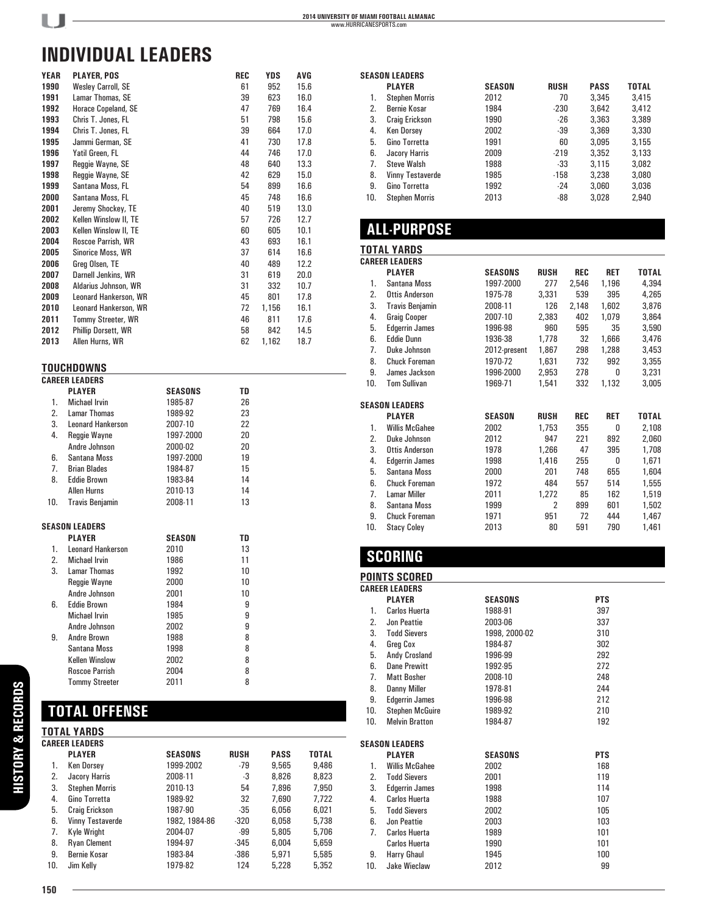| <b>YEAR</b> | <b>PLAYER, POS</b>         | REC | YDS   | AVG  |
|-------------|----------------------------|-----|-------|------|
| 1990        | <b>Wesley Carroll, SE</b>  | 61  | 952   | 15.6 |
| 1991        | Lamar Thomas, SE           | 39  | 623   | 16.0 |
| 1992        | Horace Copeland, SE        | 47  | 769   | 16.4 |
| 1993        | Chris T. Jones, FL         | 51  | 798   | 15.6 |
| 1994        | Chris T. Jones, FL         | 39  | 664   | 17.0 |
| 1995        | Jammi German, SE           | 41  | 730   | 17.8 |
| 1996        | Yatil Green, FL            | 44  | 746   | 17.0 |
| 1997        | Reggie Wayne, SE           | 48  | 640   | 13.3 |
| 1998        | Reggie Wayne, SE           | 42  | 629   | 15.0 |
| 1999        | Santana Moss, FL           | 54  | 899   | 16.6 |
| 2000        | Santana Moss, FL           | 45  | 748   | 16.6 |
| 2001        | Jeremy Shockey, TE         | 40  | 519   | 13.0 |
| 2002        | Kellen Winslow II, TE      | 57  | 726   | 12.7 |
| 2003        | Kellen Winslow II, TE      | 60  | 605   | 10.1 |
| 2004        | Roscoe Parrish, WR         | 43  | 693   | 16.1 |
| 2005        | Sinorice Moss, WR          | 37  | 614   | 16.6 |
| 2006        | Greg Olsen, TE             | 40  | 489   | 12.2 |
| 2007        | Darnell Jenkins, WR        | 31  | 619   | 20.0 |
| 2008        | Aldarius Johnson, WR       | 31  | 332   | 10.7 |
| 2009        | Leonard Hankerson, WR      | 45  | 801   | 17.8 |
| 2010        | Leonard Hankerson, WR      | 72  | 1,156 | 16.1 |
| 2011        | Tommy Streeter, WR         | 46  | 811   | 17.6 |
| 2012        | <b>Phillip Dorsett, WR</b> | 58  | 842   | 14.5 |
| 2013        | Allen Hurns, WR            | 62  | 1,162 | 18.7 |
|             |                            |     |       |      |

#### **TOUCHDOWNS**

|                | <b>CAREER LEADERS</b>    |               |    |  |
|----------------|--------------------------|---------------|----|--|
|                | <b>PLAYER</b>            | SEASONS       | TD |  |
| $1_{-}$        | Michael Irvin            | 1985-87       | 26 |  |
| 2.             | Lamar Thomas             | 1989-92       | 23 |  |
|                | 3. Leonard Hankerson     | 2007-10       | 22 |  |
| 4.             | Reggie Wayne             | 1997-2000     | 20 |  |
|                | Andre Johnson            | 2000-02       | 20 |  |
| 6.             | Santana Moss             | 1997-2000     | 19 |  |
| 7 <sup>1</sup> | <b>Brian Blades</b>      | 1984-87       | 15 |  |
| 8.             | <b>Eddie Brown</b>       | 1983-84       | 14 |  |
|                | <b>Allen Hurns</b>       | 2010-13       | 14 |  |
| 10.            | <b>Travis Benjamin</b>   | 2008-11       | 13 |  |
|                | <b>SEASON LEADERS</b>    |               |    |  |
|                | <b>PLAYER</b>            | <b>SEASON</b> | TD |  |
| 1.             | <b>Leonard Hankerson</b> | 2010          | 13 |  |
| 2.             | <b>Michael Irvin</b>     | 1986          | 11 |  |
| 3.             | <b>Lamar Thomas</b>      | 1992          | 10 |  |
|                | <b>Reggie Wayne</b>      | 2000          | 10 |  |
|                | Andre Johnson            | 2001          | 10 |  |
| 6.             | <b>Eddie Brown</b>       | 1984          | 9  |  |
|                | <b>Michael Irvin</b>     | 1985          | 9  |  |
|                | Andre Johnson            | 2002          | 9  |  |
| 9.             | Andre Brown              | 1988          | 8  |  |
|                | Santana Moss             | 1998          | 8  |  |
|                | <b>Kellen Winslow</b>    | 2002          | 8  |  |
|                | <b>Roscoe Parrish</b>    | 2004          | 8  |  |
|                | <b>Tommy Streeter</b>    | 2011          | 8  |  |

# **TOTAL OFFENSE**

|     | <b>TOTAL YARDS</b>      |                |             |             |       |  |  |  |
|-----|-------------------------|----------------|-------------|-------------|-------|--|--|--|
|     | <b>CAREER LEADERS</b>   |                |             |             |       |  |  |  |
|     | <b>PLAYER</b>           | <b>SEASONS</b> | <b>RUSH</b> | <b>PASS</b> | TOTAL |  |  |  |
| 1.  | <b>Ken Dorsey</b>       | 1999-2002      | $-79$       | 9,565       | 9,486 |  |  |  |
| 2.  | Jacory Harris           | 2008-11        | -3          | 8,826       | 8,823 |  |  |  |
| 3.  | <b>Stephen Morris</b>   | 2010-13        | 54          | 7.896       | 7,950 |  |  |  |
| 4.  | Gino Torretta           | 1989-92        | 32          | 7.690       | 7,722 |  |  |  |
| 5.  | Craig Erickson          | 1987-90        | $-35$       | 6.056       | 6.021 |  |  |  |
| 6.  | <b>Vinny Testaverde</b> | 1982, 1984-86  | $-320$      | 6,058       | 5,738 |  |  |  |
| 7.  | Kyle Wright             | 2004-07        | -99         | 5.805       | 5,706 |  |  |  |
| 8.  | <b>Ryan Clement</b>     | 1994-97        | $-345$      | 6.004       | 5,659 |  |  |  |
| 9.  | Bernie Kosar            | 1983-84        | $-386$      | 5.971       | 5,585 |  |  |  |
| 10. | Jim Kelly               | 1979-82        | 124         | 5.228       | 5,352 |  |  |  |

|     | <b>SEASON LEADERS</b>   |               |             |             |       |  |  |
|-----|-------------------------|---------------|-------------|-------------|-------|--|--|
|     | <b>PLAYER</b>           | <b>SEASON</b> | <b>RUSH</b> | <b>PASS</b> | TOTAL |  |  |
| 1.  | <b>Stephen Morris</b>   | 2012          | 70          | 3.345       | 3.415 |  |  |
| 2.  | Bernie Kosar            | 1984          | $-230$      | 3.642       | 3.412 |  |  |
| 3.  | <b>Craig Erickson</b>   | 1990          | $-26$       | 3.363       | 3.389 |  |  |
| 4.  | <b>Ken Dorsey</b>       | 2002          | $-39$       | 3.369       | 3,330 |  |  |
| 5.  | Gino Torretta           | 1991          | 60          | 3.095       | 3,155 |  |  |
| 6.  | Jacory Harris           | 2009          | $-219$      | 3.352       | 3.133 |  |  |
| 7.  | <b>Steve Walsh</b>      | 1988          | -33         | 3.115       | 3.082 |  |  |
| 8.  | <b>Vinny Testaverde</b> | 1985          | $-158$      | 3.238       | 3,080 |  |  |
| 9.  | Gino Torretta           | 1992          | $-24$       | 3.060       | 3,036 |  |  |
| 10. | <b>Stephen Morris</b>   | 2013          | $-88$       | 3,028       | 2,940 |  |  |
|     |                         |               |             |             |       |  |  |

# **ALL-PURPOSE**

#### **TOTAL YARDS**

|     | <b>CAREER LEADERS</b>  |                |                |            |            |              |
|-----|------------------------|----------------|----------------|------------|------------|--------------|
|     | <b>PLAYER</b>          | <b>SEASONS</b> | <b>RUSH</b>    | <b>REC</b> | <b>RET</b> | <b>TOTAL</b> |
| 1.  | Santana Moss           | 1997-2000      | 277            | 2,546      | 1,196      | 4,394        |
| 2.  | <b>Ottis Anderson</b>  | 1975-78        | 3,331          | 539        | 395        | 4,265        |
| 3.  | <b>Travis Benjamin</b> | 2008-11        | 126            | 2,148      | 1,602      | 3,876        |
| 4.  | <b>Graig Cooper</b>    | 2007-10        | 2,383          | 402        | 1,079      | 3,864        |
| 5.  | <b>Edgerrin James</b>  | 1996-98        | 960            | 595        | 35         | 3,590        |
| 6.  | <b>Eddie Dunn</b>      | 1936-38        | 1,778          | 32         | 1,666      | 3,476        |
| 7.  | Duke Johnson           | 2012-present   | 1,867          | 298        | 1,288      | 3,453        |
| 8.  | <b>Chuck Foreman</b>   | 1970-72        | 1,631          | 732        | 992        | 3,355        |
| 9.  | James Jackson          | 1996-2000      | 2,953          | 278        | 0          | 3,231        |
| 10. | <b>Tom Sullivan</b>    | 1969-71        | 1,541          | 332        | 1,132      | 3,005        |
|     |                        |                |                |            |            |              |
|     | SEASON LEADERS         |                |                |            |            |              |
|     | <b>PLAYER</b>          | <b>SEASON</b>  | <b>RUSH</b>    | <b>REC</b> | <b>RET</b> | <b>TOTAL</b> |
| 1.  | <b>Willis McGahee</b>  | 2002           | 1,753          | 355        | 0          | 2,108        |
| 2.  | Duke Johnson           | 2012           | 947            | 221        | 892        | 2,060        |
| 3.  | <b>Ottis Anderson</b>  | 1978           | 1,266          | 47         | 395        | 1,708        |
| 4.  | <b>Edgerrin James</b>  | 1998           | 1,416          | 255        | 0          | 1,671        |
| 5.  | Santana Moss           | 2000           | 201            | 748        | 655        | 1,604        |
| 6.  | <b>Chuck Foreman</b>   | 1972           | 484            | 557        | 514        | 1,555        |
| 7.  | <b>Lamar Miller</b>    | 2011           | 1,272          | 85         | 162        | 1,519        |
| 8.  | Santana Moss           | 1999           | $\overline{2}$ | 899        | 601        | 1,502        |
| 9.  | <b>Chuck Foreman</b>   | 1971           | 951            | 72         | 444        | 1,467        |
| 10. | <b>Stacy Coley</b>     | 2013           | 80             | 591        | 790        | 1,461        |
|     |                        |                |                |            |            |              |

## **SCORING**

### **POINTS SCORED**

|     | <b>CAREER LEADERS</b>  |                |            |  |
|-----|------------------------|----------------|------------|--|
|     | <b>PLAYER</b>          | <b>SEASONS</b> | <b>PTS</b> |  |
| 1.  | Carlos Huerta          | 1988-91        | 397        |  |
| 2.  | Jon Peattie            | 2003-06        | 337        |  |
| 3.  | <b>Todd Sievers</b>    | 1998, 2000-02  | 310        |  |
| 4.  | Greg Cox               | 1984-87        | 302        |  |
| 5.  | Andy Crosland          | 1996-99        | 292        |  |
| 6.  | <b>Dane Prewitt</b>    | 1992-95        | 272        |  |
| 7.  | <b>Matt Bosher</b>     | 2008-10        | 248        |  |
| 8.  | <b>Danny Miller</b>    | 1978-81        | 244        |  |
| 9.  | <b>Edgerrin James</b>  | 1996-98        | 212        |  |
| 10. | <b>Stephen McGuire</b> | 1989-92        | 210        |  |
| 10. | <b>Melvin Bratton</b>  | 1984-87        | 192        |  |
|     |                        |                |            |  |
|     | <b>SEASON LEADERS</b>  |                |            |  |
|     | <b>PLAYER</b>          | <b>SEASONS</b> | <b>PTS</b> |  |
| 1.  | <b>Willis McGahee</b>  | 2002           | 168        |  |
| 2.  | <b>Todd Sievers</b>    | 2001           | 119        |  |
| 3.  | <b>Edgerrin James</b>  | 1998           | 114        |  |
| 4.  | <b>Carlos Huerta</b>   | 1988           | 107        |  |
| 5.  | <b>Todd Sievers</b>    | 2002           | 105        |  |
| 6.  | Jon Peattie            | 2003           | 103        |  |
| 7.  | <b>Carlos Huerta</b>   | 1989           | 101        |  |
|     | Carlos Huerta          | 1990           | 101        |  |
| 9.  | Harry Ghaul            | 1945           | 100        |  |
| 10. | <b>Jake Wieclaw</b>    | 2012           | 99         |  |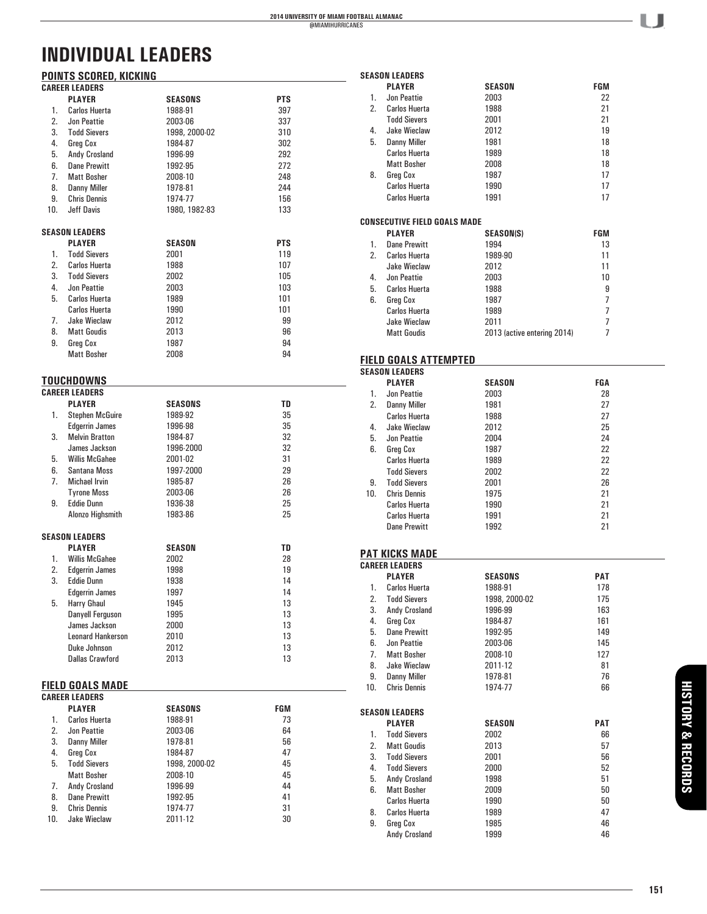#### **POINTS SCORED, KICKING CAREER LEADERS**

|     | UMIILLII LLADLIIU<br><b>PLAYER</b> | <b>SEASONS</b> | PTS |
|-----|------------------------------------|----------------|-----|
| 1.  | <b>Carlos Huerta</b>               |                | 397 |
|     |                                    | 1988-91        |     |
| 2.  | Jon Peattie                        | 2003-06        | 337 |
| 3.  | <b>Todd Sievers</b>                | 1998, 2000-02  | 310 |
| 4.  | Greg Cox                           | 1984-87        | 302 |
| 5.  | Andy Crosland                      | 1996-99        | 292 |
| 6.  | <b>Dane Prewitt</b>                | 1992-95        | 272 |
| 7.  | <b>Matt Bosher</b>                 | 2008-10        | 248 |
| 8.  | <b>Danny Miller</b>                | 1978-81        | 244 |
| 9.  | <b>Chris Dennis</b>                | 1974-77        | 156 |
| 10. | <b>Jeff Davis</b>                  | 1980, 1982-83  | 133 |
|     | <b>SEASON LEADERS</b>              |                |     |
|     | <b>PLAYER</b>                      | <b>SEASON</b>  | PTS |
| 1.  | <b>Todd Sievers</b>                | 2001           | 119 |
| 2.  | <b>Carlos Huerta</b>               | 1988           | 107 |
| 3.  | <b>Todd Sievers</b>                | 2002           | 105 |
| 4.  | Jon Peattie                        | 2003           | 103 |
| 5.  | <b>Carlos Huerta</b>               | 1989           | 101 |
|     | <b>Carlos Huerta</b>               | 1990           | 101 |
| 7.  | Jake Wieclaw                       | 2012           | 99  |
| 8.  | <b>Matt Goudis</b>                 | 2013           | 96  |
| 9.  | <b>Greg Cox</b>                    | 1987           | 94  |
|     | <b>Matt Bosher</b>                 | 2008           | 94  |
|     | TOUCHDOWNS                         |                |     |
|     | <b>CAREER LEADERS</b>              |                |     |
|     | <b>PLAYER</b>                      | <b>SEASONS</b> | TD  |
| 1.  | <b>Stephen McGuire</b>             | 1989-92        | 35  |
|     | <b>Edgerrin James</b>              | 1996-98        | 35  |
| 3.  | <b>Melvin Bratton</b>              | 1984-87        | 32  |
|     | James Jackson                      | 1996-2000      | 32  |
| 5.  | <b>Willis McGahee</b>              | 2001-02        | 31  |
| 6.  | Santana Moss                       | 1997-2000      | 29  |
| 7.  | Michael Irvin                      | 1985-87        | 26  |
|     | <b>Tyrone Moss</b>                 | 2003-06        | 26  |
| 9.  | <b>Eddie Dunn</b>                  | 1936-38        | 25  |
|     | Alonzo Highsmith                   | 1983-86        | 25  |
|     | <b>SEASON LEADERS</b>              |                |     |
|     | <b>PLAYER</b>                      | <b>SEASON</b>  | TD  |
| 1.  | <b>Willis McGahee</b>              | 2002           | 28  |
| 2.  | <b>Edgerrin James</b>              | 1998           | 19  |
| 3.  | <b>Eddie Dunn</b>                  | 1938           | 14  |
|     | <b>Edgerrin James</b>              | 1997           | 14  |
| 5.  | <b>Harry Ghaul</b>                 | 1945           | 13  |
|     | Danyell Ferguson                   | 1995           | 13  |
|     | James Jackson                      | 2000           | 13  |
|     | <b>Leonard Hankerson</b>           | 2010           | 13  |
|     | Duke Johnson                       | 2012           | 13  |
|     | <b>Dallas Crawford</b>             | 2013           | 13  |
|     | <b>FIELD GOALS MADE</b>            |                |     |
|     | <b>CAREER LEADERS</b>              |                |     |
|     | <b>PLAYER</b>                      | SEASONS        | FGM |
| 1.  | <b>Carlos Huerta</b>               | 1988-91        | 73  |
| 2.  | Jon Peattie                        | 2003-06        | 64  |
| 3.  | <b>Danny Miller</b>                | 1978-81        | 56  |
| 4.  | Greg Cox                           | 1984-87        | 47  |
| 5.  | <b>Todd Sievers</b>                | 1998, 2000-02  | 45  |
|     | <b>Matt Bosher</b>                 | 2008-10        | 45  |
| 7.  | Andy Crosland                      | 1996-99        | 44  |
| 8.  | <b>Dane Prewitt</b>                | 1992-95        | 41  |
| 9.  | <b>Chris Dennis</b>                | 1974-77        | 31  |
| 10. | <b>Jake Wieclaw</b>                | 2011-12        | 30  |

|          | <b>SEASON LEADERS</b><br><b>PLAYER</b>    | <b>SEASON</b>               | FGM            |
|----------|-------------------------------------------|-----------------------------|----------------|
| 1.       | <b>Jon Peattie</b>                        | 2003                        | 22             |
| 2.       | Carlos Huerta                             | 1988                        | 21             |
|          | <b>Todd Sievers</b>                       | 2001                        | 21             |
| 4.       | Jake Wieclaw                              | 2012                        | 19             |
| 5.       | <b>Danny Miller</b>                       | 1981                        | 18             |
|          | Carlos Huerta                             | 1989                        | 18             |
|          | <b>Matt Bosher</b>                        | 2008                        | 18             |
| 8.       | Greg Cox                                  | 1987                        | 17             |
|          | <b>Carlos Huerta</b>                      | 1990                        | 17             |
|          | <b>Carlos Huerta</b>                      | 1991                        | 17             |
|          |                                           |                             |                |
|          | <b>CONSECUTIVE FIELD GOALS MADE</b>       |                             |                |
| 1.       | <b>PLAYER</b><br>Dane Prewitt             | <b>SEASON(S)</b><br>1994    | FGM<br>13      |
| 2.       | <b>Carlos Huerta</b>                      | 1989-90                     | 11             |
|          | <b>Jake Wieclaw</b>                       | 2012                        | 11             |
| 4.       | <b>Jon Peattie</b>                        | 2003                        | 10             |
| 5.       | <b>Carlos Huerta</b>                      | 1988                        | 9              |
| 6.       | <b>Greg Cox</b>                           | 1987                        | 7              |
|          | Carlos Huerta                             | 1989                        | 7              |
|          | Jake Wieclaw                              | 2011                        | 7              |
|          | <b>Matt Goudis</b>                        | 2013 (active entering 2014) | $\overline{7}$ |
|          |                                           |                             |                |
|          | <b>FIELD GOALS ATTEMPTED</b>              |                             |                |
|          | <b>SEASON LEADERS</b>                     |                             |                |
|          | <b>PLAYER</b>                             | <b>SEASON</b>               | FGA            |
| 1.       | Jon Peattie                               | 2003                        | 28             |
| 2.       | <b>Danny Miller</b>                       | 1981                        | 27             |
|          | Carlos Huerta                             | 1988                        | 27             |
| 4.<br>5. | Jake Wieclaw<br>Jon Peattie               | 2012                        | 25<br>24       |
| 6.       | Greg Cox                                  | 2004<br>1987                | 22             |
|          | Carlos Huerta                             | 1989                        | 22             |
|          | <b>Todd Sievers</b>                       | 2002                        | 22             |
| 9.       | <b>Todd Sievers</b>                       | 2001                        | 26             |
| 10.      | <b>Chris Dennis</b>                       | 1975                        | 21             |
|          | Carlos Huerta                             | 1990                        | 21             |
|          | Carlos Huerta                             | 1991                        | 21             |
|          | Dane Prewitt                              | 1992                        | 21             |
|          |                                           |                             |                |
|          | <b>PAT KICKS MADE</b>                     |                             |                |
|          | <b>CAREER LEADERS</b>                     |                             |                |
|          | <b>PLAYER</b>                             | SEASONS                     | PAT            |
| 1.<br>2. | Carlos Huerta<br><b>Todd Sievers</b>      | 1988-91                     | 178            |
| 3.       |                                           | 1998, 2000-02<br>1996-99    | 175<br>163     |
| 4.       | Andy Crosland<br>Greg Cox                 | 1984-87                     | 161            |
| 5.       | <b>Dane Prewitt</b>                       | 1992-95                     | 149            |
| 6.       | Jon Peattie                               | 2003-06                     | 145            |
| 7.       | <b>Matt Bosher</b>                        | 2008-10                     | 127            |
| 8.       | Jake Wieclaw                              | 2011-12                     | 81             |
| 9.       | <b>Danny Miller</b>                       | 1978-81                     | 76             |
| 10.      | <b>Chris Dennis</b>                       | 1974-77                     | 66             |
|          |                                           |                             |                |
|          | <b>SEASON LEADERS</b>                     |                             |                |
|          | <b>PLAYER</b>                             | <b>SEASON</b>               | PAT            |
| 1.<br>2. | <b>Todd Sievers</b><br><b>Matt Goudis</b> | 2002                        | 66             |
| 3.       | <b>Todd Sievers</b>                       | 2013<br>2001                | 57<br>56       |
| 4.       | <b>Todd Sievers</b>                       | 2000                        | 52             |
| 5.       | Andy Crosland                             | 1998                        | 51             |
| 6.       | <b>Matt Bosher</b>                        | 2009                        | 50             |
|          | <b>Carlos Huerta</b>                      | 1990                        | 50             |
| 8.       | Carlos Huerta                             | 1989                        | 47             |
| 9.       | Greg Cox                                  | 1985                        | 46             |
|          | Andy Crosland                             | 1999                        | 46             |
|          |                                           |                             |                |

- LJ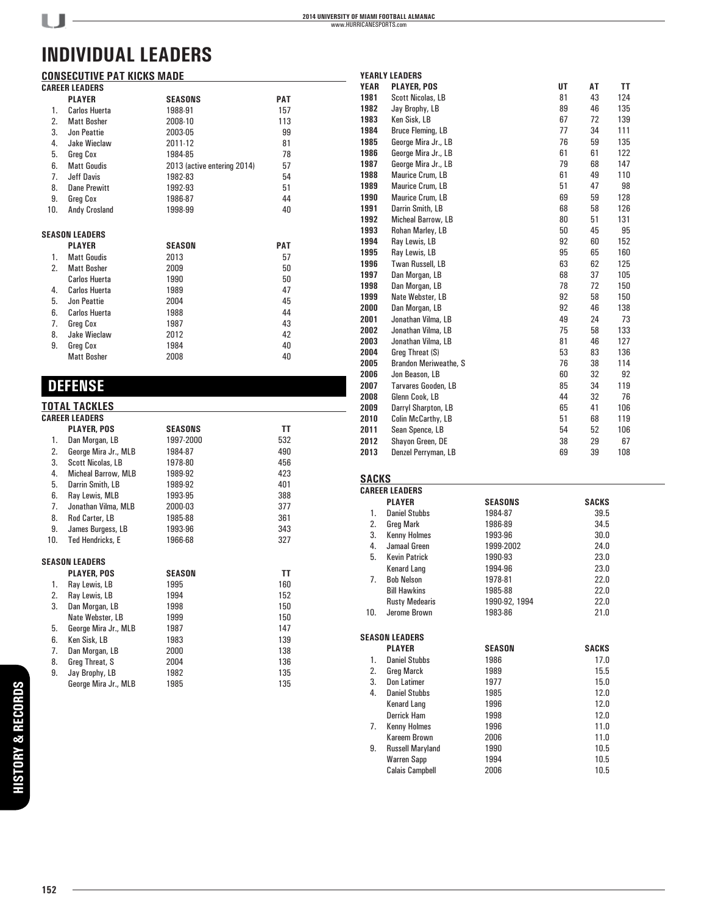# **CONSECUTIVE PAT KICKS MADE**<br>CAREER LEADERS

 $U$ -

|     | <b>CAREER LEADERS</b> |                             |            |  |
|-----|-----------------------|-----------------------------|------------|--|
|     | <b>PLAYER</b>         | <b>SEASONS</b>              | <b>PAT</b> |  |
| 1.  | <b>Carlos Huerta</b>  | 1988-91                     | 157        |  |
| 2.  | <b>Matt Bosher</b>    | 2008-10                     | 113        |  |
| 3.  | Jon Peattie           | 2003-05                     | 99         |  |
| 4.  | Jake Wieclaw          | 2011-12                     | 81         |  |
| 5.  | Greg Cox              | 1984-85                     | 78         |  |
| 6.  | <b>Matt Goudis</b>    | 2013 (active entering 2014) | 57         |  |
| 7.  | Jeff Davis            | 1982-83                     | 54         |  |
| 8.  | <b>Dane Prewitt</b>   | 1992-93                     | 51         |  |
| 9.  | Greg Cox              | 1986-87                     | 44         |  |
| 10. | Andy Crosland         | 1998-99                     | 40         |  |
|     | <b>SEASON LEADERS</b> |                             |            |  |
|     | <b>PLAYER</b>         | <b>SEASON</b>               | <b>PAT</b> |  |
| 1.  | <b>Matt Goudis</b>    | 2013                        | 57         |  |
| 2.  | <b>Matt Bosher</b>    | 2009                        | 50         |  |
|     | <b>Carlos Huerta</b>  | 1990                        | 50         |  |
| 4.  | <b>Carlos Huerta</b>  | 1989                        | 47         |  |
| 5.  | Jon Peattie           | 2004                        | 45         |  |
| 6.  | Carlos Huerta         | 1988                        | 44         |  |
| 7.  | Greg Cox              | 1987                        | 43         |  |
| 8.  | <b>Jake Wieclaw</b>   | 2012                        | 42         |  |
| 9.  | Greg Cox              | 1984                        | 40         |  |
|     | <b>Matt Bosher</b>    | 2008                        | 40         |  |

# **DEFENSE**

### **TOTAL TACKLES**

| <b>CAREER LEADERS</b> |                            |                |     |  |
|-----------------------|----------------------------|----------------|-----|--|
|                       | <b>PLAYER, POS</b>         | <b>SEASONS</b> | ΤT  |  |
| 1.                    | Dan Morgan, LB             | 1997-2000      | 532 |  |
| 2.                    | George Mira Jr., MLB       | 1984-87        | 490 |  |
| 3.                    | <b>Scott Nicolas, LB</b>   | 1978-80        | 456 |  |
| 4.                    | <b>Micheal Barrow, MLB</b> | 1989-92        | 423 |  |
| 5.                    | Darrin Smith, LB           | 1989-92        | 401 |  |
| 6.                    | Ray Lewis, MLB             | 1993-95        | 388 |  |
| 7.                    | Jonathan Vilma, MLB        | 2000-03        | 377 |  |
| 8.                    | Rod Carter, LB             | 1985-88        | 361 |  |
| 9.                    | James Burgess, LB          | 1993-96        | 343 |  |
| 10.                   | <b>Ted Hendricks, E</b>    | 1966-68        | 327 |  |
|                       | <b>SEASON LEADERS</b>      |                |     |  |
|                       | <b>PLAYER, POS</b>         | <b>SEASON</b>  | ΤT  |  |
| 1.                    | Ray Lewis, LB              | 1995           | 160 |  |
| 2.                    | Ray Lewis, LB              | 1994           | 152 |  |
| 3.                    | Dan Morgan, LB             | 1998           | 150 |  |
|                       | Nate Webster, LB           | 1999           | 150 |  |
| 5.                    | George Mira Jr., MLB       | 1987           | 147 |  |
| 6.                    | Ken Sisk, LB               | 1983           | 139 |  |
| 7.                    | Dan Morgan, LB             | 2000           | 138 |  |
| 8.                    | Greg Threat, S             | 2004           | 136 |  |
| 9.                    | Jay Brophy, LB             | 1982           | 135 |  |
|                       | George Mira Jr., MLB       | 1985           | 135 |  |

| <b>YEARLY LEADERS</b> |                              |    |    |     |  |
|-----------------------|------------------------------|----|----|-----|--|
| <b>YEAR</b>           | <b>PLAYER, POS</b>           | UT | AT | TT  |  |
| 1981                  | Scott Nicolas, LB            | 81 | 43 | 124 |  |
| 1982                  | Jay Brophy, LB               | 89 | 46 | 135 |  |
| 1983                  | Ken Sisk, LB                 | 67 | 72 | 139 |  |
| 1984                  | Bruce Fleming, LB            | 77 | 34 | 111 |  |
| 1985                  | George Mira Jr., LB          | 76 | 59 | 135 |  |
| 1986                  | George Mira Jr., LB          | 61 | 61 | 122 |  |
| 1987                  | George Mira Jr., LB          | 79 | 68 | 147 |  |
| 1988                  | Maurice Crum, LB             | 61 | 49 | 110 |  |
| 1989                  | Maurice Crum, LB             | 51 | 47 | 98  |  |
| 1990                  | Maurice Crum, LB             | 69 | 59 | 128 |  |
| 1991                  | Darrin Smith, LB             | 68 | 58 | 126 |  |
| 1992                  | <b>Micheal Barrow, LB</b>    | 80 | 51 | 131 |  |
| 1993                  | Rohan Marley, LB             | 50 | 45 | 95  |  |
| 1994                  | Ray Lewis, LB                | 92 | 60 | 152 |  |
| 1995                  | Ray Lewis, LB                | 95 | 65 | 160 |  |
| 1996                  | Twan Russell, LB             | 63 | 62 | 125 |  |
| 1997                  | Dan Morgan, LB               | 68 | 37 | 105 |  |
| 1998                  | Dan Morgan, LB               | 78 | 72 | 150 |  |
| 1999                  | Nate Webster, LB             | 92 | 58 | 150 |  |
| 2000                  | Dan Morgan, LB               | 92 | 46 | 138 |  |
| 2001                  | Jonathan Vilma, LB           | 49 | 24 | 73  |  |
| 2002                  | Jonathan Vilma, LB           | 75 | 58 | 133 |  |
| 2003                  | Jonathan Vilma, LB           | 81 | 46 | 127 |  |
| 2004                  | Greg Threat (S)              | 53 | 83 | 136 |  |
| 2005                  | <b>Brandon Meriweathe, S</b> | 76 | 38 | 114 |  |
| 2006                  | Jon Beason, LB               | 60 | 32 | 92  |  |
| 2007                  | Tarvares Gooden, LB          | 85 | 34 | 119 |  |
| 2008                  | Glenn Cook, LB               | 44 | 32 | 76  |  |
| 2009                  | Darryl Sharpton, LB          | 65 | 41 | 106 |  |
| 2010                  | Colin McCarthy, LB           | 51 | 68 | 119 |  |
| 2011                  | Sean Spence, LB              | 54 | 52 | 106 |  |
| 2012                  | Shayon Green, DE             | 38 | 29 | 67  |  |
| 2013                  | Denzel Perryman, LB          | 69 | 39 | 108 |  |

### **SACKS**

|                | <b>CAREER LEADERS</b>   |                |              |  |
|----------------|-------------------------|----------------|--------------|--|
|                | <b>PLAYER</b>           | <b>SEASONS</b> | SACKS        |  |
| 1.             | <b>Daniel Stubbs</b>    | 1984-87        | 39.5         |  |
| 2.             | <b>Greg Mark</b>        | 1986-89        | 34.5         |  |
| 3.             | <b>Kenny Holmes</b>     | 1993-96        | 30.0         |  |
| 4.             | Jamaal Green            | 1999-2002      | 24.0         |  |
| 5.             | <b>Kevin Patrick</b>    | 1990-93        | 23.0         |  |
|                | Kenard Lang             | 1994-96        | 23.0         |  |
| 7 <sup>1</sup> | <b>Bob Nelson</b>       | 1978-81        | 22.0         |  |
|                | <b>Bill Hawkins</b>     | 1985-88        | 22.0         |  |
|                | <b>Rusty Medearis</b>   | 1990-92, 1994  | 22.0         |  |
| 10.            | Jerome Brown            | 1983-86        | 21.0         |  |
|                |                         |                |              |  |
|                | <b>SEASON LEADERS</b>   |                |              |  |
|                | <b>PLAYER</b>           | <b>SEASON</b>  | <b>SACKS</b> |  |
| 1.             | <b>Daniel Stubbs</b>    | 1986           | 17.0         |  |
| 2.             | Greg Marck              | 1989           | 15.5         |  |
| 3.             | Don Latimer             | 1977           | 15.0         |  |
| 4.             | <b>Daniel Stubbs</b>    | 1985           | 12.0         |  |
|                | <b>Kenard Lang</b>      | 1996           | 12.0         |  |
|                | Derrick Ham             | 1998           | 12.0         |  |
| 7.             | <b>Kenny Holmes</b>     | 1996           | 11.0         |  |
|                | Kareem Brown            | 2006           | 11.0         |  |
| 9.             | <b>Russell Maryland</b> | 1990           | 10.5         |  |
|                | <b>Warren Sapp</b>      | 1994           | 10.5         |  |
|                | <b>Calais Campbell</b>  | 2006           | 10.5         |  |
|                |                         |                |              |  |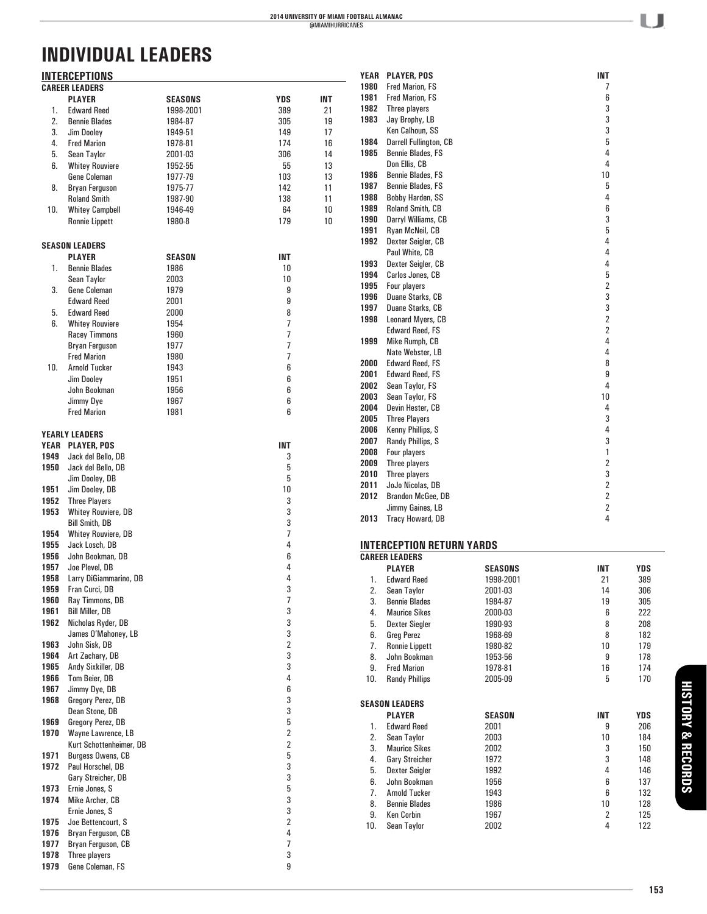|      | <b>INTERCEPTIONS</b>       |           |                         |     |      | YEAR PLAYER, POS                 |                | <b>INT</b>              |            |
|------|----------------------------|-----------|-------------------------|-----|------|----------------------------------|----------------|-------------------------|------------|
|      | <b>CAREER LEADERS</b>      |           |                         |     | 1980 | Fred Marion, FS                  |                | 7                       |            |
|      | <b>PLAYER</b>              | SEASONS   | <b>YDS</b>              | INT | 1981 | <b>Fred Marion, FS</b>           |                | 6                       |            |
| 1.   | <b>Edward Reed</b>         | 1998-2001 | 389                     | 21  | 1982 | Three players                    |                | 3                       |            |
| 2.   | <b>Bennie Blades</b>       | 1984-87   | 305                     | 19  | 1983 | Jay Brophy, LB                   |                | 3                       |            |
| 3.   | Jim Dooley                 | 1949-51   | 149                     | 17  |      | Ken Calhoun, SS                  |                | 3                       |            |
| 4.   | <b>Fred Marion</b>         | 1978-81   | 174                     | 16  | 1984 | Darrell Fullington, CB           |                | 5                       |            |
|      |                            |           |                         |     | 1985 | Bennie Blades, FS                |                | 4                       |            |
| 5.   | Sean Taylor                | 2001-03   | 306                     | 14  |      | Don Ellis, CB                    |                | 4                       |            |
| 6.   | <b>Whitey Rouviere</b>     | 1952-55   | 55                      | 13  |      |                                  |                |                         |            |
|      | Gene Coleman               | 1977-79   | 103                     | 13  | 1986 | Bennie Blades, FS                |                | $10\,$                  |            |
| 8.   | <b>Bryan Ferguson</b>      | 1975-77   | 142                     | 11  | 1987 | Bennie Blades, FS                |                | 5                       |            |
|      | <b>Roland Smith</b>        | 1987-90   | 138                     | 11  | 1988 | Bobby Harden, SS                 |                | 4                       |            |
| 10.  | <b>Whitey Campbell</b>     | 1946-49   | 64                      | 10  | 1989 | <b>Roland Smith, CB</b>          |                | 6                       |            |
|      | <b>Ronnie Lippett</b>      | 1980-8    | 179                     | 10  | 1990 | Darryl Williams, CB              |                | 3                       |            |
|      |                            |           |                         |     | 1991 | Ryan McNeil, CB                  |                | 5                       |            |
|      |                            |           |                         |     | 1992 | Dexter Seigler, CB               |                | 4                       |            |
|      | <b>SEASON LEADERS</b>      |           |                         |     |      | Paul White, CB                   |                | 4                       |            |
|      | <b>PLAYER</b>              | SEASON    | <b>INT</b>              |     | 1993 | Dexter Seigler, CB               |                | 4                       |            |
| 1.   | <b>Bennie Blades</b>       | 1986      | 10                      |     | 1994 | Carlos Jones, CB                 |                | 5                       |            |
|      | <b>Sean Taylor</b>         | 2003      | 10                      |     |      |                                  |                | $\overline{\mathbf{c}}$ |            |
| 3.   | Gene Coleman               | 1979      | 9                       |     | 1995 | Four players                     |                |                         |            |
|      | <b>Edward Reed</b>         | 2001      | 9                       |     | 1996 | Duane Starks, CB                 |                | 3                       |            |
| 5.   | <b>Edward Reed</b>         | 2000      | 8                       |     | 1997 | Duane Starks, CB                 |                | 3                       |            |
| 6.   | <b>Whitey Rouviere</b>     | 1954      | $\overline{7}$          |     | 1998 | Leonard Myers, CB                |                | $\overline{\mathbf{c}}$ |            |
|      | <b>Racey Timmons</b>       | 1960      | $\overline{7}$          |     |      | <b>Edward Reed, FS</b>           |                | $\overline{\mathbf{c}}$ |            |
|      | Bryan Ferguson             | 1977      | $\overline{7}$          |     | 1999 | Mike Rumph, CB                   |                | 4                       |            |
|      |                            |           |                         |     |      | Nate Webster, LB                 |                | 4                       |            |
|      | <b>Fred Marion</b>         | 1980      | $\overline{7}$          |     | 2000 | <b>Edward Reed, FS</b>           |                | 8                       |            |
| 10.  | <b>Arnold Tucker</b>       | 1943      | 6                       |     | 2001 | <b>Edward Reed, FS</b>           |                | 9                       |            |
|      | <b>Jim Dooley</b>          | 1951      | 6                       |     | 2002 |                                  |                | 4                       |            |
|      | John Bookman               | 1956      | 6                       |     |      | Sean Taylor, FS                  |                |                         |            |
|      | Jimmy Dye                  | 1967      | 6                       |     | 2003 | Sean Taylor, FS                  |                | 10                      |            |
|      | <b>Fred Marion</b>         | 1981      | 6                       |     | 2004 | Devin Hester, CB                 |                | 4                       |            |
|      |                            |           |                         |     | 2005 | <b>Three Players</b>             |                | 3                       |            |
|      | <b>YEARLY LEADERS</b>      |           |                         |     | 2006 | Kenny Phillips, S                |                | 4                       |            |
| YEAR | <b>PLAYER, POS</b>         |           | <b>INT</b>              |     | 2007 | Randy Phillips, S                |                | 3                       |            |
| 1949 | Jack del Bello, DB         |           | 3                       |     | 2008 | Four players                     |                | 1                       |            |
|      |                            |           |                         |     | 2009 | Three players                    |                | $\overline{\mathbf{c}}$ |            |
| 1950 | Jack del Bello, DB         |           | 5                       |     | 2010 | Three players                    |                | 3                       |            |
|      | Jim Dooley, DB             |           | 5                       |     | 2011 | JoJo Nicolas, DB                 |                | $\overline{\mathbf{c}}$ |            |
| 1951 | Jim Dooley, DB             |           | 10                      |     | 2012 | Brandon McGee, DB                |                | $\overline{\mathbf{c}}$ |            |
| 1952 | <b>Three Players</b>       |           | 3                       |     |      |                                  |                |                         |            |
| 1953 | <b>Whitey Rouviere, DB</b> |           | 3                       |     |      | Jimmy Gaines, LB                 |                | $\overline{\mathbf{c}}$ |            |
|      | <b>Bill Smith, DB</b>      |           | 3                       |     | 2013 | Tracy Howard, DB                 |                | 4                       |            |
| 1954 | <b>Whitey Rouviere, DB</b> |           | $\overline{7}$          |     |      |                                  |                |                         |            |
| 1955 | Jack Losch, DB             |           | 4                       |     |      | <b>INTERCEPTION RETURN YARDS</b> |                |                         |            |
| 1956 | John Bookman, DB           |           | 6                       |     |      | <b>CAREER LEADERS</b>            |                |                         |            |
| 1957 | Joe Plevel, DB             |           | 4                       |     |      | <b>PLAYER</b>                    | <b>SEASONS</b> | INT                     | YDS        |
| 1958 | Larry DiGiammarino, DB     |           | 4                       |     |      |                                  |                |                         |            |
|      |                            |           |                         |     | 1.   | <b>Edward Reed</b>               | 1998-2001      | 21                      | 389        |
| 1959 | Fran Curci, DB             |           | 3                       |     | 2.   | Sean Taylor                      | 2001-03        | 14                      | 306        |
| 1960 | Ray Timmons, DB            |           | $\overline{7}$          |     | 3.   | <b>Bennie Blades</b>             | 1984-87        | 19                      | 305        |
| 1961 | <b>Bill Miller, DB</b>     |           | 3                       |     | 4.   | <b>Maurice Sikes</b>             | 2000-03        | 6                       | 222        |
| 1962 | Nicholas Ryder, DB         |           | 3                       |     | 5.   | <b>Dexter Siegler</b>            | 1990-93        | 8                       | 208        |
|      | James O'Mahoney, LB        |           | 3                       |     | 6.   | <b>Greg Perez</b>                | 1968-69        | 8                       | 182        |
| 1963 | John Sisk, DB              |           | $\overline{2}$          |     | 7.   | <b>Ronnie Lippett</b>            | 1980-82        | 10                      | 179        |
| 1964 | Art Zachary, DB            |           | 3                       |     | 8.   | John Bookman                     | 1953-56        | 9                       | 178        |
| 1965 | Andy Sixkiller, DB         |           | 3                       |     | 9.   | <b>Fred Marion</b>               | 1978-81        | 16                      | 174        |
| 1966 | Tom Beier, DB              |           | 4                       |     | 10.  | <b>Randy Phillips</b>            |                | 5                       | 170        |
|      |                            |           | 6                       |     |      |                                  | 2005-09        |                         |            |
| 1967 | Jimmy Dye, DB              |           |                         |     |      |                                  |                |                         |            |
| 1968 | Gregory Perez, DB          |           | 3                       |     |      | <b>SEASON LEADERS</b>            |                |                         |            |
|      | Dean Stone, DB             |           | 3                       |     |      | <b>PLAYER</b>                    | <b>SEASON</b>  | <b>INT</b>              | <b>YDS</b> |
| 1969 | Gregory Perez, DB          |           | 5                       |     | 1.   | <b>Edward Reed</b>               | 2001           | 9                       | 206        |
| 1970 | Wayne Lawrence, LB         |           | $\overline{\mathbf{c}}$ |     | 2.   | Sean Taylor                      | 2003           | 10                      | 184        |
|      | Kurt Schottenheimer, DB    |           | $\overline{2}$          |     | 3.   | <b>Maurice Sikes</b>             | 2002           | 3                       | 150        |
| 1971 | Burgess Owens, CB          |           | 5                       |     |      | <b>Gary Streicher</b>            | 1972           |                         | 148        |
| 1972 | Paul Horschel, DB          |           | 3                       |     | 4.   |                                  |                | 3                       |            |
|      | Gary Streicher, DB         |           | 3                       |     | 5.   | <b>Dexter Seigler</b>            | 1992           | 4                       | 146        |
| 1973 | Ernie Jones, S             |           | 5                       |     | 6.   | John Bookman                     | 1956           | 6                       | 137        |
|      |                            |           |                         |     | 7.   | <b>Arnold Tucker</b>             | 1943           | 6                       | 132        |
| 1974 | Mike Archer, CB            |           | 3                       |     | 8.   | <b>Bennie Blades</b>             | 1986           | 10                      | 128        |
|      | Ernie Jones, S             |           | 3                       |     | 9.   | Ken Corbin                       | 1967           | $\overline{2}$          | 125        |
| 1975 | Joe Bettencourt, S         |           | 2                       |     | 10.  | Sean Taylor                      | 2002           | 4                       | 122        |
| 1976 | Bryan Ferguson, CB         |           | 4                       |     |      |                                  |                |                         |            |
| 1977 | Bryan Ferguson, CB         |           | $\overline{7}$          |     |      |                                  |                |                         |            |
| 1978 | Three players              |           | 3                       |     |      |                                  |                |                         |            |
| 1979 | Gene Coleman, FS           |           | 9                       |     |      |                                  |                |                         |            |

U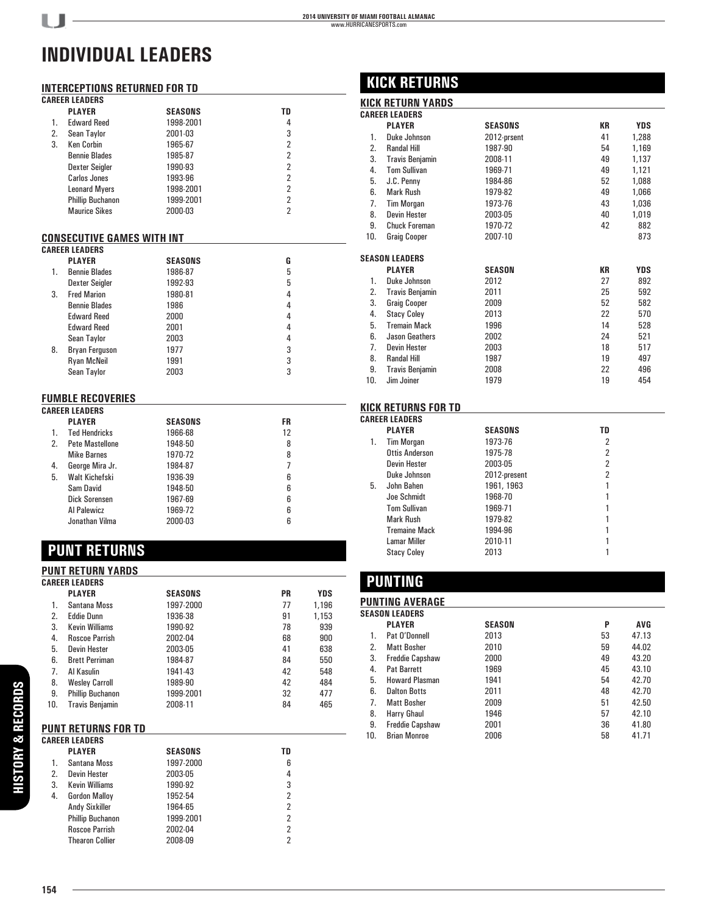### **INTERCEPTIONS RETURNED FOR TD**

I. J

|    | <b>CAREER LEADERS</b>                             |                |                |  |
|----|---------------------------------------------------|----------------|----------------|--|
|    | <b>PLAYER</b>                                     | SEASONS        | TD             |  |
| 1. | <b>Edward Reed</b>                                | 1998-2001      | 4              |  |
| 2. | Sean Taylor                                       | 2001-03        | 3              |  |
| 3. | <b>Ken Corbin</b>                                 | 1965-67        | $\overline{2}$ |  |
|    | <b>Bennie Blades</b>                              | 1985-87        | $\overline{2}$ |  |
|    | <b>Dexter Seigler</b>                             | 1990-93        | $\overline{2}$ |  |
|    | <b>Carlos Jones</b>                               | 1993-96        | $\overline{2}$ |  |
|    | <b>Leonard Myers</b>                              | 1998-2001      | $\overline{2}$ |  |
|    | <b>Phillip Buchanon</b>                           | 1999-2001      | $\overline{2}$ |  |
|    | <b>Maurice Sikes</b>                              | 2000-03        | $\overline{2}$ |  |
|    | CONSECUTIVE GAMES WITH INT                        |                |                |  |
|    | <b>CAREER LEADERS</b>                             |                |                |  |
|    | <b>PLAYER</b>                                     | <b>SEASONS</b> | G              |  |
| 1. | <b>Bennie Blades</b>                              | 1986-87        | 5              |  |
|    | <b>Dexter Seigler</b>                             | 1992-93        | 5              |  |
| 3. | <b>Fred Marion</b>                                | 1980-81        | 4              |  |
|    | <b>Bennie Blades</b>                              | 1986           | 4              |  |
|    | <b>Edward Reed</b>                                | 2000           | 4              |  |
|    | <b>Edward Reed</b>                                | 2001           | 4              |  |
|    | Sean Taylor                                       | 2003           | 4              |  |
| 8. | Bryan Ferguson                                    | 1977           | 3              |  |
|    | <b>Ryan McNeil</b>                                | 1991           | 3              |  |
|    | Sean Taylor                                       | 2003           | 3              |  |
|    |                                                   |                |                |  |
|    | <b>FUMBLE RECOVERIES</b><br><b>CAREER LEADERS</b> |                |                |  |
|    | <b>PLAYER</b>                                     | <b>SEASONS</b> | <b>FR</b>      |  |
| 1. | <b>Ted Hendricks</b>                              | 1966-68        | 12             |  |
| 2. | Pete Mastellone                                   | 1948-50        | 8              |  |
|    | <b>Mike Barnes</b>                                | 1970-72        | 8              |  |
| 4. | George Mira Jr.                                   | 1984-87        | $\overline{7}$ |  |
|    |                                                   |                |                |  |
| 5. | Walt Kichefski                                    | 1936-39        | 6              |  |
|    | Sam David                                         | 1948-50        | 6              |  |
|    | Dick Sorensen                                     | 1967-69        | 6              |  |
|    | Al Palewicz                                       | 1969-72        | 6              |  |
|    | Jonathan Vilma                                    | 2000-03        | 6              |  |

# **PUNT RETURNS**

#### **PUNT RETURN YARDS**

|     | <b>CAREER LEADERS</b>      |                |                |            |
|-----|----------------------------|----------------|----------------|------------|
|     | <b>PLAYER</b>              | <b>SEASONS</b> | <b>PR</b>      | <b>YDS</b> |
| 1.  | Santana Moss               | 1997-2000      | 77             | 1,196      |
| 2.  | <b>Eddie Dunn</b>          | 1936-38        | 91             | 1,153      |
| 3.  | <b>Kevin Williams</b>      | 1990-92        | 78             | 939        |
| 4.  | <b>Roscoe Parrish</b>      | 2002-04        | 68             | 900        |
| 5.  | <b>Devin Hester</b>        | 2003-05        | 41             | 638        |
| 6.  | <b>Brett Perriman</b>      | 1984-87        | 84             | 550        |
| 7.  | Al Kasulin                 | 1941-43        | 42             | 548        |
| 8.  | <b>Wesley Carroll</b>      | 1989-90        | 42             | 484        |
| 9.  | <b>Phillip Buchanon</b>    | 1999-2001      | 32             | 477        |
| 10. | <b>Travis Benjamin</b>     | 2008-11        | 84             | 465        |
|     | <b>PUNT RETURNS FOR TD</b> |                |                |            |
|     | <b>CAREER LEADERS</b>      |                |                |            |
|     | <b>PLAYER</b>              | <b>SEASONS</b> | TD             |            |
| 1.  | Santana Moss               | 1997-2000      | 6              |            |
| 2.  | <b>Devin Hester</b>        | 2003-05        | 4              |            |
| 3.  | <b>Kevin Williams</b>      | 1990-92        | 3              |            |
| 4.  | <b>Gordon Malloy</b>       | 1952-54        | $\overline{2}$ |            |
|     | <b>Andy Sixkiller</b>      | 1964-65        | $\overline{2}$ |            |
|     | <b>Phillip Buchanon</b>    | 1999-2001      | $\overline{2}$ |            |
|     | <b>Roscoe Parrish</b>      | 2002-04        | $\overline{2}$ |            |
|     | <b>Thearon Collier</b>     | 2008-09        | $\overline{2}$ |            |

## **KICK RETURNS**

### **KICK RETURN YARDS**

|     | <b>CAREER LEADERS</b>  |               |           |            |
|-----|------------------------|---------------|-----------|------------|
|     | <b>PLAYER</b>          | SEASONS       | <b>KR</b> | <b>YDS</b> |
| 1.  | Duke Johnson           | 2012-prsent   | 41        | 1,288      |
| 2.  | <b>Randal Hill</b>     | 1987-90       | 54        | 1,169      |
| 3.  | <b>Travis Benjamin</b> | 2008-11       | 49        | 1,137      |
| 4.  | <b>Tom Sullivan</b>    | 1969-71       | 49        | 1,121      |
| 5.  | J.C. Penny             | 1984-86       | 52        | 1,088      |
| 6.  | Mark Rush              | 1979-82       | 49        | 1,066      |
| 7.  | <b>Tim Morgan</b>      | 1973-76       | 43        | 1,036      |
| 8.  | <b>Devin Hester</b>    | 2003-05       | 40        | 1,019      |
| 9.  | <b>Chuck Foreman</b>   | 1970-72       | 42        | 882        |
| 10. | <b>Graig Cooper</b>    | 2007-10       |           | 873        |
|     |                        |               |           |            |
|     | SEASON LEADERS         |               |           |            |
|     | <b>PLAYER</b>          | <b>SEASON</b> | КR        | <b>YDS</b> |
| 1.  | Duke Johnson           | 2012          | 27        | 892        |
| 2.  | <b>Travis Benjamin</b> | 2011          | 25        | 592        |
| 3.  | <b>Graig Cooper</b>    | 2009          | 52        | 582        |
| 4.  | <b>Stacy Coley</b>     | 2013          | 22        | 570        |
| 5.  | <b>Tremain Mack</b>    | 1996          | 14        | 528        |
| 6.  | Jason Geathers         | 2002          | 24        | 521        |
| 7.  | <b>Devin Hester</b>    | 2003          | 18        | 517        |
| 8.  | <b>Randal Hill</b>     | 1987          | 19        | 497        |
| 9.  | <b>Travis Benjamin</b> | 2008          | 22        | 496        |
| 10. | Jim Joiner             | 1979          | 19        | 454        |
|     |                        |               |           |            |

#### **KICK RETURNS FOR TD**

|    | <b>CAREER LEADERS</b> |                |    |  |
|----|-----------------------|----------------|----|--|
|    | <b>PLAYER</b>         | <b>SEASONS</b> | TD |  |
| 1. | <b>Tim Morgan</b>     | 1973-76        | 2  |  |
|    | <b>Ottis Anderson</b> | 1975-78        | 2  |  |
|    | <b>Devin Hester</b>   | 2003-05        | 2  |  |
|    | Duke Johnson          | 2012-present   | 2  |  |
| 5. | John Bahen            | 1961, 1963     |    |  |
|    | Joe Schmidt           | 1968-70        |    |  |
|    | <b>Tom Sullivan</b>   | 1969-71        |    |  |
|    | Mark Rush             | 1979-82        |    |  |
|    | <b>Tremaine Mack</b>  | 1994-96        |    |  |
|    | <b>Lamar Miller</b>   | 2010-11        |    |  |
|    | <b>Stacy Coley</b>    | 2013           |    |  |
|    |                       |                |    |  |

# **PUNTING**

|     | <b>PUNTING AVERAGE</b> |               |    |            |  |  |
|-----|------------------------|---------------|----|------------|--|--|
|     | SEASON LEADERS         |               |    |            |  |  |
|     | <b>PLAYER</b>          | <b>SEASON</b> | P  | <b>AVG</b> |  |  |
| 1.  | Pat O'Donnell          | 2013          | 53 | 47.13      |  |  |
| 2.  | <b>Matt Bosher</b>     | 2010          | 59 | 44.02      |  |  |
| 3.  | <b>Freddie Capshaw</b> | 2000          | 49 | 43.20      |  |  |
| 4.  | <b>Pat Barrett</b>     | 1969          | 45 | 43.10      |  |  |
| 5.  | <b>Howard Plasman</b>  | 1941          | 54 | 42.70      |  |  |
| 6.  | <b>Dalton Botts</b>    | 2011          | 48 | 42.70      |  |  |
| 7.  | <b>Matt Bosher</b>     | 2009          | 51 | 42.50      |  |  |
| 8.  | Harry Ghaul            | 1946          | 57 | 42.10      |  |  |
| 9.  | <b>Freddie Capshaw</b> | 2001          | 36 | 41.80      |  |  |
| 10. | <b>Brian Monroe</b>    | 2006          | 58 | 41.71      |  |  |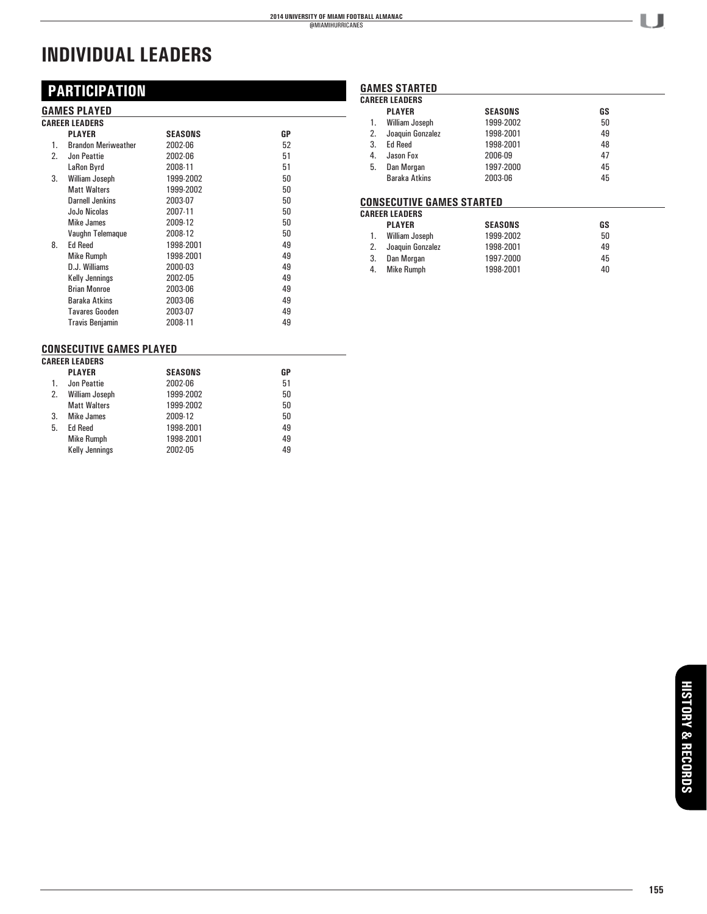# **PARTICIPATION**

#### **GAMES PLAYED**

|    | <b>CAREER LEADERS</b>      |           |    |
|----|----------------------------|-----------|----|
|    | <b>PLAYER</b>              | SEASONS   | GP |
| 1. | <b>Brandon Meriweather</b> | 2002-06   | 52 |
| 2. | Jon Peattie                | 2002-06   | 51 |
|    | LaRon Byrd                 | 2008-11   | 51 |
| 3. | William Joseph             | 1999-2002 | 50 |
|    | <b>Matt Walters</b>        | 1999-2002 | 50 |
|    | Darnell Jenkins            | 2003-07   | 50 |
|    | JoJo Nicolas               | 2007-11   | 50 |
|    | Mike James                 | 2009-12   | 50 |
|    | Vaughn Telemague           | 2008-12   | 50 |
| 8. | <b>Ed Reed</b>             | 1998-2001 | 49 |
|    | <b>Mike Rumph</b>          | 1998-2001 | 49 |
|    | D.J. Williams              | 2000-03   | 49 |
|    | <b>Kelly Jennings</b>      | 2002-05   | 49 |
|    | <b>Brian Monroe</b>        | 2003-06   | 49 |
|    | Baraka Atkins              | 2003-06   | 49 |
|    | <b>Tavares Gooden</b>      | 2003-07   | 49 |
|    | <b>Travis Benjamin</b>     | 2008-11   | 49 |

## **CONSECUTIVE GAMES PLAYED**

|    | <b>CAREER LEADERS</b> |                |    |  |  |  |
|----|-----------------------|----------------|----|--|--|--|
|    | <b>PLAYER</b>         | <b>SEASONS</b> | GP |  |  |  |
| 1. | Jon Peattie           | 2002-06        | 51 |  |  |  |
| 2. | <b>William Joseph</b> | 1999-2002      | 50 |  |  |  |
|    | <b>Matt Walters</b>   | 1999-2002      | 50 |  |  |  |
| 3. | Mike James            | 2009-12        | 50 |  |  |  |
| 5. | <b>Ed Reed</b>        | 1998-2001      | 49 |  |  |  |
|    | <b>Mike Rumph</b>     | 1998-2001      | 49 |  |  |  |
|    | <b>Kelly Jennings</b> | 2002-05        | 49 |  |  |  |
|    |                       |                |    |  |  |  |

#### **GAMES STARTED**

|    | <b>CAREER LEADERS</b> |                |    |
|----|-----------------------|----------------|----|
|    | <b>PLAYER</b>         | <b>SEASONS</b> | GS |
| 1. | William Joseph        | 1999-2002      | 50 |
| 2. | Joaquin Gonzalez      | 1998-2001      | 49 |
| 3. | <b>Ed Reed</b>        | 1998-2001      | 48 |
| 4. | Jason Fox             | 2006-09        | 47 |
| 5. | Dan Morgan            | 1997-2000      | 45 |
|    | <b>Baraka Atkins</b>  | 2003-06        | 45 |

#### **CONSECUTIVE GAMES STARTED**

|    | <b>CAREER LEADERS</b> |                |    |  |  |  |  |
|----|-----------------------|----------------|----|--|--|--|--|
|    | <b>PLAYER</b>         | <b>SEASONS</b> | GS |  |  |  |  |
|    | William Joseph        | 1999-2002      | 50 |  |  |  |  |
|    | Joaquin Gonzalez      | 1998-2001      | 49 |  |  |  |  |
| 3. | Dan Morgan            | 1997-2000      | 45 |  |  |  |  |
| 4. | <b>Mike Rumph</b>     | 1998-2001      | 40 |  |  |  |  |

U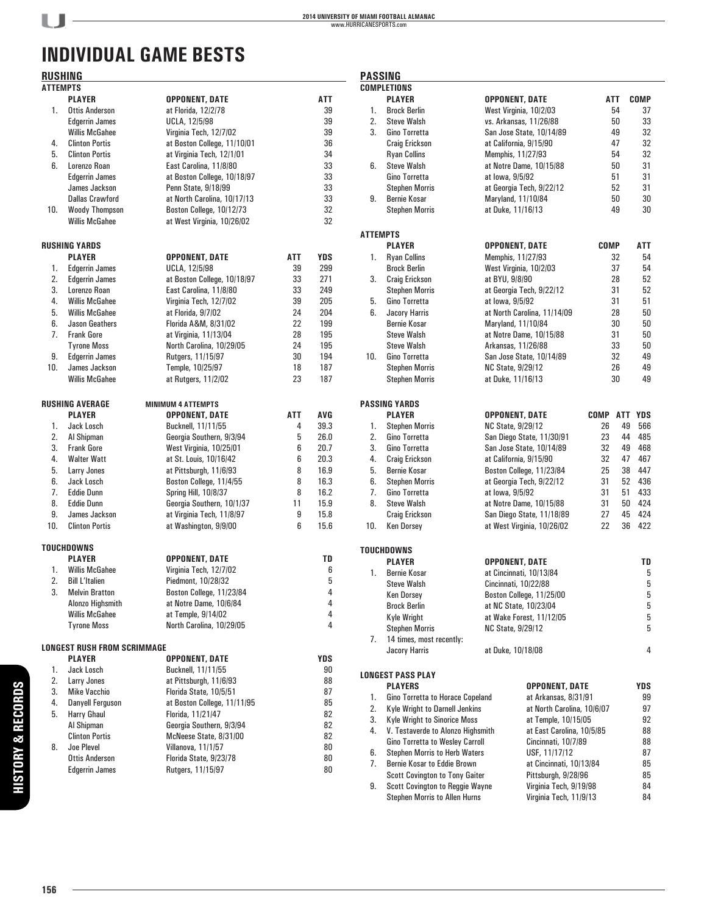# **INDIVIDUAL GAME BESTS**

# **RUSHING**

| <b>RUSHING</b>  |                                    |                             |     |            | <b>PASSING</b>  |                                                  |                |                             |             |            |             |
|-----------------|------------------------------------|-----------------------------|-----|------------|-----------------|--------------------------------------------------|----------------|-----------------------------|-------------|------------|-------------|
| <b>ATTEMPTS</b> |                                    |                             |     |            |                 | <b>COMPLETIONS</b>                               |                |                             |             |            |             |
|                 | <b>PLAYER</b>                      | <b>OPPONENT, DATE</b>       |     | ATT        |                 | <b>PLAYER</b>                                    |                | <b>OPPONENT, DATE</b>       | ATT         |            | <b>COMP</b> |
| 1.              | <b>Ottis Anderson</b>              | at Florida, 12/2/78         |     | 39         | 1.              | <b>Brock Berlin</b>                              |                | West Virginia, 10/2/03      |             | 54         | 37          |
|                 | <b>Edgerrin James</b>              | <b>UCLA, 12/5/98</b>        |     | 39         | 2.              | <b>Steve Walsh</b>                               |                | vs. Arkansas, 11/26/88      |             | 50         | 33          |
|                 | <b>Willis McGahee</b>              | Virginia Tech, 12/7/02      |     | 39         | 3.              | Gino Torretta                                    |                | San Jose State, 10/14/89    |             | 49         | 32          |
| 4.              | <b>Clinton Portis</b>              | at Boston College, 11/10/01 |     | 36         |                 | <b>Craig Erickson</b>                            |                | at California, 9/15/90      |             | 47         | 32          |
| 5.              | <b>Clinton Portis</b>              | at Virginia Tech, 12/1/01   |     | 34         |                 | <b>Ryan Collins</b>                              |                | Memphis, 11/27/93           |             | 54         | 32          |
| 6.              | Lorenzo Roan                       | East Carolina, 11/8/80      |     | 33         | 6.              | <b>Steve Walsh</b>                               |                | at Notre Dame, 10/15/88     |             | 50         | 31          |
|                 | <b>Edgerrin James</b>              | at Boston College, 10/18/97 |     | 33         |                 | Gino Torretta                                    |                | at lowa, 9/5/92             |             | 51         | 31          |
|                 | James Jackson                      | Penn State, 9/18/99         |     | 33         |                 | <b>Stephen Morris</b>                            |                | at Georgia Tech, 9/22/12    |             | 52         | 31          |
|                 | <b>Dallas Crawford</b>             | at North Carolina, 10/17/13 |     | 33         | 9.              | <b>Bernie Kosar</b>                              |                | Maryland, 11/10/84          |             | 50         | 30          |
| 10.             | <b>Woody Thompson</b>              | Boston College, 10/12/73    |     | 32         |                 | <b>Stephen Morris</b>                            |                | at Duke, 11/16/13           |             | 49         | 30          |
|                 | <b>Willis McGahee</b>              | at West Virginia, 10/26/02  |     | 32         |                 |                                                  |                |                             |             |            |             |
|                 |                                    |                             |     |            | <b>ATTEMPTS</b> |                                                  |                |                             |             |            |             |
|                 | <b>RUSHING YARDS</b>               |                             |     |            |                 | <b>PLAYER</b>                                    |                | <b>OPPONENT, DATE</b>       | <b>COMP</b> |            | <b>ATT</b>  |
|                 | <b>PLAYER</b>                      | <b>OPPONENT, DATE</b>       | ATT | <b>YDS</b> | 1.              | <b>Ryan Collins</b>                              |                | Memphis, 11/27/93           |             | 32         | 54          |
| 1.              | <b>Edgerrin James</b>              | <b>UCLA, 12/5/98</b>        | 39  | 299        |                 | <b>Brock Berlin</b>                              |                | West Virginia, 10/2/03      |             | 37         | 54          |
| 2.              | <b>Edgerrin James</b>              | at Boston College, 10/18/97 | 33  | 271        | 3.              | <b>Craig Erickson</b>                            | at BYU, 9/8/90 |                             |             | 28         | 52          |
| 3.              | Lorenzo Roan                       | East Carolina, 11/8/80      | 33  | 249        |                 | <b>Stephen Morris</b>                            |                | at Georgia Tech, 9/22/12    |             | 31         | 52          |
| 4.              | <b>Willis McGahee</b>              | Virginia Tech, 12/7/02      | 39  | 205        | 5.              | Gino Torretta                                    |                | at lowa, 9/5/92             |             | 31         | 51          |
| 5.              | <b>Willis McGahee</b>              | at Florida, 9/7/02          | 24  | 204        | 6.              | <b>Jacory Harris</b>                             |                | at North Carolina, 11/14/09 |             | 28         | 50          |
| 6.              | <b>Jason Geathers</b>              | Florida A&M, 8/31/02        | 22  | 199        |                 | <b>Bernie Kosar</b>                              |                | Maryland, 11/10/84          |             | 30         | 50          |
| 7.              | <b>Frank Gore</b>                  | at Virginia, 11/13/04       | 28  | 195        |                 | <b>Steve Walsh</b>                               |                | at Notre Dame, 10/15/88     |             | 31         | 50          |
|                 | <b>Tyrone Moss</b>                 | North Carolina, 10/29/05    | 24  | 195        |                 | <b>Steve Walsh</b>                               |                | Arkansas, 11/26/88          |             | 33         | 50          |
| 9.              | <b>Edgerrin James</b>              | Rutgers, 11/15/97           | 30  | 194        | 10.             | Gino Torretta                                    |                | San Jose State, 10/14/89    |             | 32         | 49          |
| 10.             | James Jackson                      | Temple, 10/25/97            | 18  | 187        |                 | <b>Stephen Morris</b>                            |                | <b>NC State, 9/29/12</b>    |             | 26         | 49          |
|                 | <b>Willis McGahee</b>              | at Rutgers, 11/2/02         | 23  | 187        |                 | <b>Stephen Morris</b>                            |                | at Duke, 11/16/13           |             | 30         | 49          |
|                 | <b>RUSHING AVERAGE</b>             | <b>MINIMUM 4 ATTEMPTS</b>   |     |            |                 | <b>PASSING YARDS</b>                             |                |                             |             |            |             |
|                 | <b>PLAYER</b>                      | <b>OPPONENT, DATE</b>       | ATT | AVG        |                 | <b>PLAYER</b>                                    |                | <b>OPPONENT, DATE</b>       | <b>COMP</b> | <b>ATT</b> | <b>YDS</b>  |
| 1.              | Jack Losch                         | Bucknell, 11/11/55          | 4   | 39.3       | 1.              | <b>Stephen Morris</b>                            |                | <b>NC State, 9/29/12</b>    | 26          | 49         | 566         |
| 2.              | Al Shipman                         | Georgia Southern, 9/3/94    | 5   | 26.0       | 2.              | Gino Torretta                                    |                | San Diego State, 11/30/91   | 23          | 44         | 485         |
| 3.              | <b>Frank Gore</b>                  | West Virginia, 10/25/01     | 6   | 20.7       | 3.              | Gino Torretta                                    |                | San Jose State, 10/14/89    | 32          | 49         | 468         |
| 4.              | <b>Walter Watt</b>                 | at St. Louis, 10/16/42      | 6   | 20.3       | 4.              | <b>Craig Erickson</b>                            |                | at California, 9/15/90      | 32          | 47         | 467         |
| 5.              | Larry Jones                        | at Pittsburgh, 11/6/93      | 8   | 16.9       | 5.              | <b>Bernie Kosar</b>                              |                | Boston College, 11/23/84    | 25          | 38         | 447         |
| 6.              | Jack Losch                         | Boston College, 11/4/55     | 8   | 16.3       | 6.              | <b>Stephen Morris</b>                            |                | at Georgia Tech, 9/22/12    | 31          | 52         | 436         |
| 7.              | <b>Eddie Dunn</b>                  | <b>Spring Hill, 10/8/37</b> | 8   | 16.2       | 7.              | Gino Torretta                                    |                | at lowa, 9/5/92             | 31          | 51         | 433         |
| 8.              | <b>Eddie Dunn</b>                  | Georgia Southern, 10/1/37   | 11  | 15.9       | 8.              | <b>Steve Walsh</b>                               |                | at Notre Dame, 10/15/88     | 31          | 50         | 424         |
| 9.              | James Jackson                      | at Virginia Tech, 11/8/97   | 9   | 15.8       |                 | <b>Craig Erickson</b>                            |                | San Diego State, 11/18/89   | 27          | 45         | 424         |
| 10.             | <b>Clinton Portis</b>              | at Washington, 9/9/00       | 6   | 15.6       | 10.             | <b>Ken Dorsev</b>                                |                | at West Virginia, 10/26/02  | 22          | 36         | 422         |
|                 | TOUCHDOWNS                         |                             |     |            |                 |                                                  |                |                             |             |            |             |
|                 | <b>PLAYER</b>                      | <b>OPPONENT, DATE</b>       |     | TD         |                 | <b>TOUCHDOWNS</b>                                |                |                             |             |            |             |
| 1.              | <b>Willis McGahee</b>              | Virginia Tech, 12/7/02      |     | 6          |                 | <b>PLAYER</b>                                    |                | <b>OPPONENT, DATE</b>       |             |            | TD          |
| 2.              | <b>Bill L'Italien</b>              | Piedmont, 10/28/32          |     | 5          | 1.              | <b>Bernie Kosar</b>                              |                | at Cincinnati, 10/13/84     |             |            | 5           |
| 3.              | <b>Melvin Bratton</b>              | Boston College, 11/23/84    |     | 4          |                 | <b>Steve Walsh</b>                               |                | Cincinnati, 10/22/88        |             |            | 5           |
|                 | Alonzo Highsmith                   | at Notre Dame, 10/6/84      |     | 4          |                 | <b>Ken Dorsey</b>                                |                | Boston College, 11/25/00    |             |            | 5           |
|                 | <b>Willis McGahee</b>              | at Temple, 9/14/02          |     | 4          |                 | <b>Brock Berlin</b>                              |                | at NC State, 10/23/04       |             |            | 5           |
|                 | <b>Tyrone Moss</b>                 | North Carolina, 10/29/05    |     | 4          |                 | Kyle Wright                                      |                | at Wake Forest, 11/12/05    |             |            | 5           |
|                 |                                    |                             |     |            |                 | <b>Stephen Morris</b>                            |                | <b>NC State, 9/29/12</b>    |             |            | 5           |
|                 | <b>LONGEST RUSH FROM SCRIMMAGE</b> |                             |     |            | 7.              | 14 times, most recently:<br><b>Jacory Harris</b> |                | at Duke, 10/18/08           |             |            | 4           |
|                 | <b>PLAYER</b>                      | <b>OPPONENT, DATE</b>       |     | YDS        |                 |                                                  |                |                             |             |            |             |
| 1.              | Jack Losch                         | Bucknell, 11/11/55          |     | 90         |                 |                                                  |                |                             |             |            |             |
| 2.              | Larry Jones                        | at Pittsburgh, 11/6/93      |     | 88         |                 | <b>LONGEST PASS PLAY</b>                         |                |                             |             |            |             |
| 3.              | <b>Mike Vacchio</b>                | Florida State, 10/5/51      |     | 87         |                 | <b>PLAYERS</b>                                   |                | <b>OPPONENT, DATE</b>       |             |            | YDS         |
| 4.              | <b>Danyell Ferguson</b>            | at Boston College, 11/11/95 |     | 85         | 1.              | Gino Torretta to Horace Copeland                 |                | at Arkansas, 8/31/91        |             |            | 99          |
| 5.              | <b>Harry Ghaul</b>                 | Florida, 11/21/47           |     | 82         | 2.              | <b>Kyle Wright to Darnell Jenkins</b>            |                | at North Carolina, 10/6/07  |             |            | 97          |
|                 | Al Shipman                         | Georgia Southern, 9/3/94    |     | 82         | 3.              | Kyle Wright to Sinorice Moss                     |                | at Temple, 10/15/05         |             |            | 92          |
|                 | <b>Clinton Portis</b>              | McNeese State, 8/31/00      |     | 82         | 4.              | V. Testaverde to Alonzo Highsmith                |                | at East Carolina, 10/5/85   |             |            | 88          |
| 8.              | Joe Plevel                         | Villanova, 11/1/57          |     | 80         |                 | Gino Torretta to Wesley Carroll                  |                | Cincinnati, 10/7/89         |             |            | 88          |
|                 | <b>Ottis Anderson</b>              | Florida State, 9/23/78      |     | 80         | 6.              | <b>Stephen Morris to Herb Waters</b>             |                | USF, 11/17/12               |             |            | 87          |
|                 | <b>Edgerrin James</b>              | Rutgers, 11/15/97           |     | 80         | 7.              | Bernie Kosar to Eddie Brown                      |                | at Cincinnati, 10/13/84     |             |            | 85          |
|                 |                                    |                             |     |            |                 | <b>Scott Covington to Tony Gaiter</b>            |                | Pittsburgh, 9/28/96         |             |            | 85          |

 Scott Covington to Tony Gaiter Pittsburgh, 9/28/96 85 9. Scott Covington to Reggie Wayne Stephen Morris to Allen Hurns Virginia Tech, 11/9/13 84

| 3.       | Gino Torretta            | San Jose State, 10/14/89    |             | 49  | 32         |
|----------|--------------------------|-----------------------------|-------------|-----|------------|
|          | Craig Erickson           | at California, 9/15/90      |             | 47  | 32         |
|          | <b>Ryan Collins</b>      | Memphis, 11/27/93           |             | 54  | 32         |
| 6.       | <b>Steve Walsh</b>       | at Notre Dame, 10/15/88     |             | 50  | 31         |
|          | Gino Torretta            | at lowa, 9/5/92             |             | 51  | 31         |
|          | <b>Stephen Morris</b>    | at Georgia Tech, 9/22/12    |             | 52  | 31         |
| 9.       | <b>Bernie Kosar</b>      | Maryland, 11/10/84          |             | 50  | 30         |
|          | <b>Stephen Morris</b>    | at Duke, 11/16/13           |             | 49  | 30         |
| ATTEMPTS |                          |                             |             |     |            |
|          | <b>PLAYER</b>            | <b>OPPONENT, DATE</b>       | <b>COMP</b> |     | ATT        |
| 1.       | <b>Ryan Collins</b>      | Memphis, 11/27/93           |             | 32  | 54         |
|          | <b>Brock Berlin</b>      | West Virginia, 10/2/03      |             | 37  | 54         |
| 3.       | Craig Erickson           | at BYU, 9/8/90              |             | 28  | 52         |
|          | <b>Stephen Morris</b>    | at Georgia Tech, 9/22/12    |             | 31  | 52         |
| 5.       | Gino Torretta            | at lowa, 9/5/92             |             | 31  | 51         |
| 6.       | <b>Jacory Harris</b>     | at North Carolina, 11/14/09 |             | 28  | 50         |
|          | Bernie Kosar             | Maryland, 11/10/84          |             | 30  | 50         |
|          | <b>Steve Walsh</b>       | at Notre Dame, 10/15/88     |             | 31  | 50         |
|          | <b>Steve Walsh</b>       | Arkansas, 11/26/88          |             | 33  | 50         |
| 10.      | Gino Torretta            | San Jose State, 10/14/89    |             | 32  | 49         |
|          | <b>Stephen Morris</b>    | <b>NC State, 9/29/12</b>    |             | 26  | 49         |
|          | <b>Stephen Morris</b>    | at Duke, 11/16/13           |             | 30  | 49         |
|          | PASSING YARDS            |                             |             |     |            |
|          | <b>PLAYER</b>            | <b>OPPONENT, DATE</b>       | <b>COMP</b> | ATT | <b>YDS</b> |
| 1.       | <b>Stephen Morris</b>    | <b>NC State, 9/29/12</b>    | 26          | 49  | 566        |
| 2.       | <b>Gino Torretta</b>     | San Diego State, 11/30/91   | 23          | 44  | 485        |
| 3.       | Gino Torretta            | San Jose State, 10/14/89    | 32          | 49  | 468        |
| 4.       | Craig Erickson           | at California, 9/15/90      | 32          | 47  | 467        |
| 5.       | <b>Bernie Kosar</b>      | Boston College, 11/23/84    | 25          | 38  | 447        |
| 6.       | <b>Stephen Morris</b>    | at Georgia Tech, 9/22/12    | 31          | 52  | 436        |
| 7.       | Gino Torretta            | at lowa, 9/5/92             | 31          | 51  | 433        |
| 8.       | <b>Steve Walsh</b>       | at Notre Dame, 10/15/88     | 31          | 50  | 424        |
|          | Craig Erickson           | San Diego State, 11/18/89   | 27          | 45  | 424        |
| 10.      | Ken Dorsey               | at West Virginia, 10/26/02  | 22          | 36  | 422        |
|          | TOUCHDOWNS               |                             |             |     |            |
|          | <b>PLAYER</b>            | OPPONENT, DATE              |             |     | TD         |
| 1.       | <b>Bernie Kosar</b>      | at Cincinnati, 10/13/84     |             |     | 5          |
|          | <b>Steve Walsh</b>       | Cincinnati, 10/22/88        |             |     | 5          |
|          | Ken Dorsey               | Boston College, 11/25/00    |             |     | 5          |
|          | <b>Brock Berlin</b>      | at NC State, 10/23/04       |             |     | 5          |
|          | Kyle Wright              | at Wake Forest, 11/12/05    |             |     | 5          |
|          | <b>Stephen Morris</b>    | <b>NC State, 9/29/12</b>    |             |     | 5          |
| 7.       | 14 times, most recently: |                             |             |     |            |
|          | <b>Jacory Harris</b>     | at Duke, 10/18/08           |             |     | 4          |
|          |                          |                             |             |     |            |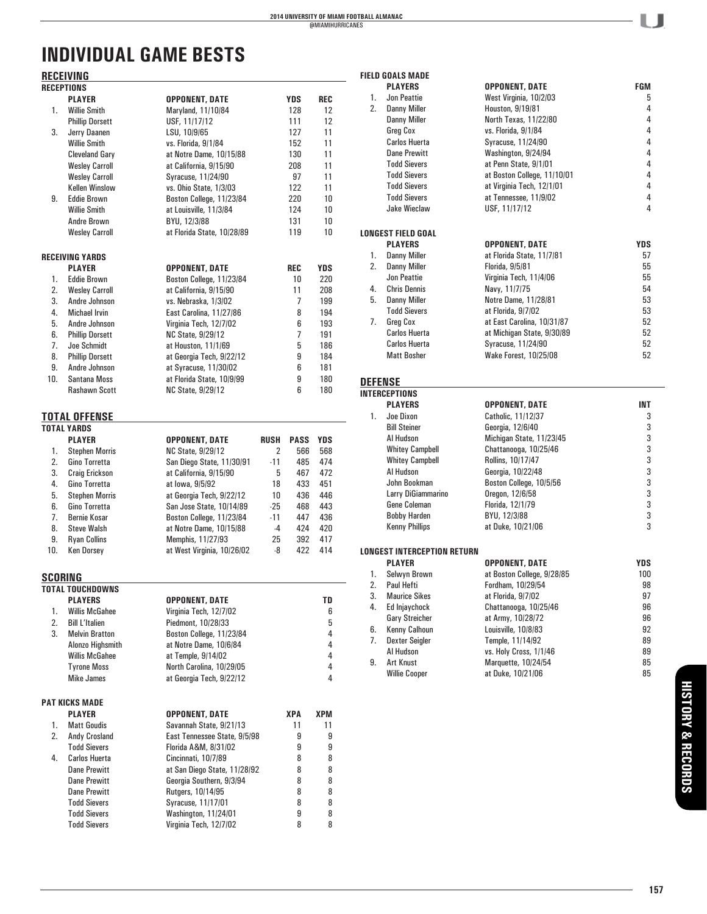# **INDIVIDUAL GAME BESTS**

# **RECEIVING**

|         | <u>NEVEIVIIVU</u>           |                                      |             |             |           |
|---------|-----------------------------|--------------------------------------|-------------|-------------|-----------|
|         | RECEPTIONS<br><b>PLAYER</b> |                                      |             |             |           |
| 1.      | <b>Willie Smith</b>         | OPPONENT, DATE<br>Maryland, 11/10/84 |             | YDS<br>128  | REC<br>12 |
|         |                             |                                      |             | 111         | 12        |
|         | <b>Phillip Dorsett</b>      | USF, 11/17/12                        |             |             |           |
| 3.      | Jerry Daanen                | LSU, 10/9/65                         |             | 127         | 11        |
|         | <b>Willie Smith</b>         | vs. Florida, 9/1/84                  |             | 152         | 11        |
|         | <b>Cleveland Gary</b>       | at Notre Dame, 10/15/88              |             | 130         | 11        |
|         | <b>Wesley Carroll</b>       | at California, 9/15/90               |             | 208         | 11        |
|         | <b>Wesley Carroll</b>       | Syracuse, 11/24/90                   |             | 97          | 11        |
|         | <b>Kellen Winslow</b>       | vs. Ohio State, 1/3/03               |             | 122         | 11        |
| 9.      | <b>Eddie Brown</b>          | Boston College, 11/23/84             |             | 220         | 10        |
|         | <b>Willie Smith</b>         | at Louisville, 11/3/84               |             | 124         | 10        |
|         | Andre Brown                 | BYU, 12/3/88                         |             | 131         | 10        |
|         | <b>Wesley Carroll</b>       | at Florida State, 10/28/89           |             | 119         | 10        |
|         | RECEIVING YARDS             |                                      |             |             |           |
|         | <b>PLAYER</b>               | OPPONENT, DATE                       |             | REC         | YDS       |
| 1.      | <b>Eddie Brown</b>          | Boston College, 11/23/84             |             | 10          | 220       |
| 2.      | <b>Wesley Carroll</b>       | at California, 9/15/90               |             | 11          | 208       |
| 3.      | Andre Johnson               | vs. Nebraska, 1/3/02                 |             | 7           | 199       |
| 4.      | <b>Michael Irvin</b>        | East Carolina, 11/27/86              |             | 8           | 194       |
| 5.      | Andre Johnson               | Virginia Tech, 12/7/02               |             | 6           | 193       |
| 6.      | <b>Phillip Dorsett</b>      | <b>NC State, 9/29/12</b>             |             | 7           | 191       |
| 7.      | Joe Schmidt                 |                                      |             | 5           |           |
|         |                             | at Houston, 11/1/69                  |             |             | 186       |
| 8.      | <b>Phillip Dorsett</b>      | at Georgia Tech, 9/22/12             |             | 9           | 184       |
| 9.      | Andre Johnson               | at Syracuse, 11/30/02                |             | 6           | 181       |
| 10.     | Santana Moss                | at Florida State, 10/9/99            |             | 9           | 180       |
|         | Rashawn Scott               | <b>NC State, 9/29/12</b>             |             | 6           | 180       |
|         | TOTAL OFFENSE               |                                      |             |             |           |
|         | <b>TOTAL YARDS</b>          |                                      |             |             |           |
|         | <b>PLAYER</b>               | OPPONENT, DATE                       | <b>RUSH</b> | <b>PASS</b> | YDS       |
| 1.      | <b>Stephen Morris</b>       | NC State, 9/29/12                    | 2           | 566         | 568       |
| 2.      | Gino Torretta               | San Diego State, 11/30/91            | $-11$       | 485         | 474       |
| 3.      | <b>Craig Erickson</b>       | at California, 9/15/90               | 5           | 467         | 472       |
| 4.      | Gino Torretta               | at lowa, 9/5/92                      | 18          | 433         | 451       |
| 5.      | <b>Stephen Morris</b>       | at Georgia Tech, 9/22/12             | 10          | 436         | 446       |
| 6.      | Gino Torretta               | San Jose State, 10/14/89             | $-25$       | 468         | 443       |
| 7.      | <b>Bernie Kosar</b>         | Boston College, 11/23/84             | $-11$       | 447         | 436       |
| 8.      | <b>Steve Walsh</b>          | at Notre Dame, 10/15/88              | $-4$        | 424         | 420       |
| 9.      | <b>Ryan Collins</b>         | Memphis, 11/27/93                    | 25          | 392         | 417       |
| 10.     | <b>Ken Dorsey</b>           | at West Virginia, 10/26/02           | -8          | 422         | 414       |
|         |                             |                                      |             |             |           |
| SCORING | <b>TOTAL TOUCHDOWNS</b>     |                                      |             |             |           |
|         | <b>PLAYERS</b>              | <b>OPPONENT, DATE</b>                |             |             | TD        |
| 1.      | <b>Willis McGahee</b>       | Virginia Tech, 12/7/02               |             |             | 6         |
| 2.      | <b>Bill L'Italien</b>       | Piedmont, 10/28/33                   |             |             | 5         |
|         |                             |                                      |             |             | 4         |
| 3.      | <b>Melvin Bratton</b>       | Boston College, 11/23/84             |             |             | 4         |
|         | Alonzo Highsmith            | at Notre Dame, 10/6/84               |             |             |           |
|         | <b>Willis McGahee</b>       | at Temple, 9/14/02                   |             |             | 4         |
|         | <b>Tyrone Moss</b>          | North Carolina, 10/29/05             |             |             | 4         |
|         | <b>Mike James</b>           | at Georgia Tech, 9/22/12             |             |             | 4         |
|         | PAT KICKS MADE              |                                      |             |             |           |
|         | <b>PLAYER</b>               | OPPONENT, DATE                       |             | XPA         | XPM       |
| 1.      | <b>Matt Goudis</b>          | Savannah State, 9/21/13              |             | 11          | 11        |
| 2.      | Andy Crosland               | East Tennessee State, 9/5/98         |             | 9           | 9         |
|         | <b>Todd Sievers</b>         | Florida A&M, 8/31/02                 |             | 9           | 9         |
| 4.      | Carlos Huerta               | Cincinnati, 10/7/89                  |             | 8           | 8         |
|         | Dane Prewitt                | at San Diego State, 11/28/92         |             | 8           | 8         |
|         | <b>Dane Prewitt</b>         | Georgia Southern, 9/3/94             |             | 8           | 8         |
|         | <b>Dane Prewitt</b>         | Rutgers, 10/14/95                    |             | 8           | 8         |
|         | <b>Todd Sievers</b>         | Syracuse, 11/17/01                   |             | 8           | 8         |
|         | <b>Todd Sievers</b>         | Washington, 11/24/01                 |             | 9           | 8         |
|         | <b>Todd Sievers</b>         | Virginia Tech, 12/7/02               |             | 8           | 8         |
|         |                             |                                      |             |             |           |

|                | <b>FIELD GOALS MADE</b>            |                             |            |
|----------------|------------------------------------|-----------------------------|------------|
|                | <b>PLAYERS</b>                     | OPPONENT, DATE              | FGM        |
| 1.             | Jon Peattie                        | West Virginia, 10/2/03      | 5          |
| 2.             | <b>Danny Miller</b>                | Houston, 9/19/81            | 4          |
|                | <b>Danny Miller</b>                | North Texas, 11/22/80       | 4          |
|                | <b>Greg Cox</b>                    | vs. Florida, 9/1/84         | 4          |
|                | <b>Carlos Huerta</b>               | Syracuse, 11/24/90          | 4          |
|                | <b>Dane Prewitt</b>                | Washington, 9/24/94         | 4          |
|                | <b>Todd Sievers</b>                | at Penn State, 9/1/01       | 4          |
|                | <b>Todd Sievers</b>                | at Boston College, 11/10/01 | 4          |
|                | <b>Todd Sievers</b>                | at Virginia Tech, 12/1/01   | 4          |
|                | <b>Todd Sievers</b>                | at Tennessee, 11/9/02       | 4          |
|                | <b>Jake Wieclaw</b>                | USF, 11/17/12               | 4          |
|                |                                    |                             |            |
|                | <b>LONGEST FIELD GOAL</b>          |                             |            |
|                | <b>PLAYERS</b>                     | OPPONENT, DATE              | <b>YDS</b> |
| 1.             | Danny Miller                       | at Florida State, 11/7/81   | 57         |
| 2.             | <b>Danny Miller</b>                | Florida, 9/5/81             | 55         |
|                | Jon Peattie                        | Virginia Tech, 11/4/06      | 55         |
| 4.             | <b>Chris Dennis</b>                | Navy, 11/7/75               | 54         |
| 5.             | Danny Miller                       | Notre Dame, 11/28/81        | 53         |
|                | <b>Todd Sievers</b>                | at Florida, 9/7/02          | 53         |
| 7.             | Greg Cox                           | at East Carolina, 10/31/87  | 52         |
|                | <b>Carlos Huerta</b>               | at Michigan State, 9/30/89  | 52         |
|                | <b>Carlos Huerta</b>               | Syracuse, 11/24/90          | 52         |
|                | <b>Matt Bosher</b>                 | Wake Forest, 10/25/08       | 52         |
|                |                                    |                             |            |
| <b>DEFENSE</b> |                                    |                             |            |
|                | <b>INTERCEPTIONS</b>               |                             |            |
|                | <b>PLAYERS</b>                     | OPPONENT, DATE              | INT        |
| 1.             | Joe Dixon                          | Catholic, 11/12/37          | 3          |
|                | <b>Bill Steiner</b>                | Georgia, 12/6/40            | 3          |
|                | Al Hudson                          | Michigan State, 11/23/45    | 3          |
|                | <b>Whitey Campbell</b>             | Chattanooga, 10/25/46       | 3          |
|                | <b>Whitey Campbell</b>             | Rollins, 10/17/47           | 3          |
|                | Al Hudson                          | Georgia, 10/22/48           | 3          |
|                | John Bookman                       | Boston College, 10/5/56     | 3          |
|                | Larry DiGiammarino                 | Oregon, 12/6/58             | 3          |
|                | Gene Coleman                       | Florida, 12/1/79            | 3          |
|                | <b>Bobby Harden</b>                | BYU, 12/3/88                | 3          |
|                | <b>Kenny Phillips</b>              | at Duke, 10/21/06           | 3          |
|                |                                    |                             |            |
|                | <b>LONGEST INTERCEPTION RETURN</b> |                             |            |
|                | <b>PLAYER</b>                      | OPPONENT, DATE              | <b>YDS</b> |
|                | 1. Selwyn Brown                    | at Boston College, 9/28/85  | 100        |
| 2.             | Paul Hefti                         | Fordham, 10/29/54           | 98         |
| 3.             | <b>Maurice Sikes</b>               | at Florida, 9/7/02          | 97         |
| 4.             | Ed Injaychock                      | Chattanooga, 10/25/46       | 96         |
|                | <b>Gary Streicher</b>              | at Army, 10/28/72           | 96         |
| 6.             | Kenny Calhoun                      | Louisville, 10/8/83         | 92         |
| 7.             | <b>Dexter Seigler</b>              | Temple, 11/14/92            | 89         |
|                | Al Hudson                          | vs. Holy Cross, 1/1/46      | 89         |
| 9.             | <b>Art Knust</b>                   | Marquette, 10/24/54         | 85         |
|                | <b>Willie Cooper</b>               | at Duke, 10/21/06           | 85         |
|                |                                    |                             |            |
|                |                                    |                             |            |
|                |                                    |                             |            |

U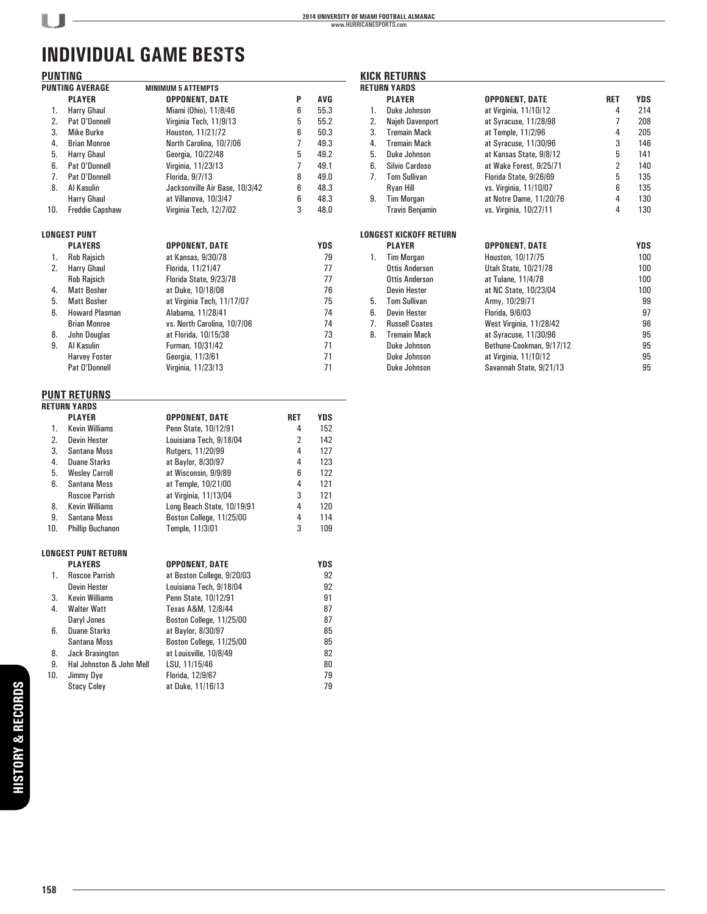**KICK RETURNS**

# **INDIVIDUAL GAME BESTS**

 $U -$ 

| <b>PUNTING</b> |                            |                                |     |            |
|----------------|----------------------------|--------------------------------|-----|------------|
|                | <b>PUNTING AVERAGE</b>     | <b>MINIMUM 5 ATTEMPTS</b>      |     |            |
|                | <b>PLAYER</b>              | <b>OPPONENT, DATE</b>          | P   | AVG        |
| 1.             | Harry Ghaul                | Miami (Ohio), 11/8/46          | 6   | 55.3       |
| 2.             | Pat O'Donnell              | Virginia Tech, 11/9/13         | 5   | 55.2       |
| 3.             | <b>Mike Burke</b>          | Houston, 11/21/72              | 6   | 50.3       |
| 4.             | <b>Brian Monroe</b>        | North Carolina, 10/7/06        | 7   | 49.3       |
| 5.             | Harry Ghaul                | Georgia, 10/22/48              | 5   | 49.2       |
| 6.             | Pat O'Donnell              | Virginia, 11/23/13             | 7   | 49.1       |
| 7.             | Pat O'Donnell              | Florida, 9/7/13                | 8   | 49.0       |
| 8.             | Al Kasulin                 | Jacksonville Air Base, 10/3/42 | 6   | 48.3       |
|                | Harry Ghaul                | at Villanova, 10/3/47          | 6   | 48.3       |
| 10.            | <b>Freddie Capshaw</b>     | Virginia Tech, 12/7/02         | 3   | 48.0       |
|                |                            |                                |     |            |
|                | <b>LONGEST PUNT</b>        |                                |     |            |
|                | <b>PLAYERS</b>             | OPPONENT, DATE                 |     | <b>YDS</b> |
| 1.             | <b>Rob Rajsich</b>         | at Kansas, 9/30/78             |     | 79         |
| 2.             | Harry Ghaul                | Florida, 11/21/47              |     | 77         |
|                | <b>Rob Rajsich</b>         | Florida State, 9/23/78         |     | 77         |
| 4.             | <b>Matt Bosher</b>         | at Duke, 10/18/08              |     | 76         |
| 5.             | <b>Matt Bosher</b>         | at Virginia Tech, 11/17/07     |     | 75         |
| 6.             | <b>Howard Plasman</b>      | Alabama, 11/28/41              |     | 74         |
|                | <b>Brian Monroe</b>        | vs. North Carolina, 10/7/06    |     | 74         |
| 8.             | John Douglas               | at Florida, 10/15/38           |     | 73         |
| 9.             | Al Kasulin                 | Furman, 10/31/42               |     | 71         |
|                | <b>Harvey Foster</b>       | Georgia, 11/3/61               |     | 71         |
|                | Pat O'Donnell              | Virginia, 11/23/13             |     | 71         |
|                | <b>PUNT RETURNS</b>        |                                |     |            |
|                | <b>RETURN YARDS</b>        |                                |     |            |
|                | <b>PLAYER</b>              | <b>OPPONENT, DATE</b>          | RET | <b>YDS</b> |
| 1.             | <b>Kevin Williams</b>      | Penn State, 10/12/91           | 4   | 152        |
| 2.             | <b>Devin Hester</b>        | Louisiana Tech, 9/18/04        | 2   | 142        |
| 3.             | Santana Moss               | Rutgers, 11/20/99              | 4   | 127        |
| 4.             | <b>Duane Starks</b>        | at Baylor, 8/30/97             | 4   | 123        |
| 5.             | <b>Wesley Carroll</b>      | at Wisconsin, 9/9/89           | 6   | 122        |
| 6.             | Santana Moss               | at Temple, 10/21/00            | 4   | 121        |
|                | <b>Roscoe Parrish</b>      | at Virginia, 11/13/04          | 3   | 121        |
| 8.             | <b>Kevin Williams</b>      | Long Beach State, 10/19/91     | 4   | 120        |
| 9.             | Santana Moss               | Boston College, 11/25/00       | 4   | 114        |
| 10.            | <b>Phillip Buchanon</b>    | Temple, 11/3/01                | 3   | 109        |
|                | <b>LONGEST PUNT RETURN</b> |                                |     |            |
|                | <b>PLAYERS</b>             | OPPONENT, DATE                 |     | YDS        |
| 1.             | <b>Roscoe Parrish</b>      | at Boston College, 9/20/03     |     | 92         |
|                | <b>Devin Hester</b>        | Louisiana Tech, 9/18/04        |     | 92         |
| 3.             | Kevin Williams             | Penn State, 10/12/91           |     | 91         |
| 4.             | <b>Walter Watt</b>         | Texas A&M, 12/8/44             |     | 87         |
|                | Daryl Jones                | Boston College, 11/25/00       |     | 87         |
| 6.             | <b>Duane Starks</b>        | at Baylor, 8/30/97             |     | 85         |
|                | Santana Moss               | Boston College, 11/25/00       |     | 85         |
| 8.             | Jack Brasington            | at Louisville, 10/8/49         |     | 82         |
| 9.             | Hal Johnston & John Mell   | LSU, 11/15/46                  |     | 80         |
| 10.            | Jimmy Dye                  | Florida, 12/9/67               |     | 79         |
|                | <b>Stacy Coley</b>         | at Duke, 11/16/13              |     | 79         |

|                  | <b>RETURN YARDS</b>    |                          |                |            |
|------------------|------------------------|--------------------------|----------------|------------|
|                  | <b>PLAYER</b>          | OPPONENT, DATE           | <b>RET</b>     | <b>YDS</b> |
| 1.               | Duke Johnson           | at Virginia, 11/10/12    | 4              | 214        |
| 2.               | Najeh Davenport        | at Syracuse, 11/28/98    | 7              | 208        |
| 3.               | <b>Tremain Mack</b>    | at Temple, 11/2/96       | 4              | 205        |
| 4.               | <b>Tremain Mack</b>    | at Syracuse, 11/30/96    | 3              | 146        |
| 5.               | Duke Johnson           | at Kansas State, 9/8/12  | 5              | 141        |
| 6.               | Silvio Cardoso         | at Wake Forest, 9/25/71  | $\overline{2}$ | 140        |
| $\overline{7}$ . | <b>Tom Sullivan</b>    | Florida State, 9/26/69   | 5              | 135        |
|                  | Ryan Hill              | vs. Virginia, 11/10/07   | 6              | 135        |
| 9.               | <b>Tim Morgan</b>      | at Notre Dame, 11/20/76  | 4              | 130        |
|                  | <b>Travis Benjamin</b> | vs. Virginia, 10/27/11   | 4              | 130        |
|                  |                        |                          |                |            |
|                  | LONGEST KICKOFF RETURN |                          |                |            |
|                  | <b>PLAYER</b>          | <b>OPPONENT, DATE</b>    |                | <b>YDS</b> |
| 1.               | <b>Tim Morgan</b>      | Houston, 10/17/75        |                | 100        |
|                  | <b>Ottis Anderson</b>  | Utah State, 10/21/78     |                | 100        |
|                  | <b>Ottis Anderson</b>  | at Tulane, 11/4/78       |                | 100        |
|                  | <b>Devin Hester</b>    | at NC State, 10/23/04    |                | 100        |
| 5.               | <b>Tom Sullivan</b>    | Army, 10/29/71           |                | 99         |
| 6.               | <b>Devin Hester</b>    | Florida, 9/6/03          |                | 97         |
| 7.               | <b>Russell Coates</b>  | West Virginia, 11/28/42  |                | 96         |
| 8.               | <b>Tremain Mack</b>    | at Syracuse, 11/30/96    |                | 95         |
|                  | Duke Johnson           | Bethune-Cookman, 9/17/12 |                | 95         |
|                  | Duke Johnson           | at Virginia, 11/10/12    |                | 95         |
|                  | Duke Johnson           | Savannah State, 9/21/13  |                | 95         |
|                  |                        |                          |                |            |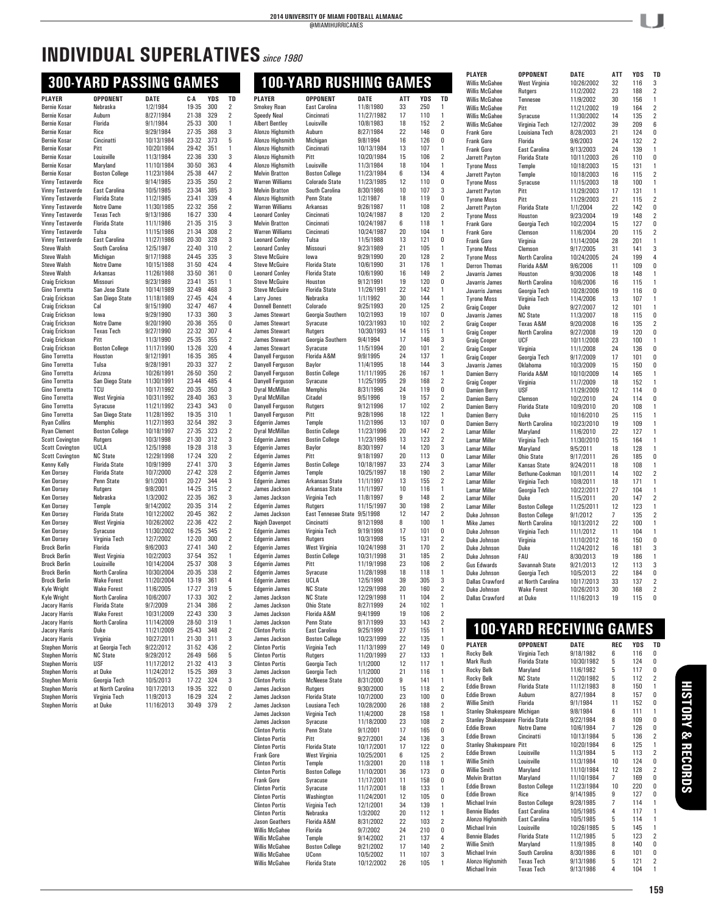# **INDIVIDUAL SUPERLATIVES***since 1980*

## **300-YARD PASSING GAMES**

| <b>PLAYER</b>                              | <b>OPPONENT</b>                             | <b>DATE</b>             | C-A            | YDS        | TD                      | PLAY             |
|--------------------------------------------|---------------------------------------------|-------------------------|----------------|------------|-------------------------|------------------|
| <b>Bernie Kosar</b>                        | Nebraska                                    | 1/2/1984                | 19-35          | 300        | 2                       | <b>Smoke</b>     |
| <b>Bernie Kosar</b>                        | Auburn                                      | 8/27/1984               | 21-38          | 329        | 2                       | Speed            |
| <b>Bernie Kosar</b>                        | Florida                                     | 9/1/1984                | 25-33          | 300        | 1                       | Albert           |
| <b>Bernie Kosar</b><br>Bernie Kosar        | Rice<br>Cincinatti                          | 9/29/1984<br>10/13/1984 | 27-35<br>23-32 | 368<br>373 | 3<br>5                  | Alonzo<br>Alonzo |
| <b>Bernie Kosar</b>                        | Pitt                                        | 10/20/1984              | 29-42          | 351        | 1                       | Alonzo           |
| <b>Bernie Kosar</b>                        | Louisville                                  | 11/3/1984               | 22-36          | 330        | 3                       | Alonzo           |
| <b>Bernie Kosar</b>                        | Maryland                                    | 11/10/1984              | 30-50          | 363        | 4                       | Alonzo           |
| <b>Bernie Kosar</b>                        | <b>Boston College</b>                       | 11/23/1984              | 25-38          | 447        | $\overline{2}$          | Melvir           |
| Vinny Testaverde                           | Rice                                        | 9/14/1985               | 23-35          | 350        | 2                       | Warre            |
| Vinny Testaverde                           | East Carolina                               | 10/5/1985               | 23-34          | 385        | 3                       | Melvir           |
| Vinny Testaverde                           | <b>Florida State</b>                        | 11/2/1985               | 23-41          | 339        | 4                       | Alonzo           |
| Vinny Testaverde                           | <b>Notre Dame</b>                           | 11/30/1985              | 22-32          | 356        | $\overline{2}$          | Warre            |
| Vinny Testaverde                           | <b>Texas Tech</b>                           | 9/13/1986               | 16-27          | 330        | 4                       | Leonar           |
| <b>Vinny Testaverde</b>                    | <b>Florida State</b>                        | 11/1/1986<br>11/15/1986 | 21-35          | 315        | 3<br>$\overline{2}$     | Melvir           |
| Vinny Testaverde<br>Vinny Testaverde       | Tulsa<br>East Carolina                      | 11/27/1986              | 21-34<br>20-30 | 308<br>328 | 3                       | Warre<br>Leonar  |
| <b>Steve Walsh</b>                         | South Carolina                              | 12/5/1987               | 22-40          | 310        | $\overline{2}$          | Leonar           |
| <b>Steve Walsh</b>                         | Michigan                                    | 9/17/1988               | 24-45          | 335        | 3                       | Steve            |
| <b>Steve Walsh</b>                         | <b>Notre Dame</b>                           | 10/15/1988              | 31-50          | 424        | 4                       | Steve            |
| <b>Steve Walsh</b>                         | Arkansas                                    | 11/26/1988              | 33-50          | 361        | 0                       | Leonar           |
| Craig Erickson                             | Missouri                                    | 9/23/1989               | 23-41          | 351        | 1                       | Steve            |
| Gino Torretta                              | San Jose State                              | 10/14/1989              | 32-49          | 468        | 3                       | Steve            |
| Craig Erickson                             | San Diego State                             | 11/18/1989              | 27-45          | 424        | 4                       | Larry.           |
| Craig Erickson                             | Cal                                         | 9/15/1990               | 32-47          | 467        | 4                       | Donne            |
| Craig Erickson                             | lowa                                        | 9/29/1990               | 17-33          | 360        | 3                       | James            |
| Craig Erickson                             | <b>Notre Dame</b>                           | 9/20/1990               | 20-36          | 355        | 0                       | James            |
| Craig Erickson                             | <b>Texas Tech</b>                           | 9/27/1990               | 22-32          | 307        | 4                       | James            |
| Craig Erickson                             | Pitt                                        | 11/3/1990               | 25-35          | 355        | $\overline{2}$          | James            |
| Craig Erickson<br>Gino Torretta            | <b>Boston College</b><br>Houston            | 11/17/1990<br>9/12/1991 | 13-26          | 320        | 4<br>4                  | James<br>Danve   |
| Gino Torretta                              | Tulsa                                       | 9/28/1991               | 16-35<br>20-33 | 365<br>327 | 2                       | Danye            |
| Gino Torretta                              | Arizona                                     | 10/26/1991              | 26-50          | 350        | $\overline{2}$          | Danye            |
| Gino Torretta                              | San Diego State                             | 11/30/1991              | 23-44          | 485        | 4                       | Danye            |
| Gino Torretta                              | TCU                                         | 10/17/1992              | 20-35          | 350        | 3                       | Dyral I          |
| Gino Torretta                              | West Virginia                               | 10/31/1992              | 28-40          | 363        | 3                       | Dyral            |
| Gino Torretta                              | Syracuse                                    | 11/21/1992              | 23-43          | 343        | 0                       | Danye            |
| Gino Torretta                              | San Diego State                             | 11/28/1992              | 19-35          | 310        | 1                       | Danye            |
| <b>Ryan Collins</b>                        | <b>Memphis</b>                              | 11/27/1993              | 32-54          | 392        | 3                       | Edgerr           |
| <b>Ryan Clement</b>                        | <b>Boston College</b>                       | 10/18/1997              | 27-35          | 323        | $\overline{2}$          | Dyral I          |
| <b>Scott Covington</b>                     | Rutgers                                     | 10/3/1998               | 21-30          | 312        | 3                       | Edgerr           |
| <b>Scott Covington</b>                     | UCLA                                        | 12/5/1998               | 19-28          | 318        | 3                       | Edgerr           |
| <b>Scott Covington</b>                     | <b>NC State</b>                             | 12/29/1998              | 17-24          | 320        | 2                       | Edgerr           |
| Kenny Kelly                                | <b>Florida State</b>                        | 10/9/1999               | 27-41          | 370        | 3                       | Edgerr           |
| <b>Ken Dorsey</b><br><b>Ken Dorsey</b>     | <b>Florida State</b><br>Penn State          | 10/7/2000<br>9/1/2001   | 27-42<br>20-27 | 328<br>344 | $\overline{2}$<br>3     | Edgerr           |
| Ken Dorsey                                 | Rutgers                                     | 9/8/2001                | 14-25          | 315        | 2                       | Edgerr<br>James  |
| Ken Dorsey                                 | Nebraska                                    | 1/3/2002                | 22-35          | 362        | 3                       | James            |
| <b>Ken Dorsey</b>                          | Temple                                      | 9/14/2002               | 20-35          | 314        | $\overline{2}$          | Edgerr           |
| <b>Ken Dorsey</b>                          | <b>Florida State</b>                        | 10/12/2002              | 20-45          | 362        | $\overline{2}$          | James            |
| <b>Ken Dorsey</b>                          | West Virginia                               | 10/26/2002              | 22-36          | 422        | $\overline{2}$          | Najeh            |
| Ken Dorsey                                 | Syracuse                                    | 11/30/2002              | 16-25          | 345        | 2                       | Edgerr           |
| Ken Dorsey                                 | Virginia Tech                               | 12/7/2002               | 12-20          | 300        | 2                       | Edgerr           |
| <b>Brock Berlin</b>                        | Florida                                     | 9/6/2003                | 27-41          | 340        | $\overline{2}$          | Edgerr           |
| <b>Brock Berlin</b>                        | West Virginia                               | 10/2/2003               | 37-54          | 352        | 1                       | Edgerr           |
| <b>Brock Berlin</b>                        | Louisville                                  | 10/14/2004              | 25-37          | 308        | 3                       | Edgerr           |
| <b>Brock Berlin</b>                        | North Carolina                              | 10/30/2004              | 20-35          | 338        | 2                       | Edgerr           |
| <b>Brock Berlin</b>                        | <b>Wake Forest</b>                          | 11/20/2004              | 13-19          | 361        | 4                       | Edgerr           |
| <b>Kyle Wright</b>                         | <b>Wake Forest</b><br><b>North Carolina</b> | 11/6/2005<br>10/6/2007  | 17-27<br>17-33 | 319<br>302 | 5<br>2                  | Edgerr<br>James  |
| <b>Kyle Wright</b><br><b>Jacory Harris</b> | <b>Florida State</b>                        | 9/7/2009                | 21-34          | 386        | $\overline{2}$          | James            |
| Jacory Harris                              | Wake Forest                                 | 10/31/2009              | 22-43          | 330        | 3                       | James            |
| Jacory Harris                              | North Carolina                              | 11/14/2009              | 28-50          | 319        | 1                       | James            |
| <b>Jacory Harris</b>                       | Duke                                        | 11/21/2009              | 25-43          | 348        | 2                       | Clintor          |
| <b>Jacory Harris</b>                       | Virginia                                    | 10/27/2011              | 21-30          | 311        | 3                       | James            |
| <b>Stephen Morris</b>                      | at Georgia Tech                             | 9/22/2012               | 31-52          | 436        | $\overline{\mathbf{2}}$ | Clintor          |
| <b>Stephen Morris</b>                      | <b>NC State</b>                             | 9/29/2012               | 26-49          | 566        | 5                       | Clintor          |
| <b>Stephen Morris</b>                      | USF                                         | 11/17/2012              | 21-32          | 413        | 3                       | Clintor          |
| <b>Stephen Morris</b>                      | at Duke                                     | 11/24/2012              | 15-25          | 369        | 3                       | James            |
| <b>Stephen Morris</b>                      | Georgia Tech                                | 10/5/2013               | 17-22          | 324        | 3                       | Clintor          |
| <b>Stephen Morris</b>                      | at North Carolina                           | 10/17/2013              | 19-35          | 322        | 0                       | James            |
| <b>Stephen Morris</b>                      | Virginia Tech                               | 11/9/2013               | 16-29          | 324        | 2                       | James            |
| <b>Stephen Morris</b>                      | at Duke                                     | 11/16/2013              | 30-49          | 379        | 2                       | James            |

|                                                 | <b>100-YARD RUSHING GAMES</b>                  |                          |          |            |                                  |
|-------------------------------------------------|------------------------------------------------|--------------------------|----------|------------|----------------------------------|
| <b>PLAYER</b>                                   | <b>OPPONENT</b>                                | DATE                     | ATT      | <b>YDS</b> | TD                               |
| Smokey Roan                                     | East Carolina                                  | 11/8/1980                | 33       | 250        | 1                                |
| <b>Speedy Neal</b><br><b>Albert Bentley</b>     | Cincinnati<br>Louisville                       | 11/27/1982<br>10/8/1983  | 17<br>18 | 110<br>152 | 1<br>2                           |
| Alonzo Highsmith                                | Auburn                                         | 8/27/1984                | 22       | 146        | 0                                |
| Alonzo Highsmith                                | Michigan                                       | 9/8/1994                 | 16       | 126        | 0                                |
| Alonzo Highsmith<br>Alonzo Highsmith            | Cincinnati<br>Pitt                             | 10/13/1984<br>10/20/1984 | 13<br>15 | 107<br>106 | 1<br>2                           |
| Alonzo Highsmith                                | Louisville                                     | 11/3/1984                | 18       | 104        | 1                                |
| <b>Melvin Bratton</b>                           | <b>Boston College</b>                          | 11/23/1984               | 6        | 134        | 4                                |
| <b>Warren Williams</b><br><b>Melvin Bratton</b> | <b>Colorado State</b><br>South Carolina        | 11/23/1985<br>8/30/1986  | 12<br>10 | 110<br>107 | 0<br>3                           |
| Alonzo Highsmith                                | Penn State                                     | 1/2/1987                 | 18       | 119        | 0                                |
| <b>Warren Williams</b><br><b>Leonard Conley</b> | Arkansas<br>Cincinnati                         | 9/26/1987<br>10/24/1987  | 11<br>8  | 108<br>120 | $\overline{2}$<br>2              |
| <b>Melvin Bratton</b>                           | Cincinnati                                     | 10/24/1987               | 6        | 118        | 1                                |
| <b>Warren Williams</b>                          | Cincinnati                                     | 10/24/1987               | 20       | 104        | 1                                |
| <b>Leonard Conley</b><br><b>Leonard Conley</b>  | Tulsa<br>Missouri                              | 11/5/1988<br>9/23/1989   | 13<br>21 | 121<br>105 | 0<br>1                           |
| <b>Steve McGuire</b>                            | lowa                                           | 9/29/1990                | 20       | 128        | 2                                |
| <b>Steve McGuire</b>                            | <b>Florida State</b>                           | 10/6/1990                | 31       | 176        | 1                                |
| <b>Leonard Conley</b><br><b>Steve McGuire</b>   | <b>Florida State</b><br>Houston                | 10/6/1990<br>9/12/1991   | 16<br>19 | 149<br>120 | $\overline{2}$<br>0              |
| <b>Steve McGuire</b>                            | <b>Florida State</b>                           | 11/26/1991               | 22       | 142        | 1                                |
| Larry Jones                                     | Nebraska<br>Colorado                           | 1/1/1992                 | 30<br>20 | 144<br>125 | 1<br>$\overline{2}$              |
| <b>Donnell Bennett</b><br><b>James Stewart</b>  | Georgia Southern                               | 9/25/1993<br>10/2/1993   | 19       | 107        | 0                                |
| <b>James Stewart</b>                            | Syracuse                                       | 10/23/1993               | 10       | 102        | 2                                |
| James Stewart<br>James Stewart                  | <b>Rutgers</b><br>Georgia Southern             | 10/30/1993<br>9/4/1994   | 14<br>17 | 115<br>146 | 1<br>3                           |
| James Stewart                                   | Syracuse                                       | 11/5/1994                | 20       | 101        | 2                                |
| <b>Danvell Ferguson</b>                         | Florida A&M                                    | 9/9/1995                 | 24       | 137        | 1                                |
| Danyell Ferguson<br>Danyell Ferguson            | <b>Baylor</b><br><b>Bostin College</b>         | 11/4/1995<br>11/11/1995  | 18<br>26 | 144<br>167 | 3<br>1                           |
| Danyell Ferguson                                | Syracuse                                       | 11/25/1995               | 29       | 168        | 2                                |
| <b>Dyral McMillan</b>                           | Memphis                                        | 8/31/1996                | 24       | 119        | 0                                |
| <b>Dyral McMillan</b><br>Danyell Ferguson       | Citadel<br>Rutgers                             | 9/5/1996<br>9/12/1996    | 19<br>17 | 157<br>102 | $\overline{2}$<br>$\overline{c}$ |
| Danyell Ferguson                                | Pitt                                           | 9/28/1996                | 18       | 122        | 1                                |
| <b>Edgerrin James</b><br>Dyral McMillan         | Temple                                         | 11/2/1996<br>11/23/1996  | 13<br>20 | 107<br>147 | 0<br>$\overline{2}$              |
| <b>Edgerrin James</b>                           | <b>Bostin College</b><br><b>Bostin College</b> | 11/23/1996               | 13       | 123        | $\overline{2}$                   |
| <b>Edgerrin James</b>                           | Baylor                                         | 8/30/1997                | 14       | 120        | 3                                |
| <b>Edgerrin James</b><br><b>Edgerrin James</b>  | Pitt<br><b>Bostin College</b>                  | 9/18/1997<br>10/18/1997  | 20<br>33 | 113<br>274 | 0<br>3                           |
| <b>Edgerrin James</b>                           | Temple                                         | 10/25/1997               | 18       | 190        | 2                                |
| <b>Edgerrin James</b>                           | Arkansas State                                 | 11/1/1997                | 13       | 155        | $\overline{2}$                   |
| James Jackson<br>James Jackson                  | Arkansas State<br>Virginia Tech                | 11/1/1997<br>11/8/1997   | 10<br>9  | 116<br>148 | 1<br>2                           |
| <b>Edgerrin James</b>                           | <b>Rutgers</b>                                 | 11/15/1997               | 30       | 198        | 2                                |
| James Jackson<br><b>Najeh Davenpot</b>          | East Tennesee State 9/5/1998<br>Cincinatti     | 9/12/1998                | 12<br>8  | 147<br>100 | $\overline{2}$<br>1              |
| <b>Edgerrin James</b>                           | Virginia Tech                                  | 9/19/1998                | 17       | 101        | 0                                |
| <b>Edgerrin James</b>                           | <b>Rutgers</b>                                 | 10/3/1998                | 15       | 131        | 2                                |
| <b>Edgerrin James</b><br><b>Edgerrin James</b>  | West Virginia<br><b>Bostin College</b>         | 10/24/1998<br>10/31/1998 | 31<br>31 | 170<br>185 | 2<br>$\overline{2}$              |
| <b>Edgerrin James</b>                           | Pitt                                           | 11/19/1998               | 23       | 106        | 2                                |
| <b>Edgerrin James</b>                           | Syracuse                                       | 11/28/1998<br>12/5/1998  | 18<br>39 | 118<br>305 | 1<br>3                           |
| <b>Edgerrin James</b><br><b>Edgerrin James</b>  | UCLA<br><b>NC State</b>                        | 12/29/1998               | 20       | 160        | 2                                |
| James Jackson                                   | <b>NC State</b>                                | 12/29/1998               | 11       | 104        | 2                                |
| James Jackson<br>James Jackson                  | <b>Ohio State</b><br>Florida A&M               | 8/27/1999<br>9/4/1999    | 24<br>19 | 102<br>106 | 1<br>2                           |
| James Jackson                                   | Penn State                                     | 9/17/1999                | 33       | 143        | 2                                |
| <b>Clinton Portis</b>                           | East Carolina                                  | 9/25/1999                | 27       | 155        | 1                                |
| James Jackson<br><b>Clinton Portis</b>          | <b>Boston College</b><br>Virginia Tech         | 10/23/1999<br>11/13/1999 | 22<br>27 | 135<br>149 | 1<br>0                           |
| <b>Clinton Portis</b>                           | <b>Rutgers</b>                                 | 11/20/1999               | 27       | 133        | 1                                |
| <b>Clinton Portis</b>                           | Georgia Tech                                   | 1/1/2000                 | 12       | 117        | 1                                |
| James Jackson<br><b>Clinton Portis</b>          | Georgia Tech<br><b>McNeese State</b>           | 1/1/2000<br>8/31/2000    | 21<br>9  | 116<br>141 | 1<br>1                           |
| James Jackson                                   | <b>Rutgers</b>                                 | 9/30/2000                | 15       | 118        | 2                                |
| James Jackson<br>James Jackson                  | <b>Florida State</b><br>Lousiana Tech          | 10/7/2000<br>10/28/2000  | 23<br>26 | 100<br>188 | 0<br>2                           |
| James Jackson                                   | Virginia Tech                                  | 11/4/2000                | 28       | 158        | 1                                |
| James Jackson                                   | Syracuse                                       | 11/18/2000               | 23       | 108        | 2                                |
| <b>Clinton Portis</b><br><b>Clinton Portis</b>  | Penn State<br>Pitt                             | 9/1/2001<br>9/27/2001    | 17<br>24 | 165<br>136 | 0<br>3                           |
| <b>Clinton Portis</b>                           | <b>Florida State</b>                           | 10/17/2001               | 17       | 122        | 0                                |
| <b>Frank Gore</b>                               | West Virginia                                  | 10/25/2001               | 6        | 125        | 2                                |
| <b>Clinton Portis</b><br><b>Clinton Portis</b>  | Temple<br><b>Boston College</b>                | 11/3/2001<br>11/10/2001  | 20<br>36 | 118<br>173 | 1<br>0                           |
| <b>Frank Gore</b>                               | Syracuse                                       | 11/17/2001               | 11       | 158        | 0                                |
| <b>Clinton Portis</b><br><b>Clinton Portis</b>  | Syracuse                                       | 11/17/2001               | 18       | 133        | 1<br>0                           |
| <b>Clinton Portis</b>                           | Washington<br>Virginia Tech                    | 11/24/2001<br>12/1/2001  | 12<br>34 | 105<br>139 | 1                                |
| <b>Clinton Portis</b>                           | Nebraska                                       | 1/3/2002                 | 20       | 112        | 1                                |
| Jason Geathers<br><b>Willis McGahee</b>         | Florida A&M<br>Florida                         | 8/31/2002<br>9/7/2002    | 22<br>24 | 103<br>210 | 2<br>0                           |
| <b>Willis McGahee</b>                           | Temple                                         | 9/14/2002                | 21       | 137        | 4                                |
| <b>Willis McGahee</b>                           | <b>Boston College</b>                          | 9/21/2002                | 17       | 140        | 2                                |
| <b>Willis McGahee</b><br><b>Willis McGahee</b>  | UConn<br><b>Florida State</b>                  | 10/5/2002<br>10/12/2002  | 11<br>26 | 107<br>105 | 3<br>1                           |
|                                                 |                                                |                          |          |            |                                  |

| <b>PLAYER</b>                              | <b>OPPONENT</b>                   | <b>DATE</b>             | ATT        | <b>YDS</b> | TD                  |
|--------------------------------------------|-----------------------------------|-------------------------|------------|------------|---------------------|
| <b>Willis McGahee</b>                      | West Virginia                     | 10/26/2002              | 32         | 116        | 3                   |
| <b>Willis McGahee</b>                      | <b>Rutgers</b>                    | 11/2/2002               | 23         | 188        | 2                   |
| <b>Willis McGahee</b>                      | Tennesee                          | 11/9/2002               | 30         | 156        | 1                   |
| Willis McGahee                             | Pitt                              | 11/21/2002              | 19         | 164        | $\overline{2}$      |
| Willis McGahee<br><b>Willis McGahee</b>    | Syracuse                          | 11/30/2002<br>12/7/2002 | 14<br>39   | 135<br>209 | 2<br>6              |
| <b>Frank Gore</b>                          | Virginia Tech<br>Louisiana Tech   | 8/28/2003               | 21         | 124        | 0                   |
| <b>Frank Gore</b>                          | Florida                           | 9/6/2003                | 24         | 132        | $\overline{2}$      |
| <b>Frank Gore</b>                          | East Carolina                     | 9/13/2003               | 24         | 139        | 1                   |
| Jarrett Payton                             | <b>Florida State</b>              | 10/11/2003              | 26         | 110        | O                   |
| <b>Tyrone Moss</b>                         | Temple                            | 10/18/2003              | 15         | 131        | 1                   |
| Jarrett Payton                             | Temple                            | 10/18/2003              | 16         | 115        | $\overline{2}$      |
| <b>Tyrone Moss</b>                         | Syracuse                          | 11/15/2003              | 18         | 100        | 1                   |
| Jarrett Payton                             | Pitt                              | 11/29/2003              | 17         | 131        | 1                   |
| <b>Tyrone Moss</b>                         | Pitt                              | 11/29/2003              | 21         | 115        | 2                   |
| Jarrett Payton                             | <b>Florida State</b>              | 1/1/2004                | 22         | 142        | 0                   |
| <b>Tyrone Moss</b>                         | Houston                           | 9/23/2004               | 19<br>15   | 148<br>127 | $\overline{2}$<br>Ō |
| <b>Frank Gore</b><br><b>Frank Gore</b>     | Georgia Tech<br>Clemson           | 10/2/2004<br>11/6/2004  | 20         | 115        | $\overline{2}$      |
| <b>Frank Gore</b>                          | Virginia                          | 11/14/2004              | 28         | 201        | 1                   |
| <b>Tyrone Moss</b>                         | Clemson                           | 9/17/2005               | 31         | 141        | 3                   |
| <b>Tyrone Moss</b>                         | <b>North Carolina</b>             | 10/24/2005              | 24         | 199        | 4                   |
| <b>Derron Thomas</b>                       | Florida A&M                       | 9/6/2006                | 11         | 109        | 0                   |
| Javarris James                             | Houston                           | 9/30/2006               | 18         | 148        | 1                   |
| Javarris James                             | <b>North Carolina</b>             | 10/6/2006               | 16         | 115        | 1                   |
| Javarris James                             | Georgia Tech                      | 10/28/2006              | 19         | 116        | 0                   |
| <b>Tyrone Moss</b>                         | Virginia Tech                     | 11/4/2006               | 13         | 107        | 1                   |
| <b>Graig Cooper</b>                        | Duke<br><b>NC State</b>           | 9/27/2007               | 12<br>18   | 101<br>115 | 1<br>Ō              |
| Javarris James<br><b>Graig Cooper</b>      | Texas A&M                         | 11/3/2007<br>9/20/2008  | 16         | 135        | 2                   |
| <b>Graig Cooper</b>                        | North Carolina                    | 9/27/2008               | 19         | 120        | 0                   |
| <b>Graig Cooper</b>                        | UCF                               | 10/11/2008              | 23         | 100        | 1                   |
| <b>Graig Cooper</b>                        | Virginia                          | 11/1/2008               | 24         | 136        | 0                   |
| <b>Graig Cooper</b>                        | Georgia Tech                      | 9/17/2009               | 17         | 101        | 0                   |
| Javarris James                             | Oklahoma                          | 10/3/2009               | 15         | 150        | 0                   |
| <b>Damien Berry</b>                        | Florida A&M                       | 10/10/2009              | 14         | 165        | 1                   |
| <b>Graig Cooper</b>                        | Virginia                          | 11/7/2009               | 18         | 152        | 1                   |
| <b>Damien Berry</b>                        | <b>USF</b>                        | 11/29/2009              | 12         | 114<br>114 | 0                   |
| <b>Damien Berry</b><br><b>Damien Berry</b> | Clemson<br><b>Florida State</b>   | 10/2/2010<br>10/9/2010  | 24<br>20   | 108        | 0<br>1              |
| <b>Damien Berry</b>                        | Duke                              | 10/16/2010              | 25         | 115        | 1                   |
| <b>Damien Berry</b>                        | North Carolina                    | 10/23/2010              | 19         | 109        | 1                   |
| <b>Lamar Miller</b>                        | Maryland                          | 11/6/2010               | 22         | 127        | 1                   |
| <b>Lamar Miller</b>                        | Virginia Tech                     | 11/30/2010              | 15         | 164        | 1                   |
| Lamar Miller                               | Maryland                          | 9/5/2011                | 18         | 128        | 1                   |
| <b>Lamar Miller</b>                        | <b>Ohio State</b>                 | 9/17/2011               | 26         | 185        | 0                   |
| <b>Lamar Miller</b>                        | <b>Kansas State</b>               | 9/24/2011               | 18         | 108        | 1                   |
| <b>Lamar Miller</b>                        | Bethune-Cookman                   | 10/1/2011               | 14         | 102        | $\overline{2}$      |
| <b>Lamar Miller</b><br><b>Lamar Miller</b> | Virginia Tech<br>Georgia Tech     | 10/8/2011<br>10/22/2011 | 18<br>27   | 171<br>104 | 1<br>1              |
| <b>Lamar Miller</b>                        | Duke                              | 11/5/2011               | 20         | 147        | $\overline{2}$      |
| <b>Lamar Miller</b>                        | <b>Boston College</b>             | 11/25/2011              | 12         | 123        | 1                   |
| Duke Johnson                               | <b>Boston College</b>             | 9/1/2012                | 7          | 135        | $\overline{2}$      |
| <b>Mike James</b>                          | North Carolina                    | 10/13/2012              | 22         | 100        | 1                   |
| Duke Johnson                               | Virginia Tech                     | 11/1/2012               | 11         | 104        | 1                   |
| Duke Johnson                               | Virginia                          | 11/10/2012              | 16         | 150        | 0                   |
| Duke Johnson                               | Duke                              | 11/24/2012              | 16         | 181        | 3                   |
| <b>Duke Johnson</b>                        | FAU                               | 8/30/2013               | 19         | 186        | 1                   |
| Gus Edwards                                | Savannah State                    | 9/21/2013               | 12         | 113        | 3                   |
| Duke Johnson<br><b>Dallas Crawford</b>     | Georgia Tech<br>at North Carolina | 10/5/2013<br>10/17/2013 | 22<br>33   | 184<br>137 | 0<br>2              |
| Duke Johnson                               | <b>Wake Forest</b>                | 10/26/2013              | 30         | 168        | $\overline{2}$      |
| <b>Dallas Crawford</b>                     | at Duke                           | 11/16/2013              | 19         | 115        | 0                   |
|                                            |                                   |                         |            |            |                     |
|                                            | <b>100-YARD RECEIVING GAMES</b>   |                         |            |            |                     |
| <b>PLAYER</b>                              | <b>OPPONENT</b>                   | <b>DATE</b>             | <b>REC</b> | <b>YDS</b> | <b>TD</b>           |
|                                            |                                   |                         |            |            |                     |

| <b>PLAYER</b>                            | <b>OPPONENT</b>       | DATE       | REC            | YDS | Т              |
|------------------------------------------|-----------------------|------------|----------------|-----|----------------|
| <b>Rocky Belk</b>                        | Virginia Tech         | 9/18/1982  | 6              | 116 | 0              |
| Mark Rush                                | <b>Florida State</b>  | 10/30/1982 | 5              | 124 | 0              |
| Rocky Belk                               | Maryland              | 11/6/1982  | 5              | 117 | 0              |
| Rocky Belk                               | <b>NC State</b>       | 11/20/1982 | 5              | 112 | $\overline{2}$ |
| <b>Eddie Brown</b>                       | <b>Florida State</b>  | 11/12/1983 | 8              | 150 | $\mathbf{1}$   |
| <b>Eddie Brown</b>                       | Auburn                | 8/27/1984  | 8              | 157 | 0              |
| <b>Willie Smith</b>                      | Florida               | 9/1/1984   | 11             | 152 | 0              |
| Stanley Shakespeare Michigan             |                       | 9/8/1984   | 6              | 111 | $\mathbf{1}$   |
| <b>Stanley Shakespeare Florida State</b> |                       | 9/22/1984  | 8              | 109 | 0              |
| <b>Eddie Brown</b>                       | Notre Dame            | 10/6/1984  | 7              | 126 | 0              |
| <b>Eddie Brown</b>                       | Cincinatti            | 10/13/1984 | 5              | 136 | $\overline{2}$ |
| <b>Stanley Shakespeare Pitt</b>          |                       | 10/20/1984 | 6              | 125 | 1              |
| <b>Eddie Brown</b>                       | Louisville            | 11/3/1984  | 5              | 113 | $\overline{2}$ |
| <b>Willie Smith</b>                      | Louisville            | 11/3/1984  | 10             | 124 | 0              |
| <b>Willie Smith</b>                      | Maryland              | 11/10/1984 | 12             | 128 | $\overline{2}$ |
| <b>Melvin Bratton</b>                    | Maryland              | 11/10/1984 | $\overline{7}$ | 169 | 0              |
| <b>Eddie Brown</b>                       | <b>Boston College</b> | 11/23/1984 | 10             | 220 | 0              |
| <b>Eddie Brown</b>                       | <b>Rice</b>           | 9/14/1985  | 9              | 127 | 0              |
| Michael Irvin                            | <b>Boston College</b> | 9/28/1985  | $\overline{7}$ | 114 | 1              |
| <b>Bennie Blades</b>                     | <b>East Carolina</b>  | 10/5/1985  | 4              | 117 | $\mathbf{1}$   |
| Alonzo Highsmith                         | East Carolina         | 10/5/1985  | 5              | 114 | 1              |
| Michael Irvin                            | Louisville            | 10/26/1985 | 5              | 145 | 1              |
| <b>Bennie Blades</b>                     | <b>Florida State</b>  | 11/2/1985  | 5              | 123 | $\overline{2}$ |
| <b>Willie Smith</b>                      | Maryland              | 11/9/1985  | 8              | 140 | 0              |
| Michael Irvin                            | South Carolina        | 8/30/1986  | 6              | 101 | 0              |
| Alonzo Highsmith                         | <b>Texas Tech</b>     | 9/13/1986  | 5              | 121 | $\overline{2}$ |
| Michael Irvin                            | <b>Texas Tech</b>     | 9/13/1986  | 4              | 104 | 1              |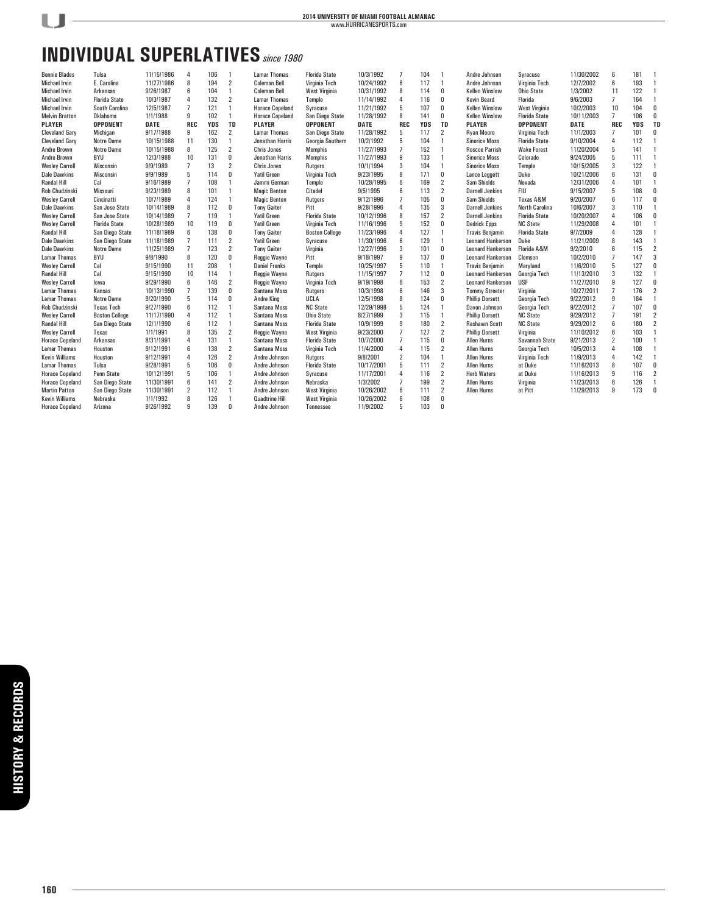# **INDIVIDUAL SUPERLATIVES***since 1980*

| <b>Bennie Blades</b>   | Tulsa                 | 11/15/1986  | 4              | 106        |                | <b>Lamar Thomas</b>    | <b>Florida State</b>  | 10/3/1992   |                | 104        |                | Andre Johnson            | Svracuse              | 11/30/2002 | 6              | 181        |                |
|------------------------|-----------------------|-------------|----------------|------------|----------------|------------------------|-----------------------|-------------|----------------|------------|----------------|--------------------------|-----------------------|------------|----------------|------------|----------------|
| <b>Michael Irvin</b>   | E. Carolina           | 11/27/1986  | 8              | 194        | 2              | <b>Coleman Bell</b>    | Virginia Tech         | 10/24/1992  | 6              | 117        | $\overline{1}$ | Andre Johnson            | Virginia Tech         | 12/7/2002  | 6              | 193        | 1              |
| <b>Michael Irvin</b>   | Arkansas              | 9/26/1987   | 6              | 104        | $\mathbf{1}$   | <b>Coleman Bell</b>    | West Virginia         | 10/31/1992  | 8              | 114        | 0              | <b>Kellen Winslow</b>    | <b>Ohio State</b>     | 1/3/2002   | 11             | 122        | $\mathbf{1}$   |
| <b>Michael Irvin</b>   | <b>Florida State</b>  | 10/3/1987   | $\overline{4}$ | 132        | $\overline{2}$ | <b>Lamar Thomas</b>    | Temple                | 11/14/1992  | 4              | 116        | 0              | <b>Kevin Beard</b>       | Florida               | 9/6/2003   | $\overline{7}$ | 164        | 1              |
| <b>Michael Irvin</b>   | South Carolina        | 12/5/1987   | $\overline{7}$ | 121        | 1              | <b>Horace Copeland</b> | Syracuse              | 11/21/1992  | 5              | 107        | 0              | <b>Kellen Winslow</b>    | <b>West Virginia</b>  | 10/2/2003  | 10             | 104        | 0              |
| <b>Melvin Bratton</b>  | Oklahoma              | 1/1/1988    | 9              | 102        | 1              | <b>Horace Copeland</b> | San Diego State       | 11/28/1992  | 8              | 141        | 0              | <b>Kellen Winslow</b>    | <b>Florida State</b>  | 10/11/2003 | $\overline{7}$ | 106        | 0              |
| <b>PLAYER</b>          | <b>OPPONENT</b>       | <b>DATE</b> | <b>REC</b>     | <b>YDS</b> | <b>TD</b>      | <b>PLAYER</b>          | <b>OPPONENT</b>       | <b>DATE</b> | <b>REC</b>     | <b>YDS</b> | <b>TD</b>      | <b>PLAYER</b>            | <b>OPPONENT</b>       | DATE       | <b>REC</b>     | <b>YDS</b> | <b>TD</b>      |
| <b>Cleveland Gary</b>  | Michigan              | 9/17/1988   | 9              | 162        | $\overline{2}$ | <b>Lamar Thomas</b>    | San Diego State       | 11/28/1992  | 5              | 117        | 2              | <b>Ryan Moore</b>        | Virginia Tech         | 11/1/2003  | 7              | 101        | 0              |
| <b>Cleveland Gary</b>  | <b>Notre Dame</b>     | 10/15/1988  | 11             | 130        | 1              | Jonathan Harris        | Georgia Southern      | 10/2/1992   | 5              | 104        | $\overline{1}$ | <b>Sinorice Moss</b>     | <b>Florida State</b>  | 9/10/2004  | 4              | 112        | $\mathbf{1}$   |
| <b>Andre Brown</b>     | <b>Notre Dame</b>     | 10/15/1988  | 8              | 125        | 2              | <b>Chris Jones</b>     | <b>Memphis</b>        | 11/27/1993  | 7              | 152        | $\overline{1}$ | <b>Roscoe Parrish</b>    | <b>Wake Forest</b>    | 11/20/2004 | 5              | 141        | 1              |
| Andre Brown            | <b>BYU</b>            | 12/3/1988   | 10             | 131        | $\bf{0}$       | Jonathan Harris        | <b>Memphis</b>        | 11/27/1993  | 9              | 133        | $\mathbf{1}$   | <b>Sinorice Moss</b>     | Colorado              | 9/24/2005  | 5              | 111        |                |
| <b>Wesley Carroll</b>  | Wisconsin             | 9/9/1989    | $\overline{7}$ | 13         | $\overline{2}$ | <b>Chris Jones</b>     | Rutgers               | 10/1/1994   | 3              | 104        | $\overline{1}$ | <b>Sinorice Moss</b>     | Temple                | 10/15/2005 | 3              | 122        |                |
| <b>Dale Dawkins</b>    | Wisconsin             | 9/9/1989    | 5              | 114        | 0              | <b>Yatil Green</b>     | Virginia Tech         | 9/23/1995   | 8              | 171        | 0              | Lance Leggett            | Duke                  | 10/21/2006 | 6              | 131        | 0              |
| <b>Randal Hill</b>     | Cal                   | 9/16/1989   | $\overline{7}$ | 108        |                | Jammi German           | Temple                | 10/28/1995  | 6              | 169        | 2              | Sam Shields              | Nevada                | 12/31/2006 | 4              | 101        |                |
| <b>Rob Chudzinski</b>  | <b>Missouri</b>       | 9/23/1989   | 8              | 101        | 1              | <b>Magic Benton</b>    | Citadel               | 9/5/1995    | 6              | 113        | 2              | <b>Darnell Jenkins</b>   | <b>FIU</b>            | 9/15/2007  | 5              | 108        | 0              |
| <b>Wesley Carroll</b>  | Cincinatti            | 10/7/1989   | $\overline{4}$ | 124        |                | <b>Magic Benton</b>    | Rutgers               | 9/12/1996   | $\overline{7}$ | 105        | 0              | Sam Shields              | Texas A&M             | 9/20/2007  | 6              | 117        | 0              |
| <b>Dale Dawkins</b>    | San Jose State        | 10/14/1989  | 8              | 112        | $\mathbf{0}$   | <b>Tony Gaiter</b>     | Pitt                  | 9/28/1996   | 4              | 135        | 3              | <b>Darnell Jenkins</b>   | <b>North Carolina</b> | 10/6/2007  | 3              | 110        | $\mathbf{1}$   |
| <b>Wesley Carroll</b>  | San Jose State        | 10/14/1989  | $\overline{7}$ | 119        |                | <b>Yatil Green</b>     | <b>Florida State</b>  | 10/12/1996  | 8              | 157        | $\overline{2}$ | <b>Darnell Jenkins</b>   | <b>Florida State</b>  | 10/20/2007 | 4              | 106        | 0              |
| <b>Wesley Carroll</b>  | <b>Florida State</b>  | 10/28/1989  | 10             | 119        | 0              | <b>Yatil Green</b>     | Virginia Tech         | 11/16/1996  | 9              | 152        | 0              | <b>Dedrick Epps</b>      | <b>NC State</b>       | 11/29/2008 | 4              | 101        |                |
| <b>Randal Hill</b>     | San Diego State       | 11/18/1989  | 6              | 138        | $\mathbf 0$    | <b>Tony Gaiter</b>     | <b>Boston College</b> | 11/23/1996  | 4              | 127        | $\overline{1}$ | <b>Travis Benjamin</b>   | <b>Florida State</b>  | 9/7/2009   | 4              | 128        | 1              |
| <b>Dale Dawkins</b>    | San Diego State       | 11/18/1989  | $\overline{7}$ | 111        | $\overline{2}$ | <b>Yatil Green</b>     | Syracuse              | 11/30/1996  | 6              | 129        | $\mathbf{1}$   | <b>Leonard Hankerson</b> | Duke                  | 11/21/2009 | 8              | 143        | 1              |
| <b>Dale Dawkins</b>    | <b>Notre Dame</b>     | 11/25/1989  | 7              | 123        | $\overline{2}$ | <b>Tony Gaiter</b>     | Virginia              | 12/27/1996  | 3              | 101        | 0              | <b>Leonard Hankerson</b> | Florida A&M           | 9/2/2010   | 6              | 115        | $\overline{2}$ |
| <b>Lamar Thomas</b>    | BYU                   | 9/8/1990    | 8              | 120        | 0              | Reggie Wayne           | Pitt                  | 9/18/1997   | 9              | 137        | 0              | <b>Leonard Hankerson</b> | Clemson               | 10/2/2010  | $\overline{7}$ | 147        | 3              |
| <b>Wesley Carroll</b>  | Cal                   | 9/15/1990   | 11             | 208        |                | <b>Daniel Franks</b>   | Temple                | 10/25/1997  | 5              | 110        | $\overline{1}$ | <b>Travis Benjamin</b>   | Maryland              | 11/6/2010  | 5              | 127        | 0              |
| <b>Randal Hill</b>     | Cal                   | 9/15/1990   | 10             | 114        |                | Reggie Wayne           | Rutgers               | 11/15/1997  | $\overline{7}$ | 112        | 0              | <b>Leonard Hankerson</b> | Georgia Tech          | 11/13/2010 | 3              | 132        | $\overline{1}$ |
| <b>Wesley Carroll</b>  | lowa                  | 9/29/1990   | 6              | 146        | $\overline{2}$ | Reggie Wayne           | Virginia Tech         | 9/19/1998   | 6              | 153        | $\overline{2}$ | <b>Leonard Hankerson</b> | <b>USF</b>            | 11/27/2010 | 9              | 127        | 0              |
| <b>Lamar Thomas</b>    | Kansas                | 10/13/1990  | $\overline{7}$ | 139        | $\mathbf 0$    | Santana Moss           | Rutgers               | 10/3/1998   | 6              | 146        | 3              | <b>Tommy Streeter</b>    | Virginia              | 10/27/2011 | $\overline{7}$ | 176        | $\overline{2}$ |
| <b>Lamar Thomas</b>    | <b>Notre Dame</b>     | 9/20/1990   | 5              | 114        | $\bf{0}$       | <b>Andre King</b>      | UCLA                  | 12/5/1998   | 8              | 124        | 0              | <b>Phillip Dorsett</b>   | Georgia Tech          | 9/22/2012  | 9              | 184        | $\mathbf{1}$   |
| <b>Rob Chudzinski</b>  | <b>Texas Tech</b>     | 9/27/1990   | 6              | 112        |                | Santana Moss           | <b>NC State</b>       | 12/29/1998  | 5              | 124        | $\overline{1}$ | Davon Johnson            | Georgia Tech          | 9/22/2012  | $\overline{7}$ | 107        | n              |
| <b>Wesley Carroll</b>  | <b>Boston College</b> | 11/17/1990  | 4              | 112        |                | Santana Moss           | <b>Ohio State</b>     | 8/27/1999   | 3              | 115        | $\overline{1}$ | <b>Phillip Dorsett</b>   | <b>NC State</b>       | 9/29/2012  | $\overline{7}$ | 191        | $\overline{2}$ |
| <b>Randal Hill</b>     | San Diego State       | 12/1/1990   | 6              | 112        | $\mathbf{1}$   | Santana Moss           | <b>Florida State</b>  | 10/9/1999   | 9              | 180        | 2              | <b>Rashawn Scott</b>     | <b>NC State</b>       | 9/29/2012  | 6              | 180        | $\overline{2}$ |
| <b>Wesley Carroll</b>  | Texas                 | 1/1/1991    | 8              | 135        | $\overline{2}$ | <b>Reggie Wavne</b>    | <b>West Virginia</b>  | 9/23/2000   | $\overline{7}$ | 127        | $\overline{2}$ | <b>Phillip Dorsett</b>   | Virginia              | 11/10/2012 | 6              | 103        | $\mathbf{1}$   |
| <b>Horace Copeland</b> | Arkansas              | 8/31/1991   | 4              | 131        | 1              | Santana Moss           | <b>Florida State</b>  | 10/7/2000   | $\overline{7}$ | 115        | 0              | <b>Allen Hurns</b>       | Savannah State        | 9/21/2013  | $\overline{2}$ | 100        |                |
| <b>Lamar Thomas</b>    | Houston               | 9/12/1991   | 6              | 138        | 2              | Santana Moss           | Virginia Tech         | 11/4/2000   | 4              | 115        | 2              | <b>Allen Hurns</b>       | Georgia Tech          | 10/5/2013  | 4              | 108        |                |
| <b>Kevin Williams</b>  | Houston               | 9/12/1991   | 4              | 126        | $\overline{2}$ | Andre Johnson          | <b>Rutgers</b>        | 9/8/2001    | $\overline{2}$ | 104        | $\overline{1}$ | <b>Allen Hurns</b>       | Virginia Tech         | 11/9/2013  | 4              | 142        | $\mathbf{1}$   |
| <b>Lamar Thomas</b>    | Tulsa                 | 9/28/1991   | 5              | 106        | 0              | Andre Johnson          | <b>Florida State</b>  | 10/17/2001  | 5              | 111        | 2              | <b>Allen Hurns</b>       | at Duke               | 11/16/2013 | 8              | 107        | $\mathbf{0}$   |
| <b>Horace Copeland</b> | Penn State            | 10/12/1991  | 5              | 106        | 1              | Andre Johnson          | Syracuse              | 11/17/2001  | 4              | 116        | 2              | <b>Herb Waters</b>       | at Duke               | 11/16/2013 | 9              | 116        | $\overline{2}$ |
| <b>Horace Copeland</b> | San Diego State       | 11/30/1991  | 6              | 141        | $\overline{2}$ | Andre Johnson          | Nebraska              | 1/3/2002    | $\overline{7}$ | 199        | $\overline{2}$ | <b>Allen Hurns</b>       | Virginia              | 11/23/2013 | 6              | 126        | $\mathbf{1}$   |
| <b>Martin Patton</b>   | San Diego State       | 11/30/1991  | 2              | 112        | 1              | Andre Johnson          | West Virginia         | 10/26/2002  | 6              | 111        | 2              | <b>Allen Hurns</b>       | at Pitt               | 11/29/2013 | 9              | 173        | 0              |
| <b>Kevin Williams</b>  | Nebraska              | 1/1/1992    | 8              | 126        |                | <b>Quadtrine Hill</b>  | <b>West Virginia</b>  | 10/26/2002  | 6              | 108        | 0              |                          |                       |            |                |            |                |
| <b>Horace Copeland</b> | Arizona               | 9/26/1992   | 9              | 139        | $\mathbf{0}$   | Andre Johnson          | Tennessee             | 11/9/2002   | 5              | 103        | 0              |                          |                       |            |                |            |                |
|                        |                       |             |                |            |                |                        |                       |             |                |            |                |                          |                       |            |                |            |                |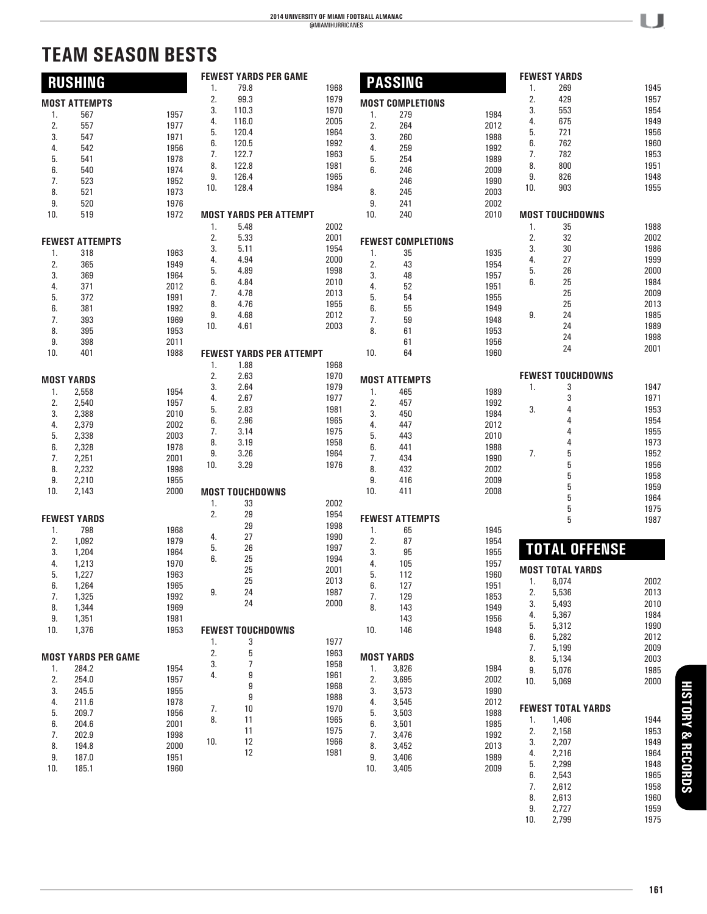# **TEAM SEASON BESTS**

|     |                            |      |     | <b>FEWEST YARDS PER GAME</b>  |                                 |     | <b>PASSING</b>            |      |     | <b>FEWEST YARDS</b>       |      |
|-----|----------------------------|------|-----|-------------------------------|---------------------------------|-----|---------------------------|------|-----|---------------------------|------|
|     | <b>RUSHING</b>             |      | 1.  | 79.8                          | 1968                            |     |                           |      | 1.  | 269                       | 1945 |
|     | <b>MOST ATTEMPTS</b>       |      | 2.  | 99.3                          | 1979                            |     | <b>MOST COMPLETIONS</b>   |      | 2.  | 429                       | 1957 |
|     |                            |      | 3.  | 110.3                         | 1970                            |     |                           |      | 3.  | 553                       | 1954 |
| 1.  | 567                        | 1957 | 4.  | 116.0                         | 2005                            | 1.  | 279                       | 1984 | 4.  | 675                       | 1949 |
| 2.  | 557                        | 1977 | 5.  | 120.4                         | 1964                            | 2.  | 264                       | 2012 | 5.  | 721                       | 1956 |
| 3.  | 547                        | 1971 |     |                               |                                 | 3.  | 260                       | 1988 |     |                           |      |
| 4.  | 542                        | 1956 | 6.  | 120.5                         | 1992                            | 4.  | 259                       | 1992 | 6.  | 762                       | 1960 |
| 5.  | 541                        | 1978 | 7.  | 122.7                         | 1963                            | 5.  | 254                       | 1989 | 7.  | 782                       | 1953 |
| 6.  | 540                        | 1974 | 8.  | 122.8                         | 1981                            | 6.  | 246                       | 2009 | 8.  | 800                       | 1951 |
| 7.  | 523                        | 1952 | 9.  | 126.4                         | 1965                            |     | 246                       | 1990 | 9.  | 826                       | 1948 |
|     | 521                        | 1973 | 10. | 128.4                         | 1984                            |     | 245                       | 2003 | 10. | 903                       | 1955 |
| 8.  |                            |      |     |                               |                                 | 8.  |                           |      |     |                           |      |
| 9.  | 520                        | 1976 |     |                               |                                 | 9.  | 241                       | 2002 |     |                           |      |
| 10. | 519                        | 1972 |     | <b>MOST YARDS PER ATTEMPT</b> |                                 | 10. | 240                       | 2010 |     | <b>MOST TOUCHDOWNS</b>    |      |
|     |                            |      | 1.  | 5.48                          | 2002                            |     |                           |      | 1.  | 35                        | 1988 |
|     | <b>FEWEST ATTEMPTS</b>     |      | 2.  | 5.33                          | 2001                            |     | <b>FEWEST COMPLETIONS</b> |      | 2.  | 32                        | 2002 |
|     |                            |      | 3.  | 5.11                          | 1954                            |     |                           |      | 3.  | 30                        | 1986 |
| 1.  | 318                        | 1963 | 4.  | 4.94                          | 2000                            | 1.  | 35                        | 1935 | 4.  | 27                        | 1999 |
| 2.  | 365                        | 1949 | 5.  | 4.89                          | 1998                            | 2.  | 43                        | 1954 | 5.  | 26                        | 2000 |
| 3.  | 369                        | 1964 |     | 4.84                          | 2010                            | 3.  | 48                        | 1957 | 6.  | 25                        | 1984 |
| 4.  | 371                        | 2012 | 6.  |                               |                                 | 4.  | 52                        | 1951 |     |                           |      |
| 5.  | 372                        | 1991 | 7.  | 4.78                          | 2013                            | 5.  | 54                        | 1955 |     | 25                        | 2009 |
| 6.  | 381                        | 1992 | 8.  | 4.76                          | 1955                            | 6.  | 55                        | 1949 |     | 25                        | 2013 |
| 7.  | 393                        | 1969 | 9.  | 4.68                          | 2012                            | 7.  | 59                        | 1948 | 9.  | 24                        | 1985 |
| 8.  | 395                        | 1953 | 10. | 4.61                          | 2003                            | 8.  | 61                        | 1953 |     | 24                        | 1989 |
| 9.  | 398                        | 2011 |     |                               |                                 |     | 61                        | 1956 |     | 24                        | 1998 |
|     |                            |      |     |                               |                                 |     |                           |      |     | 24                        | 2001 |
| 10. | 401                        | 1988 |     |                               | <b>FEWEST YARDS PER ATTEMPT</b> | 10. | 64                        | 1960 |     |                           |      |
|     |                            |      | 1.  | 1.88                          | 1968                            |     |                           |      |     |                           |      |
|     | <b>MOST YARDS</b>          |      | 2.  | 2.63                          | 1970                            |     | <b>MOST ATTEMPTS</b>      |      |     | <b>FEWEST TOUCHDOWNS</b>  |      |
|     |                            |      | 3.  | 2.64                          | 1979                            |     |                           |      | 1.  | 3                         | 1947 |
| 1.  | 2,558                      | 1954 | 4.  | 2.67                          | 1977                            | 1.  | 465                       | 1989 |     | 3                         | 1971 |
| 2.  | 2,540                      | 1957 | 5.  | 2.83                          | 1981                            | 2.  | 457                       | 1992 | 3.  | 4                         | 1953 |
| 3.  | 2,388                      | 2010 | 6.  | 2.96                          | 1965                            | 3.  | 450                       | 1984 |     | 4                         | 1954 |
| 4.  | 2,379                      | 2002 |     |                               |                                 | 4.  | 447                       | 2012 |     |                           |      |
| 5.  | 2,338                      | 2003 | 7.  | 3.14                          | 1975                            | 5.  | 443                       | 2010 |     |                           | 1955 |
| 6.  | 2,328                      | 1978 | 8.  | 3.19                          | 1958                            | 6.  | 441                       | 1988 |     | 4                         | 1973 |
| 7.  | 2,251                      | 2001 | 9.  | 3.26                          | 1964                            | 7.  | 434                       | 1990 | 7.  | 5                         | 1952 |
| 8.  | 2,232                      | 1998 | 10. | 3.29                          | 1976                            | 8.  | 432                       | 2002 |     | 5                         | 1956 |
| 9.  | 2,210                      | 1955 |     |                               |                                 | 9.  | 416                       | 2009 |     | 5                         | 1958 |
|     |                            |      |     |                               |                                 |     |                           |      |     | 5                         | 1959 |
| 10. | 2,143                      | 2000 |     | <b>MOST TOUCHDOWNS</b>        |                                 | 10. | 411                       | 2008 |     | 5                         | 1964 |
|     |                            |      | 1.  | 33                            | 2002                            |     |                           |      |     | 5                         | 1975 |
|     | <b>FEWEST YARDS</b>        |      | 2.  | 29                            | 1954                            |     | <b>FEWEST ATTEMPTS</b>    |      |     | 5                         | 1987 |
| 1.  | 798                        | 1968 |     | 29                            | 1998                            | 1.  | 65                        | 1945 |     |                           |      |
|     | 1,092                      | 1979 | 4.  | 27                            | 1990                            |     |                           |      |     |                           |      |
| 2.  |                            |      | 5.  | 26                            | 1997                            | 2.  | 87                        | 1954 |     | <b>TOTAL OFFENSE</b>      |      |
| 3.  | 1,204                      | 1964 | 6.  | 25                            | 1994                            | 3.  | 95                        | 1955 |     |                           |      |
| 4.  | 1,213                      | 1970 |     | 25                            | 2001                            | 4.  | 105                       | 1957 |     | <b>MOST TOTAL YARDS</b>   |      |
| 5.  | 1,227                      | 1963 |     |                               |                                 | 5.  | 112                       | 1960 |     |                           |      |
| 6.  | 1,264                      | 1965 |     | 25                            | 2013                            | 6.  | 127                       | 1951 | 1.  | 6,074                     | 2002 |
| 7.  | 1,325                      | 1992 | 9.  | 24                            | 1987                            | 7.  | 129                       | 1853 | 2.  | ხ,ხ36                     | 2013 |
| 8.  | 1,344                      | 1969 |     | 24                            | 2000                            | 8.  | 143                       | 1949 | 3.  | 5,493                     | 2010 |
| 9.  | 1,351                      | 1981 |     |                               |                                 |     | 143                       | 1956 | 4.  | 5,367                     | 1984 |
|     |                            | 1953 |     |                               |                                 | 10. | 146                       | 1948 | 5.  | 5,312                     | 1990 |
| 10. | 1,376                      |      |     | <b>FEWEST TOUCHDOWNS</b>      |                                 |     |                           |      | 6.  | 5,282                     | 2012 |
|     |                            |      | 1.  | 3                             | 1977                            |     |                           |      | 7.  | 5,199                     | 2009 |
|     | <b>MOST YARDS PER GAME</b> |      | 2.  | 5                             | 1963                            |     | <b>MOST YARDS</b>         |      | 8.  | 5,134                     | 2003 |
| 1.  | 284.2                      | 1954 | 3.  | 7                             | 1958                            | 1.  | 3,826                     | 1984 |     |                           |      |
|     | 254.0                      | 1957 | 4.  | 9                             | 1961                            |     | 3,695                     | 2002 | 9.  | 5,076                     | 1985 |
| 2.  |                            |      |     | 9                             | 1968                            | 2.  |                           |      | 10. | 5,069                     | 2000 |
| 3.  | 245.5                      | 1955 |     | 9                             | 1988                            | 3.  | 3,573                     | 1990 |     |                           |      |
| 4.  | 211.6                      | 1978 | 7.  | 10                            | 1970                            | 4.  | 3,545                     | 2012 |     | <b>FEWEST TOTAL YARDS</b> |      |
| 5.  | 209.7                      | 1956 |     |                               | 1965                            | 5.  | 3,503                     | 1988 |     |                           |      |
| 6.  | 204.6                      | 2001 | 8.  | 11                            |                                 | 6.  | 3,501                     | 1985 | 1.  | 1,406                     | 1944 |
| 7.  | 202.9                      | 1998 |     | 11                            | 1975                            | 7.  | 3,476                     | 1992 | 2.  | 2,158                     | 1953 |
| 8.  | 194.8                      | 2000 | 10. | 12                            | 1966                            | 8.  | 3,452                     | 2013 | 3.  | 2,207                     | 1949 |
| 9.  | 187.0                      | 1951 |     | 12                            | 1981                            | 9.  | 3,406                     | 1989 | 4.  | 2,216                     | 1964 |
| 10. | 185.1                      | 1960 |     |                               |                                 | 10. | 3,405                     | 2009 | 5.  | 2,299                     | 1948 |
|     |                            |      |     |                               |                                 |     |                           |      | 6.  | 2,543                     | 1965 |
|     |                            |      |     |                               |                                 |     |                           |      | 7.  | 2,612                     | 1958 |
|     |                            |      |     |                               |                                 |     |                           |      | 8.  | 2,613                     | 1960 |
|     |                            |      |     |                               |                                 |     |                           |      | 9.  | 2,727                     | 1959 |
|     |                            |      |     |                               |                                 |     |                           |      |     |                           |      |
|     |                            |      |     |                               |                                 |     |                           |      | 10. | 2,799                     | 1975 |

- LJ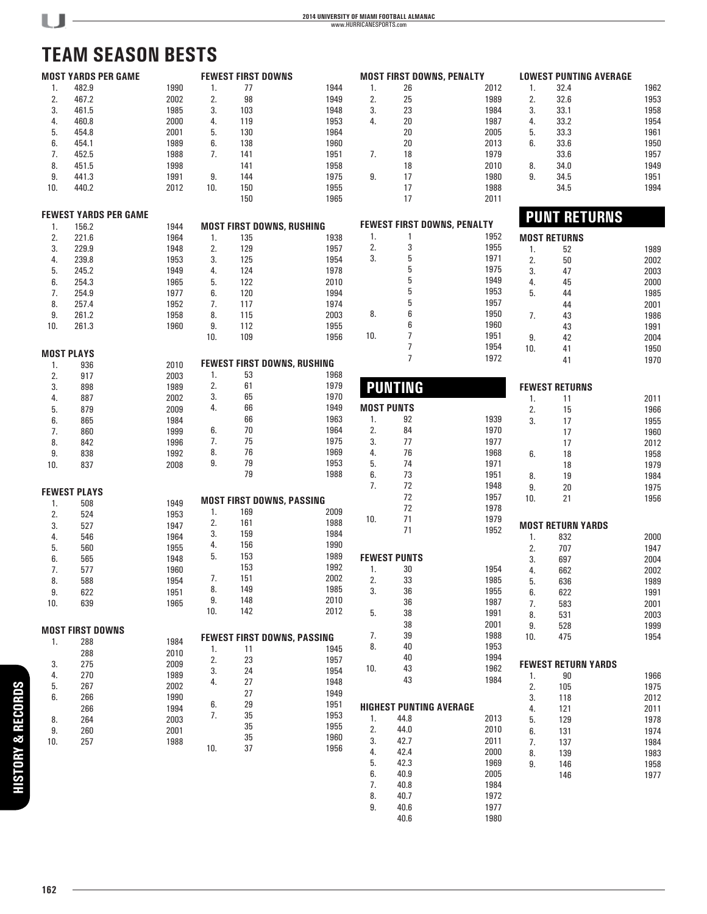# **TEAM SEASON BESTS**

|     | <b>MOST YARDS PER GAME</b>            |      |     |     | <b>FEWEST FIRST DOWNS</b>          |                   | <b>MOST FIRST DOWNS, PENALTY</b>   |      |     | <b>LOWEST PUNTING AVERAGE</b> |      |
|-----|---------------------------------------|------|-----|-----|------------------------------------|-------------------|------------------------------------|------|-----|-------------------------------|------|
| 1.  | 482.9                                 | 1990 | 1.  | 77  | 1944                               | 1.                | 26                                 | 2012 | 1.  | 32.4                          | 1962 |
| 2.  | 467.2                                 | 2002 | 2.  | 98  | 1949                               | 2.                | 25                                 | 1989 | 2.  | 32.6                          | 1953 |
| 3.  |                                       | 1985 | 3.  | 103 |                                    | 3.                | 23                                 | 1984 | 3.  | 33.1                          | 1958 |
|     | 461.5                                 |      |     |     | 1948                               |                   |                                    |      |     |                               |      |
| 4.  | 460.8                                 | 2000 | 4.  | 119 | 1953                               | 4.                | 20                                 | 1987 | 4.  | 33.2                          | 1954 |
| 5.  | 454.8                                 | 2001 | 5.  | 130 | 1964                               |                   | 20                                 | 2005 | 5.  | 33.3                          | 1961 |
| 6.  | 454.1                                 | 1989 | 6.  | 138 | 1960                               |                   | 20                                 | 2013 | 6.  | 33.6                          | 1950 |
| 7.  | 452.5                                 | 1988 | 7.  | 141 | 1951                               | 7.                | 18                                 | 1979 |     | 33.6                          | 1957 |
| 8.  | 451.5                                 | 1998 |     | 141 | 1958                               |                   | 18                                 | 2010 | 8.  | 34.0                          | 1949 |
| 9.  | 441.3                                 | 1991 | 9.  | 144 | 1975                               | 9.                | 17                                 | 1980 | 9.  | 34.5                          | 1951 |
| 10. | 440.2                                 | 2012 | 10. | 150 | 1955                               |                   | 17                                 | 1988 |     | 34.5                          | 1994 |
|     |                                       |      |     | 150 | 1965                               |                   | 17                                 | 2011 |     |                               |      |
|     |                                       |      |     |     |                                    |                   |                                    |      |     |                               |      |
|     | <b>FEWEST YARDS PER GAME</b><br>156.2 | 1944 |     |     | <b>MOST FIRST DOWNS, RUSHING</b>   |                   | <b>FEWEST FIRST DOWNS, PENALTY</b> |      |     | <b>PUNT RETURNS</b>           |      |
| 1.  |                                       |      |     |     |                                    | 1.                | $\mathbf{1}$                       | 1952 |     |                               |      |
| 2.  | 221.6                                 | 1964 | 1.  | 135 | 1938                               |                   |                                    |      |     | <b>MOST RETURNS</b>           |      |
| 3.  | 229.9                                 | 1948 | 2.  | 129 | 1957                               | 2.                | 3                                  | 1955 | 1.  | 52                            | 1989 |
| 4.  | 239.8                                 | 1953 | 3.  | 125 | 1954                               | 3.                | 5                                  | 1971 | 2.  | 50                            | 2002 |
| 5.  | 245.2                                 | 1949 | 4.  | 124 | 1978                               |                   | 5                                  | 1975 | 3.  | 47                            | 2003 |
| 6.  | 254.3                                 | 1965 | 5.  | 122 | 2010                               |                   | 5                                  | 1949 | 4.  | 45                            | 2000 |
| 7.  | 254.9                                 | 1977 | 6.  | 120 | 1994                               |                   | 5                                  | 1953 | 5.  | 44                            | 1985 |
| 8.  | 257.4                                 | 1952 | 7.  | 117 | 1974                               |                   | 5                                  | 1957 |     | 44                            | 2001 |
|     |                                       |      |     |     |                                    | 8.                | 6                                  | 1950 |     |                               |      |
| 9.  | 261.2                                 | 1958 | 8.  | 115 | 2003                               |                   | 6                                  | 1960 | 7.  | 43                            | 1986 |
| 10. | 261.3                                 | 1960 | 9.  | 112 | 1955                               |                   |                                    |      |     | 43                            | 1991 |
|     |                                       |      | 10. | 109 | 1956                               | 10.               | $\overline{7}$                     | 1951 | 9.  | 42                            | 2004 |
|     | <b>MOST PLAYS</b>                     |      |     |     |                                    |                   | $\overline{7}$                     | 1954 | 10. | 41                            | 1950 |
|     |                                       |      |     |     | <b>FEWEST FIRST DOWNS, RUSHING</b> |                   | $\overline{7}$                     | 1972 |     | 41                            | 1970 |
| 1.  | 936                                   | 2010 |     | 53  | 1968                               |                   |                                    |      |     |                               |      |
| 2.  | 917                                   | 2003 | 1.  |     |                                    |                   |                                    |      |     |                               |      |
| 3.  | 898                                   | 1989 | 2.  | 61  | 1979                               |                   | <b>PUNTING</b>                     |      |     | <b>FEWEST RETURNS</b>         |      |
| 4.  | 887                                   | 2002 | 3.  | 65  | 1970                               |                   |                                    |      | 1.  | 11                            | 2011 |
| 5.  | 879                                   | 2009 | 4.  | 66  | 1949                               | <b>MOST PUNTS</b> |                                    |      | 2.  | 15                            | 1966 |
| 6.  | 865                                   | 1984 |     | 66  | 1963                               | 1.                | 92                                 | 1939 | 3.  | 17                            | 1955 |
| 7.  | 860                                   | 1999 | 6.  | 70  | 1964                               | 2.                | 84                                 | 1970 |     | 17                            |      |
|     |                                       |      | 7.  | 75  | 1975                               | 3.                | 77                                 | 1977 |     |                               | 1960 |
| 8.  | 842                                   | 1996 |     |     |                                    |                   |                                    |      |     | 17                            | 2012 |
| 9.  | 838                                   | 1992 | 8.  | 76  | 1969                               | 4.                | 76                                 | 1968 | 6.  | 18                            | 1958 |
| 10. | 837                                   | 2008 | 9.  | 79  | 1953                               | 5.                | 74                                 | 1971 |     | 18                            | 1979 |
|     |                                       |      |     | 79  | 1988                               | 6.                | 73                                 | 1951 | 8.  | 19                            | 1984 |
|     |                                       |      |     |     |                                    | 7.                | 72                                 | 1948 | 9.  | 20                            | 1975 |
|     | <b>FEWEST PLAYS</b>                   |      |     |     |                                    |                   | 72                                 | 1957 | 10. | 21                            | 1956 |
| 1.  | 508                                   | 1949 |     |     | <b>MOST FIRST DOWNS, PASSING</b>   |                   | 72                                 | 1978 |     |                               |      |
| 2.  | 524                                   | 1953 | 1.  | 169 | 2009                               |                   | 71                                 |      |     |                               |      |
| 3.  | 527                                   | 1947 | 2.  | 161 | 1988                               | 10.               |                                    | 1979 |     | <b>MOST RETURN YARDS</b>      |      |
| 4.  | 546                                   | 1964 | 3.  | 159 | 1984                               |                   | 71                                 | 1952 | 1.  | 832                           | 2000 |
| 5.  | 560                                   | 1955 | 4.  | 156 | 1990                               |                   |                                    |      |     |                               |      |
|     |                                       |      | 5.  | 153 | 1989                               |                   | <b>FEWEST PUNTS</b>                |      | 2.  | 707                           | 1947 |
| 6.  | 565                                   | 1948 |     |     |                                    |                   |                                    |      | 3.  | 697                           | 2004 |
| 7.  | 577                                   | 1960 |     | 153 | 1992                               | 1.                | 30                                 | 1954 | 4.  | 662                           | 2002 |
| 8.  | 588                                   | 1954 | 7.  | 151 | 2002                               | 2.                | 33                                 | 1985 | 5.  | 636                           | 1989 |
| 9.  | 622                                   | 1951 | 8.  | 149 | 1985                               | 3.                | 36                                 | 1955 | 6.  | 622                           | 1991 |
| 10. | 639                                   | 1965 | 9.  | 148 | 2010                               |                   | 36                                 | 1987 | 7.  | 583                           | 2001 |
|     |                                       |      | 10. | 142 | 2012                               | 5.                | 38                                 | 1991 | 8.  | 531                           | 2003 |
|     |                                       |      |     |     |                                    |                   | 38                                 | 2001 |     |                               |      |
|     | <b>MOST FIRST DOWNS</b>               |      |     |     |                                    |                   |                                    |      | 9.  | 528                           | 1999 |
| 1.  | 288                                   | 1984 |     |     | <b>FEWEST FIRST DOWNS, PASSING</b> | 7.                | 39                                 | 1988 | 10. | 475                           | 1954 |
|     | 288                                   | 2010 | 1.  | 11  | 1945                               | 8.                | 40                                 | 1953 |     |                               |      |
|     |                                       |      | 2.  | 23  | 1957                               |                   | 40                                 | 1994 |     |                               |      |
| 3.  | 275                                   | 2009 | 3.  | 24  | 1954                               | 10.               | 43                                 | 1962 |     | <b>FEWEST RETURN YARDS</b>    |      |
| 4.  | 270                                   | 1989 |     | 27  | 1948                               |                   | 43                                 | 1984 | 1.  | 90                            | 1966 |
| 5.  | 267                                   | 2002 | 4.  |     |                                    |                   |                                    |      | 2.  | 105                           | 1975 |
| 6.  | 266                                   | 1990 |     | 27  | 1949                               |                   |                                    |      | 3.  | 118                           | 2012 |
|     | 266                                   | 1994 | 6.  | 29  | 1951                               |                   | <b>HIGHEST PUNTING AVERAGE</b>     |      | 4.  | 121                           | 2011 |
| 8.  | 264                                   | 2003 | 7.  | 35  | 1953                               | 1.                | 44.8                               | 2013 | 5.  | 129                           | 1978 |
|     |                                       |      |     | 35  | 1955                               | 2.                | 44.0                               | 2010 |     |                               |      |
| 9.  | 260                                   | 2001 |     | 35  | 1960                               |                   |                                    |      | 6.  | 131                           | 1974 |
| 10. | 257                                   | 1988 | 10. | 37  | 1956                               | 3.                | 42.7                               | 2011 | 7.  | 137                           | 1984 |
|     |                                       |      |     |     |                                    | 4.                | 42.4                               | 2000 | 8.  | 139                           | 1983 |
|     |                                       |      |     |     |                                    | 5.                | 42.3                               | 1969 | 9.  | 146                           | 1958 |
|     |                                       |      |     |     |                                    | 6.                | 40.9                               | 2005 |     | 146                           | 1977 |
|     |                                       |      |     |     |                                    | 7.                | 40.8                               | 1984 |     |                               |      |
|     |                                       |      |     |     |                                    | 8.                |                                    |      |     |                               |      |
|     |                                       |      |     |     |                                    |                   | 40.7                               | 1972 |     |                               |      |
|     |                                       |      |     |     |                                    | 9.                | 40.6                               | 1977 |     |                               |      |
|     |                                       |      |     |     |                                    |                   | 40.6                               | 1980 |     |                               |      |

**HISTORY & RECORDS**

**HISTORY & RECORDS**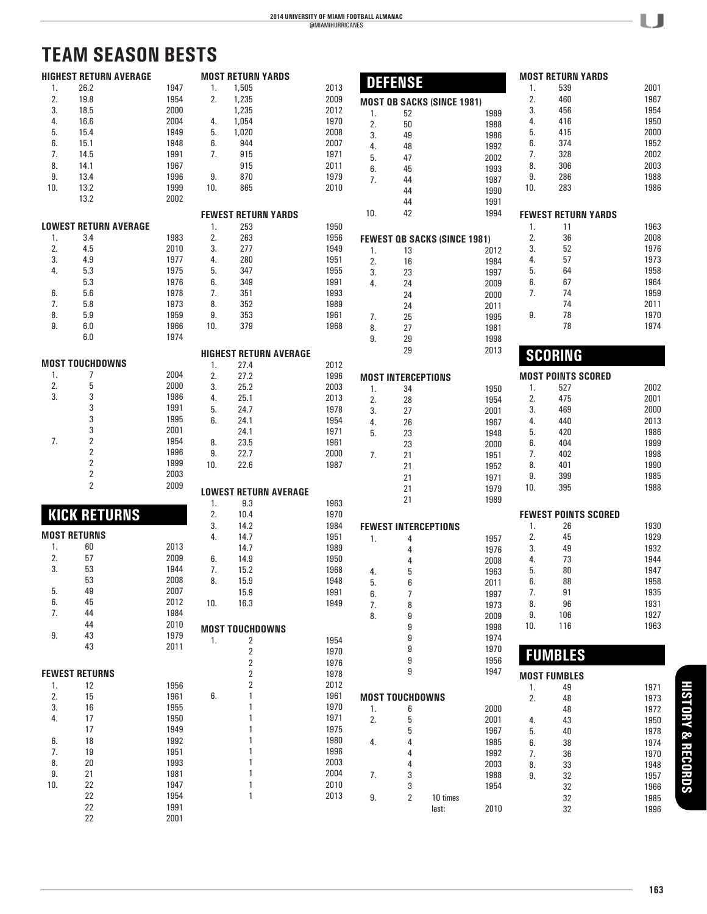# **TEAM SEASON BESTS**

|     | <b>HIGHEST RETURN AVERAGE</b> |      |     | <b>MOST RETURN YARDS</b>      |      |     | <b>DEFENSE</b>              |                                     |     | <b>MOST RETURN YARDS</b>    |              |
|-----|-------------------------------|------|-----|-------------------------------|------|-----|-----------------------------|-------------------------------------|-----|-----------------------------|--------------|
| 1.  | 26.2                          | 1947 | 1.  | 1,505                         | 2013 |     |                             |                                     | 1.  | 539                         | 2001         |
| 2.  | 19.8                          | 1954 | 2.  | 1,235                         | 2009 |     |                             | <b>MOST QB SACKS (SINCE 1981)</b>   | 2.  | 460                         | 1967         |
| 3.  | 18.5                          | 2000 |     | 1,235                         | 2012 | 1.  | 52                          | 1989                                | 3.  | 456                         | 1954         |
| 4.  | 16.6                          | 2004 | 4.  | 1,054                         | 1970 | 2.  | 50                          | 1988                                | 4.  | 416                         | 1950         |
| 5.  | 15.4                          | 1949 | 5.  | 1,020                         | 2008 |     |                             |                                     | 5.  | 415                         | 2000         |
| 6.  | 15.1                          | 1948 | 6.  | 944                           | 2007 | 3.  | 49                          | 1986                                | 6.  | 374                         | 1952         |
|     |                               |      |     |                               |      | 4.  | 48                          | 1992                                |     |                             |              |
| 7.  | 14.5                          | 1991 | 7.  | 915                           | 1971 | 5.  | 47                          | 2002                                | 7.  | 328                         | 2002         |
| 8.  | 14.1                          | 1967 |     | 915                           | 2011 | 6.  | 45                          | 1993                                | 8.  | 306                         | 2003         |
| 9.  | 13.4                          | 1996 | 9.  | 870                           | 1979 | 7.  | 44                          | 1987                                | 9.  | 286                         | 1988         |
| 10. | 13.2                          | 1999 | 10. | 865                           | 2010 |     | 44                          | 1990                                | 10. | 283                         | 1986         |
|     | 13.2                          | 2002 |     |                               |      |     | 44                          | 1991                                |     |                             |              |
|     |                               |      |     |                               |      | 10. | 42                          | 1994                                |     |                             |              |
|     | <b>LOWEST RETURN AVERAGE</b>  |      |     | <b>FEWEST RETURN YARDS</b>    |      |     |                             |                                     |     | <b>FEWEST RETURN YARDS</b>  |              |
|     |                               |      | 1.  | 253                           | 1950 |     |                             |                                     | 1.  | 11                          | 1963         |
| 1.  | 3.4                           | 1983 | 2.  | 263                           | 1956 |     |                             | <b>FEWEST OB SACKS (SINCE 1981)</b> | 2.  | 36                          | 2008         |
| 2.  | 4.5                           | 2010 | 3.  | 277                           | 1949 | 1.  | 13                          | 2012                                | 3.  | 52                          | 1976         |
| 3.  | 4.9                           | 1977 | 4.  | 280                           | 1951 | 2.  | 16                          | 1984                                | 4.  | 57                          | 1973         |
| 4.  | 5.3                           | 1975 | 5.  | 347                           | 1955 | 3.  | 23                          | 1997                                | 5.  | 64                          | 1958         |
|     | 5.3                           | 1976 | 6.  | 349                           | 1991 | 4.  | 24                          | 2009                                | 6.  | 67                          | 1964         |
| 6.  | 5.6                           | 1978 | 7.  | 351                           | 1993 |     | 24                          | 2000                                | 7.  | 74                          | 1959         |
| 7.  | 5.8                           | 1973 | 8.  | 352                           | 1989 |     |                             |                                     |     | 74                          | 2011         |
| 8.  | 5.9                           | 1959 | 9.  | 353                           | 1961 |     | 24                          | 2011                                | 9.  | 78                          | 1970         |
|     |                               |      |     |                               |      | 7.  | 25                          | 1995                                |     |                             |              |
| 9.  | 6.0                           | 1966 | 10. | 379                           | 1968 | 8.  | 27                          | 1981                                |     | 78                          | 1974         |
|     | 6.0                           | 1974 |     |                               |      | 9.  | 29                          | 1998                                |     |                             |              |
|     |                               |      |     | <b>HIGHEST RETURN AVERAGE</b> |      |     | 29                          | 2013                                |     |                             |              |
|     | <b>MOST TOUCHDOWNS</b>        |      | 1.  | 27.4                          | 2012 |     |                             |                                     |     | <b>SCORING</b>              |              |
| 1.  | 7                             | 2004 | 2.  | 27.2                          | 1996 |     |                             |                                     |     | <b>MOST POINTS SCORED</b>   |              |
| 2.  | 5                             | 2000 |     |                               |      |     | <b>MOST INTERCEPTIONS</b>   |                                     |     |                             |              |
|     |                               |      | 3.  | 25.2                          | 2003 | 1.  | 34                          | 1950                                | 1.  | 527                         | 2002         |
| 3.  | 3                             | 1986 | 4.  | 25.1                          | 2013 | 2.  | 28                          | 1954                                | 2.  | 475                         | 2001         |
|     | 3                             | 1991 | 5.  | 24.7                          | 1978 | 3.  | 27                          | 2001                                | 3.  | 469                         | 2000         |
|     | 3                             | 1995 | 6.  | 24.1                          | 1954 | 4.  | 26                          | 1967                                | 4.  | 440                         | 2013         |
|     | 3                             | 2001 |     | 24.1                          | 1971 | 5.  | 23                          | 1948                                | 5.  | 420                         | 1986         |
| 7.  | $\overline{2}$                | 1954 | 8.  | 23.5                          | 1961 |     | 23                          | 2000                                | 6.  | 404                         | 1999         |
|     | $\overline{\mathbf{c}}$       | 1996 | 9.  | 22.7                          | 2000 | 7.  | 21                          | 1951                                | 7.  | 402                         | 1998         |
|     | $\overline{\mathbf{c}}$       | 1999 | 10. | 22.6                          | 1987 |     | 21                          | 1952                                | 8.  | 401                         | 1990         |
|     | $\overline{\mathbf{c}}$       | 2003 |     |                               |      |     |                             |                                     | 9.  | 399                         | 1985         |
|     | $\overline{2}$                | 2009 |     |                               |      |     | 21                          | 1971                                |     |                             |              |
|     |                               |      |     | <b>LOWEST RETURN AVERAGE</b>  |      |     | 21                          | 1979                                | 10. | 395                         | 1988         |
|     |                               |      | 1.  | 9.3                           | 1963 |     | 21                          | 1989                                |     |                             |              |
|     | <b>KICK RETURNS</b>           |      | 2.  | 10.4                          | 1970 |     |                             |                                     |     | <b>FEWEST POINTS SCORED</b> |              |
|     |                               |      | 3.  | 14.2                          | 1984 |     | <b>FEWEST INTERCEPTIONS</b> |                                     | 1.  | 26                          | 1930         |
|     | <b>MOST RETURNS</b>           |      | 4.  | 14.7                          | 1951 | 1.  | 4                           | 1957                                | 2.  | 45                          | 1929         |
| 1.  | 60                            | 2013 |     | 14.7                          | 1989 |     |                             | 1976                                | 3.  | 49                          | 1932         |
| 2.  | 57                            | 2009 | 6.  | 14.9                          | 1950 |     | 4                           |                                     |     | 73                          | 1944         |
| 3.  | 53                            | 1944 |     |                               |      |     | 4                           | 2008                                | 4.  |                             |              |
|     |                               |      | 7.  | 15.2                          | 1968 | 4.  | 5                           | 1963                                | 5.  | 80                          | 1947         |
|     | 53                            | 2008 | 8.  | 15.9                          | 1948 | 5.  | 6                           | 2011                                | 6.  | 88                          | 1958         |
| 5.  | 49                            | 2007 |     | 15.9                          | 1991 | 6.  | 7                           | 1997                                | 7.  | 91                          | 1935         |
| 6.  | 45                            | 2012 | 10. | 16.3                          | 1949 | 7.  | 8                           | 1973                                | 8.  | 96                          | 1931         |
| 7.  | 44                            | 1984 |     |                               |      | 8.  | 9                           | 2009                                | 9.  | 106                         | 1927         |
|     | 44                            | 2010 |     | <b>MOST TOUCHDOWNS</b>        |      |     | 9                           | 1998                                | 10. | 116                         | 1963         |
| 9.  | 43                            | 1979 |     |                               |      |     | 9                           | 1974                                |     |                             |              |
|     | 43                            | 2011 | 1.  | $\overline{\mathbf{c}}$       | 1954 |     |                             |                                     |     |                             |              |
|     |                               |      |     | $\sqrt{2}$                    | 1970 |     |                             | 1970                                |     | <b>FUMBLES</b>              |              |
|     |                               |      |     | 2                             | 1976 |     | 9                           | 1956                                |     |                             |              |
|     | <b>FEWEST RETURNS</b>         |      |     | 2                             | 1978 |     | 9                           | 1947                                |     | <b>MOST FUMBLES</b>         |              |
| 1.  | 12                            | 1956 |     | 2                             | 2012 |     |                             |                                     | 1.  | 49                          | 1971         |
| 2.  | 15                            | 1961 | 6.  |                               | 1961 |     | <b>MOST TOUCHDOWNS</b>      |                                     | 2.  | 48                          | 1973         |
| 3.  | 16                            | 1955 |     |                               | 1970 | 1.  | 6                           | 2000                                |     |                             |              |
| 4.  | 17                            | 1950 |     |                               | 1971 | 2.  | 5                           |                                     |     | 48                          | 1972         |
|     | 17                            |      |     |                               | 1975 |     |                             | 2001                                | 4.  | 43                          | 1950         |
|     |                               | 1949 |     |                               |      |     | 5                           | 1967                                | 5.  | 40                          | 1978         |
| 6.  | 18                            | 1992 |     |                               | 1980 | 4.  | 4                           | 1985                                | 6.  | 38                          | 1974         |
| 7.  | 19                            | 1951 |     |                               | 1996 |     | 4                           | 1992                                | 7.  | 36                          | 1970         |
| 8.  | 20                            | 1993 |     |                               | 2003 |     | 4                           | 2003                                | 8.  | 33                          | 1948         |
| 9.  | 21                            | 1981 |     |                               | 2004 | 7.  | 3                           | 1988                                | 9.  | 32                          | 1957         |
|     |                               |      |     |                               |      |     |                             |                                     |     |                             |              |
| 10. | 22                            | 1947 |     |                               | 2010 |     | 3                           | 1954                                |     |                             |              |
|     | 22                            | 1954 |     | $\mathbf{1}$                  | 2013 |     |                             |                                     |     | 32                          | 1966         |
|     | 22                            | 1991 |     |                               |      | 9.  | 2                           | 10 times<br>2010<br>last:           |     | 32<br>32                    | 1985<br>1996 |

**163**

**PLAYERS HISTORY & RECORDS**

**HISTORY & RECORDS** 

 $\cup$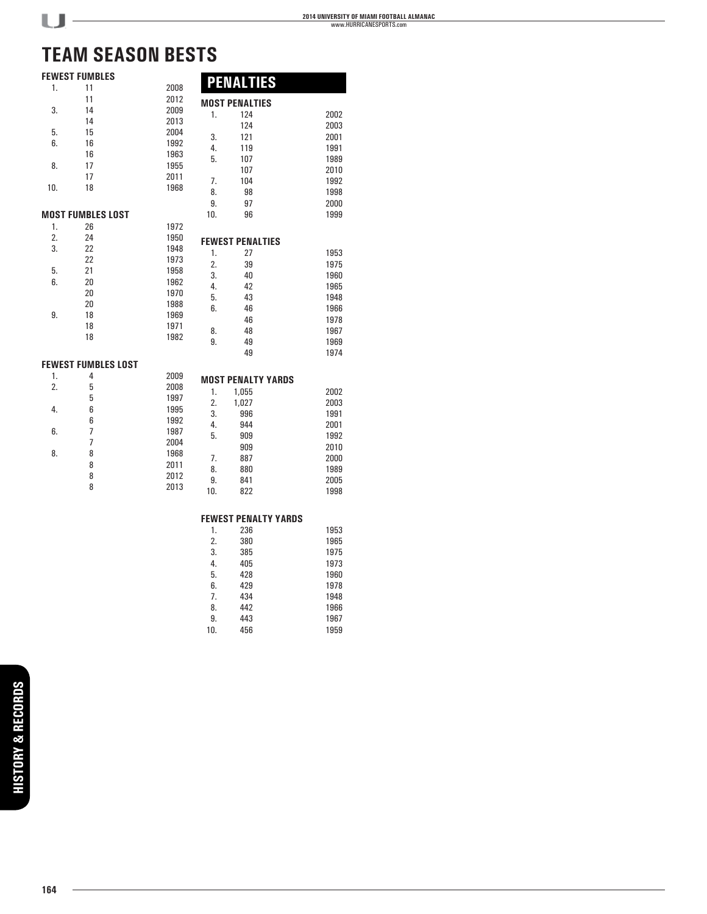49 1974

1999

# **TEAM SEASON BESTS**

|     |                          | VI JLAJUN DLJ IJ |     |                         |
|-----|--------------------------|------------------|-----|-------------------------|
|     | <b>FEWEST FUMBLES</b>    |                  |     |                         |
| 1.  | 11                       | 2008             |     | <b>PENALTIES</b>        |
|     | 11                       | 2012             |     | <b>MOST PENALTIES</b>   |
| 3.  | 14                       | 2009             | 1.  | 124                     |
|     | 14                       | 2013             |     | 124                     |
| 5.  | 15                       | 2004             | 3.  | 121                     |
| 6.  | 16                       | 1992             | 4.  | 119                     |
|     | 16                       | 1963             | 5.  | 107                     |
| 8.  | 17                       | 1955             |     | 107                     |
|     | 17                       | 2011             | 7.  | 104                     |
| 10. | 18                       | 1968             | 8.  | 98                      |
|     |                          |                  | 9.  | 97                      |
|     |                          |                  | 10. |                         |
|     | <b>MOST FUMBLES LOST</b> |                  |     | 96                      |
| 1.  | 26                       | 1972             |     |                         |
| 2.  | 24                       | 1950             |     | <b>FEWEST PENALTIES</b> |
| 3.  | 22                       | 1948             | 1.  | 27                      |
|     | 22                       | 1973             | 2.  | 39                      |
| 5.  | 21                       | 1958             | 3.  | 40                      |
| 6.  | 20                       | 1962             | 4.  | 42                      |
|     | nn.                      | 1070             |     |                         |

| 2. | 24 | 1950 |    | <b>FEWEST PENALTIES</b> |      |
|----|----|------|----|-------------------------|------|
| 3. | 22 | 1948 | 1. | 27                      | 1953 |
|    | 22 | 1973 | 2. |                         | 1975 |
| 5. | 21 | 1958 |    | 39                      |      |
| 6. | 20 | 1962 | 3. | 40                      | 1960 |
|    | 20 | 1970 | 4. | 42                      | 1965 |
|    | 20 | 1988 | 5. | 43                      | 1948 |
| 9. | 18 | 1969 | 6. | 46                      | 1966 |
|    |    |      |    | 46                      | 1978 |
|    | 18 | 1971 | 8. | 48                      | 1967 |
|    | 18 | 1982 | 9. | 49                      | 1969 |
|    |    |      |    |                         |      |

### **FEWEST FUMBLES LOST**

| 4 | 2009<br><b>MOST PENALTY YARDS</b>    |
|---|--------------------------------------|
| 5 | 2008<br>2002<br>1,055<br>1.          |
|   | 1997<br>2.<br>2003<br>1,027          |
|   | 1995<br>1991<br>996<br>3.            |
|   | 1992<br>944<br>2001<br>4.            |
|   | 1987<br>5.<br>1992<br>909            |
|   | 2004<br>909<br>2010                  |
|   | 1968<br>7.<br>887<br>2000            |
|   | 2011<br>880<br>1989<br>8.            |
|   | 2012<br>9.<br>841<br>2005            |
|   | 2013<br>1998<br>822<br>10.           |
|   | 5<br>6<br>6<br>7<br>8<br>8<br>8<br>8 |

#### **FEWEST PENALTY YARDS**

| 1.  | 236 | 1953 |
|-----|-----|------|
| 2.  | 380 | 1965 |
| 3.  | 385 | 1975 |
| 4.  | 405 | 1973 |
| 5.  | 428 | 1960 |
| 6.  | 429 | 1978 |
| 7.  | 434 | 1948 |
| 8.  | 442 | 1966 |
| 9.  | 443 | 1967 |
| 10. | 456 | 1959 |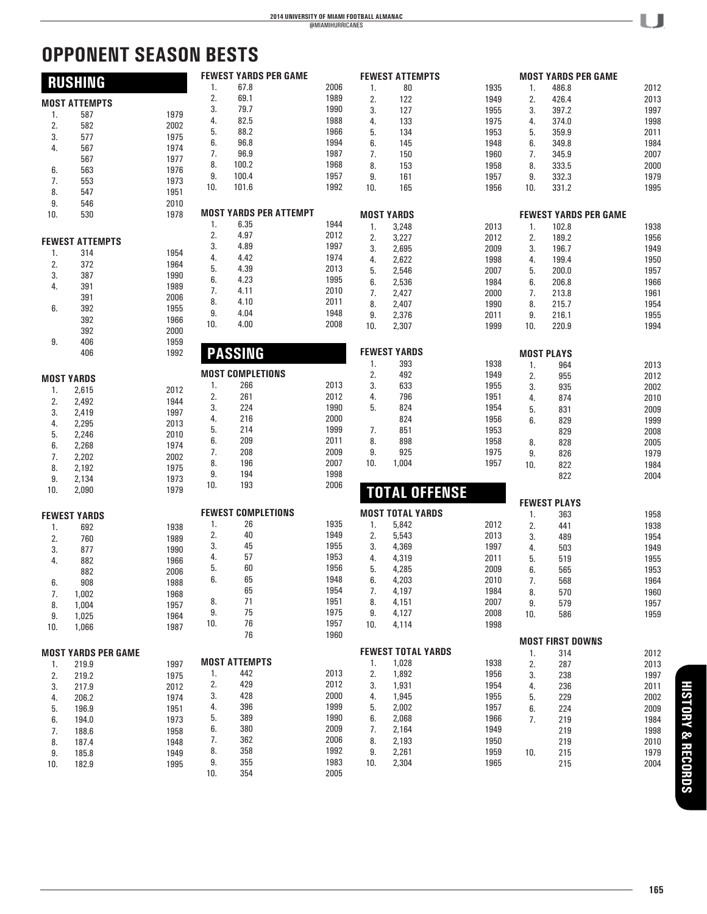# **OPPONENT SEASON BESTS**

|     | <b>RUSHING</b>             |      |     | <b>FEWEST YARDS PER GAME</b>  |      |     | <b>FEWEST ATTEMPTS</b>    |      |     | <b>MOST YARDS PER GAME</b>   |      |
|-----|----------------------------|------|-----|-------------------------------|------|-----|---------------------------|------|-----|------------------------------|------|
|     |                            |      | 1.  | 67.8                          | 2006 | 1.  | 80                        | 1935 | 1.  | 486.8                        | 2012 |
|     | <b>MOST ATTEMPTS</b>       |      | 2.  | 69.1                          | 1989 | 2.  | 122                       | 1949 | 2.  | 426.4                        | 2013 |
| 1.  | 587                        | 1979 | 3.  | 79.7                          | 1990 | 3.  | 127                       | 1955 | 3.  | 397.2                        | 1997 |
| 2.  | 582                        | 2002 | 4.  | 82.5                          | 1988 | 4.  | 133                       | 1975 | 4.  | 374.0                        | 1998 |
| 3.  | 577                        | 1975 | 5.  | 88.2                          | 1966 | 5.  | 134                       | 1953 | 5.  | 359.9                        | 2011 |
|     |                            |      | 6.  | 96.8                          | 1994 | 6.  | 145                       | 1948 | 6.  | 349.8                        | 1984 |
| 4.  | 567                        | 1974 | 7.  | 96.9                          | 1987 | 7.  | 150                       | 1960 | 7.  | 345.9                        | 2007 |
|     | 567                        | 1977 | 8.  | 100.2                         | 1968 | 8.  | 153                       | 1958 | 8.  | 333.5                        | 2000 |
| 6.  | 563                        | 1976 | 9.  | 100.4                         | 1957 | 9.  | 161                       | 1957 | 9.  | 332.3                        | 1979 |
| 7.  | 553                        | 1973 | 10. | 101.6                         | 1992 | 10. | 165                       | 1956 | 10. | 331.2                        | 1995 |
| 8.  | 547                        | 1951 |     |                               |      |     |                           |      |     |                              |      |
| 9.  | 546                        | 2010 |     |                               |      |     |                           |      |     |                              |      |
| 10. | 530                        | 1978 |     | <b>MOST YARDS PER ATTEMPT</b> |      |     | <b>MOST YARDS</b>         |      |     | <b>FEWEST YARDS PER GAME</b> |      |
|     |                            |      | 1.  | 6.35                          | 1944 | 1.  | 3,248                     | 2013 | 1.  | 102.8                        | 1938 |
|     | <b>FEWEST ATTEMPTS</b>     |      | 2.  | 4.97                          | 2012 | 2.  | 3,227                     | 2012 | 2.  | 189.2                        | 1956 |
|     |                            |      | 3.  | 4.89                          | 1997 | 3.  | 2,695                     | 2009 | 3.  | 196.7                        | 1949 |
| 1.  | 314                        | 1954 | 4.  | 4.42                          | 1974 | 4.  | 2,622                     | 1998 | 4.  | 199.4                        | 1950 |
| 2.  | 372                        | 1964 | 5.  | 4.39                          | 2013 | 5.  | 2,546                     | 2007 | 5.  | 200.0                        | 1957 |
| 3.  | 387                        | 1990 | 6.  | 4.23                          | 1995 | 6.  | 2,536                     | 1984 | 6.  | 206.8                        | 1966 |
| 4.  | 391                        | 1989 | 7.  | 4.11                          | 2010 | 7.  | 2,427                     | 2000 | 7.  | 213.8                        | 1961 |
|     | 391                        | 2006 | 8.  | 4.10                          | 2011 | 8.  | 2,407                     | 1990 | 8.  | 215.7                        | 1954 |
| 6.  | 392                        | 1955 | 9.  | 4.04                          | 1948 |     |                           |      |     |                              |      |
|     | 392                        | 1966 | 10. | 4.00                          | 2008 | 9.  | 2,376                     | 2011 | 9.  | 216.1                        | 1955 |
|     | 392                        | 2000 |     |                               |      | 10. | 2,307                     | 1999 | 10. | 220.9                        | 1994 |
| 9.  | 406                        | 1959 |     |                               |      |     |                           |      |     |                              |      |
|     | 406                        | 1992 |     | <b>PASSING</b>                |      |     | <b>FEWEST YARDS</b>       |      |     | <b>MOST PLAYS</b>            |      |
|     |                            |      |     |                               |      | 1.  | 393                       | 1938 | 1.  | 964                          | 2013 |
|     |                            |      |     | <b>MOST COMPLETIONS</b>       |      | 2.  | 492                       | 1949 | 2.  | 955                          | 2012 |
|     | <b>MOST YARDS</b>          |      | 1.  | 266                           | 2013 | 3.  | 633                       | 1955 | 3.  | 935                          | 2002 |
| 1.  | 2,615                      | 2012 | 2.  | 261                           | 2012 | 4.  | 796                       | 1951 | 4.  | 874                          | 2010 |
| 2.  | 2,492                      | 1944 | 3.  | 224                           | 1990 | 5.  | 824                       | 1954 | 5.  | 831                          | 2009 |
| 3.  | 2,419                      | 1997 | 4.  | 216                           | 2000 |     | 824                       | 1956 | 6.  | 829                          | 1999 |
| 4.  | 2,295                      | 2013 | 5.  | 214                           | 1999 | 7.  | 851                       | 1953 |     |                              |      |
| 5.  | 2,246                      | 2010 | 6.  | 209                           | 2011 | 8.  | 898                       | 1958 |     | 829                          | 2008 |
| 6.  | 2,268                      | 1974 | 7.  | 208                           | 2009 |     |                           |      | 8.  | 828                          | 2005 |
| 7.  | 2,202                      | 2002 |     |                               | 2007 | 9.  | 925                       | 1975 | 9.  | 826                          | 1979 |
| 8.  | 2,192                      | 1975 | 8.  | 196                           |      | 10. | 1,004                     | 1957 | 10. | 822                          | 1984 |
| 9.  | 2,134                      | 1973 | 9.  | 194                           | 1998 |     |                           |      |     | 822                          | 2004 |
| 10. | 2,090                      | 1979 | 10. | 193                           | 2006 |     | <b>TOTAL OFFENSE</b>      |      |     |                              |      |
|     |                            |      |     |                               |      |     |                           |      |     | <b>FEWEST PLAYS</b>          |      |
|     | <b>FEWEST YARDS</b>        |      |     | <b>FEWEST COMPLETIONS</b>     |      |     | <b>MOST TOTAL YARDS</b>   |      | 1.  | 363                          | 1958 |
|     |                            |      | 1.  | 26                            | 1935 | 1.  | 5,842                     | 2012 | 2.  | 441                          | 1938 |
| 1.  | 692                        | 1938 | 2.  | 40                            | 1949 | 2.  | 5,543                     | 2013 | 3.  | 489                          | 1954 |
| 2.  | 760                        | 1989 | 3.  | 45                            | 1955 | 3.  | 4,369                     | 1997 | 4.  | 503                          | 1949 |
| 3.  | 877                        | 1990 | 4.  | 57                            | 1953 | 4.  | 4,319                     | 2011 |     |                              |      |
| 4.  | 882                        | 1966 | 5.  | 60                            | 1956 | 5.  |                           | 2009 | 5.  | 519                          | 1955 |
|     | 882                        | 2006 | 6.  |                               | 1948 |     | 4,285                     |      | 6.  | 565                          | 1953 |
| 6.  | 908                        | 1988 |     | 65                            |      | 6.  | 4,203                     | 2010 | 7.  | 568                          | 1964 |
| 7.  | 1,002                      | 1968 |     | 65                            | 1954 | 7.  | 4,197                     | 1984 | 8.  | 570                          | 1960 |
| 8.  | 1,004                      | 1957 | 8.  | 71                            | 1951 | 8.  | 4,151                     | 2007 | 9.  | 579                          | 1957 |
| 9.  | 1,025                      | 1964 | 9.  | 75                            | 1975 | 9.  | 4,127                     | 2008 | 10. | 586                          | 1959 |
| 10. | 1,066                      | 1987 | 10. | 76                            | 1957 | 10. | 4,114                     | 1998 |     |                              |      |
|     |                            |      |     | 76                            | 1960 |     |                           |      |     |                              |      |
|     |                            |      |     |                               |      |     | <b>FEWEST TOTAL YARDS</b> |      |     | <b>MOST FIRST DOWNS</b>      |      |
|     | <b>MOST YARDS PER GAME</b> |      |     | <b>MOST ATTEMPTS</b>          |      |     |                           |      | 1.  | 314                          | 2012 |
| 1.  | 219.9                      | 1997 |     |                               |      | 1.  | 1,028                     | 1938 | 2.  | 287                          | 2013 |
| 2.  | 219.2                      | 1975 | 1.  | 442                           | 2013 | 2.  | 1,892                     | 1956 | 3.  | 238                          | 1997 |
| 3.  | 217.9                      | 2012 | 2.  | 429                           | 2012 | 3.  | 1,931                     | 1954 | 4.  | 236                          | 2011 |
| 4.  | 206.2                      | 1974 | 3.  | 428                           | 2000 | 4.  | 1,945                     | 1955 | 5.  | 229                          | 2002 |
| 5.  | 196.9                      | 1951 | 4.  | 396                           | 1999 | 5.  | 2,002                     | 1957 | 6.  | 224                          | 2009 |
| 6.  | 194.0                      | 1973 | 5.  | 389                           | 1990 | 6.  | 2,068                     | 1966 | 7.  | 219                          | 1984 |
| 7.  | 188.6                      | 1958 | 6.  | 380                           | 2009 | 7.  | 2,164                     | 1949 |     | 219                          | 1998 |
| 8.  | 187.4                      | 1948 | 7.  | 362                           | 2006 | 8.  | 2,193                     | 1950 |     | 219                          | 2010 |
| 9.  | 185.8                      | 1949 | 8.  | 358                           | 1992 | 9.  | 2,261                     | 1959 | 10. | 215                          | 1979 |
| 10. | 182.9                      | 1995 | 9.  | 355                           | 1983 | 10. | 2,304                     | 1965 |     | 215                          | 2004 |
|     |                            |      | 10. | 354                           | 2005 |     |                           |      |     |                              |      |

U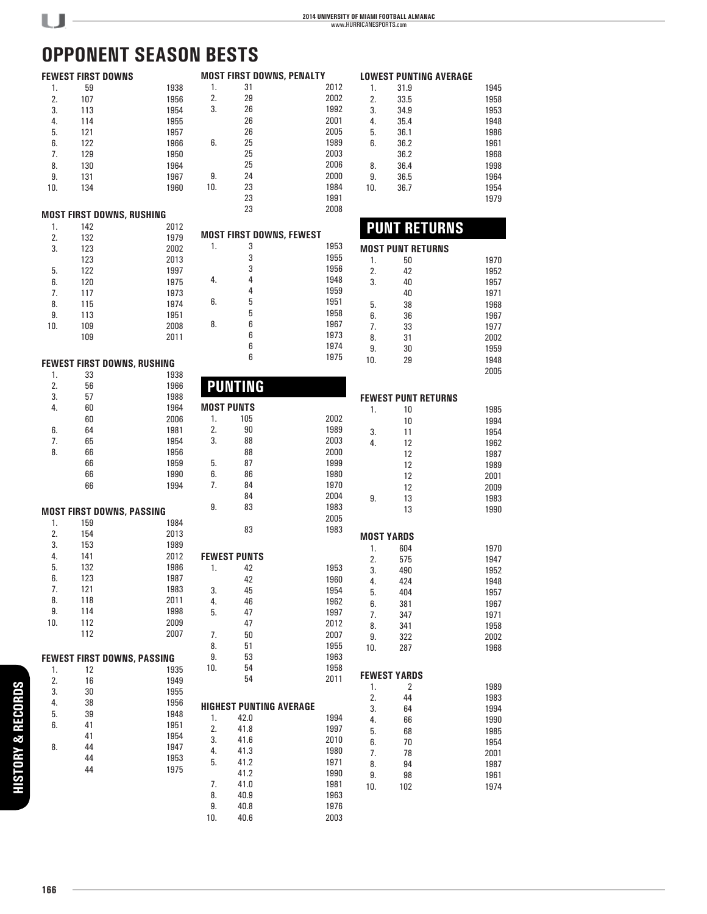# **OPPONENT SEASON BESTS**

 $U$ -

|     |     | <b>FEWEST FIRST DOWNS</b>          |     |                     | <b>MOST FIRST DOWNS, PENALTY</b> |          |                            | <b>LOWEST PUNTING AVERAGE</b> |
|-----|-----|------------------------------------|-----|---------------------|----------------------------------|----------|----------------------------|-------------------------------|
| 1.  | 59  | 1938                               | 1.  | 31                  | 2012                             | 1.       | 31.9                       | 1945                          |
| 2.  | 107 | 1956                               | 2.  | 29                  | 2002                             | 2.       | 33.5                       | 1958                          |
| 3.  | 113 | 1954                               | 3.  | 26                  | 1992                             | 3.       | 34.9                       | 1953                          |
| 4.  | 114 | 1955                               |     | 26                  | 2001                             | 4.       | 35.4                       | 1948                          |
| 5.  | 121 | 1957                               |     | 26                  | 2005                             | 5.       | 36.1                       | 1986                          |
| 6.  | 122 | 1966                               | 6.  | 25                  | 1989                             | 6.       | 36.2                       | 1961                          |
| 7.  | 129 | 1950                               |     | 25                  | 2003                             |          | 36.2                       | 1968                          |
| 8.  | 130 | 1964                               |     | 25                  | 2006                             | 8.       | 36.4                       | 1998                          |
| 9.  | 131 | 1967                               | 9.  | 24                  | 2000                             | 9.       | 36.5                       | 1964                          |
| 10. | 134 | 1960                               | 10. | 23                  | 1984                             | 10.      | 36.7                       | 1954                          |
|     |     |                                    |     | 23                  | 1991                             |          |                            | 1979                          |
|     |     | <b>MOST FIRST DOWNS, RUSHING</b>   |     | 23                  | 2008                             |          |                            |                               |
| 1.  | 142 | 2012                               |     |                     |                                  |          | <b>PUNT RETURNS</b>        |                               |
| 2.  | 132 | 1979                               |     |                     | <b>MOST FIRST DOWNS, FEWEST</b>  |          |                            |                               |
| 3.  | 123 | 2002                               | 1.  | 3                   | 1953                             |          | <b>MOST PUNT RETURNS</b>   |                               |
|     | 123 | 2013                               |     | 3                   | 1955                             | 1.       | 50                         | 1970                          |
| 5.  | 122 | 1997                               |     | 3                   | 1956                             | 2.       | 42                         | 1952                          |
| 6.  | 120 | 1975                               | 4.  | 4                   | 1948                             | 3.       | 40                         | 1957                          |
| 7.  | 117 | 1973                               |     | 4                   | 1959                             |          | 40                         | 1971                          |
| 8.  | 115 | 1974                               | 6.  | 5                   | 1951                             | 5.       | 38                         | 1968                          |
| 9.  | 113 | 1951                               |     | 5                   | 1958                             | 6.       | 36                         | 1967                          |
| 10. | 109 | 2008                               | 8.  | 6                   | 1967                             | 7.       | 33                         | 1977                          |
|     | 109 | 2011                               |     | 6                   | 1973                             | 8.       | 31                         | 2002                          |
|     |     |                                    |     | 6                   | 1974                             | 9.       | 30                         | 1959                          |
|     |     | FEWEST FIRST DOWNS, RUSHING        |     | 6                   | 1975                             | 10.      | 29                         | 1948                          |
| 1.  | 33  | 1938                               |     |                     |                                  |          |                            | 2005                          |
| 2.  | 56  | 1966                               |     | <b>PUNTING</b>      |                                  |          |                            |                               |
| 3.  | 57  | 1988                               |     |                     |                                  |          | <b>FEWEST PUNT RETURNS</b> |                               |
| 4.  | 60  | 1964                               |     | <b>MOST PUNTS</b>   |                                  | 1.       | 10                         | 1985                          |
|     | 60  | 2006                               | 1.  | 105                 | 2002                             |          | 10                         | 1994                          |
| 6.  | 64  | 1981                               | 2.  | $90\,$              | 1989                             | 3.       | 11                         | 1954                          |
| 7.  | 65  | 1954                               | 3.  | 88                  | 2003                             | 4.       | 12                         | 1962                          |
| 8.  | 66  | 1956                               |     | 88                  | 2000                             |          | 12                         | 1987                          |
|     | 66  | 1959                               | 5.  | 87                  | 1999                             |          | 12                         | 1989                          |
|     | 66  | 1990                               | 6.  | 86                  | 1980                             |          | 12                         | 2001                          |
|     | 66  | 1994                               | 7.  | 84                  | 1970                             |          | 12                         | 2009                          |
|     |     |                                    |     | 84                  | 2004                             | 9.       | 13                         | 1983                          |
|     |     | <b>MOST FIRST DOWNS, PASSING</b>   | 9.  | 83                  | 1983                             |          | 13                         | 1990                          |
| 1.  | 159 | 1984                               |     |                     | 2005                             |          |                            |                               |
| 2.  | 154 | 2013                               |     | 83                  | 1983                             |          |                            |                               |
| 3.  | 153 | 1989                               |     |                     |                                  |          | <b>MOST YARDS</b>          |                               |
| 4.  | 141 | 2012                               |     | <b>FEWEST PUNTS</b> |                                  | 1.<br>2. | 604                        | 1970                          |
| 5.  | 132 | 1986                               | 1.  | 42                  | 1953                             | 3.       | 575                        | 1947                          |
| 6.  | 123 | 1987                               |     | 42                  | 1960                             | 4.       | 490                        | 1952                          |
| 7.  | 121 | 1983                               | 3.  | 45                  | 1954                             | 5.       | 424<br>404                 | 1948                          |
| 8.  | 118 | 2011                               | 4.  | 46                  | 1962                             | 6.       | 381                        | 1957<br>1967                  |
| 9.  | 114 | 1998                               | 5.  | 47                  | 1997                             | 7.       | 347                        | 1971                          |
| 10. | 112 | 2009                               |     | 47                  | 2012                             | 8.       | 341                        | 1958                          |
|     | 112 | 2007                               | 7.  | 50                  | 2007                             | 9.       | 322                        | 2002                          |
|     |     |                                    | 8.  | 51                  | 1955                             | 10.      | 287                        | 1968                          |
|     |     | <b>FEWEST FIRST DOWNS, PASSING</b> | 9.  | 53                  | 1963                             |          |                            |                               |
| 1.  | 12  | 1935                               | 10. | 54                  | 1958                             |          |                            |                               |
| 2.  | 16  | 1949                               |     | 54                  | 2011                             |          | <b>FEWEST YARDS</b>        |                               |
| 3.  | 30  | 1955                               |     |                     |                                  | 1.       | $\overline{2}$             | 1989                          |
| 4.  | 38  | 1956                               |     |                     |                                  | 2.       | 44                         | 1983                          |
| 5.  | 39  | 1948                               |     |                     | <b>HIGHEST PUNTING AVERAGE</b>   | 3.       | 64                         | 1994                          |
| 6.  | 41  | 1951                               | 1.  | 42.0                | 1994                             | 4.       | 66                         | 1990                          |
|     | 41  | 1954                               | 2.  | 41.8                | 1997                             | 5.       | 68                         | 1985                          |
| 8.  | 44  | 1947                               | 3.  | 41.6                | 2010                             | 6.       | 70                         | 1954                          |
|     | 44  | 1953                               | 4.  | 41.3                | 1980                             | 7.       | 78                         | 2001                          |
|     | 44  | 1975                               | 5.  | 41.2<br>41.2        | 1971<br>1990                     | 8.       | 94                         | 1987                          |
|     |     |                                    | 7.  | 41.0                | 1981                             | 9.       | 98                         | 1961                          |
|     |     |                                    | 8.  | 40.9                | 1963                             | 10.      | 102                        | 1974                          |
|     |     |                                    | 9.  | 40.8                | 1976                             |          |                            |                               |
|     |     |                                    | 10. | 40.6                | 2003                             |          |                            |                               |
|     |     |                                    |     |                     |                                  |          |                            |                               |

**HISTORY & RECORDS HISTORY & RECORDS**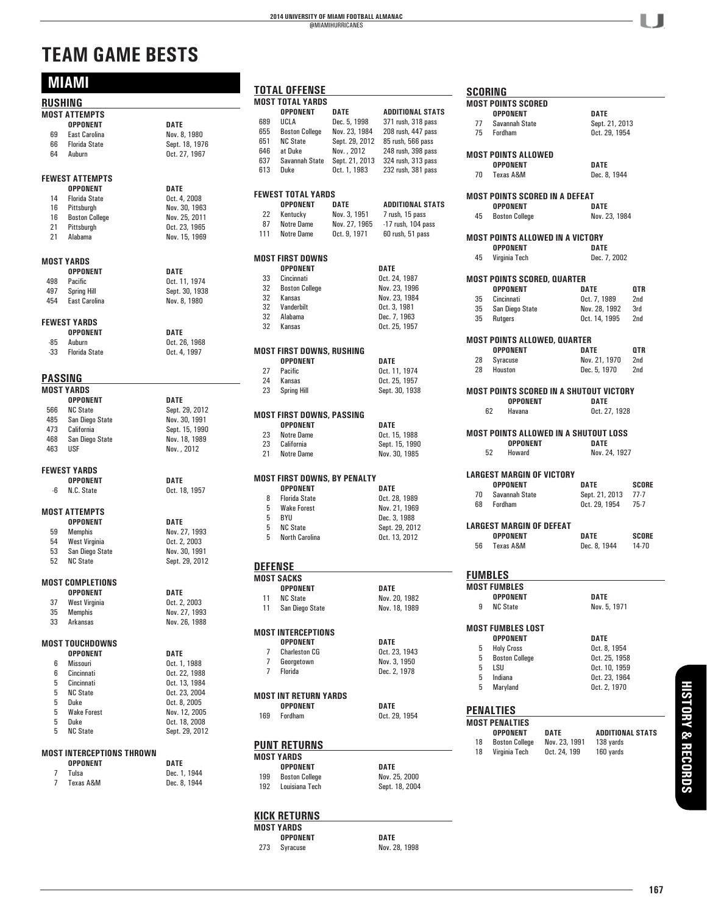### **2014 UNIVERSITY OF MIAMI FOOTBALL ALMANAC** @MIAMIHURRICANES

# **TEAM GAME BESTS**

|          | <b>MIAMI</b>              |                | TOTA         |
|----------|---------------------------|----------------|--------------|
| RUSHING  |                           |                | <b>MOST</b>  |
|          | <b>MOST ATTEMPTS</b>      |                |              |
|          | <b>OPPONENT</b>           | <b>DATE</b>    | 689<br>655   |
| 69       | <b>East Carolina</b>      | Nov. 8, 1980   | 651          |
| 66       | <b>Florida State</b>      | Sept. 18, 1976 | 646          |
| 64       | Auburn                    | Oct. 27, 1967  | 637          |
|          |                           |                | 613          |
|          | <b>FEWEST ATTEMPTS</b>    |                |              |
|          | <b>OPPONENT</b>           | <b>DATE</b>    | <b>FEWES</b> |
| 14       | <b>Florida State</b>      | Oct. 4, 2008   |              |
| 16       | Pittsburgh                | Nov. 30, 1963  | 22           |
|          | 16 Boston College         | Nov. 25, 2011  | 87           |
| 21<br>21 | Pittsburgh                | Oct. 23, 1965  | 111          |
|          | Alabama                   | Nov. 15, 1969  |              |
|          | MOST YARDS                |                | <b>MOST</b>  |
|          | <b>OPPONENT</b>           | DATE           |              |
| 498      | Pacific                   | Oct. 11, 1974  | 33           |
| 497      | <b>Spring Hill</b>        | Sept. 30, 1938 | 32           |
| 454      | <b>East Carolina</b>      | Nov. 8, 1980   | 32           |
|          |                           |                | 32           |
|          | <b>FEWEST YARDS</b>       |                | 32           |
|          | <b>OPPONENT</b>           | DATE           | 32           |
| -85      | Auburn                    | Oct. 26, 1968  |              |
| $-33$    | <b>Florida State</b>      | Oct. 4, 1997   | <b>MOST</b>  |
|          |                           |                | 27           |
| PASSING  |                           |                | 24           |
|          | MOST YARDS                |                | 23           |
|          | <b>OPPONENT</b>           | <b>DATE</b>    |              |
| 566      | <b>NC State</b>           | Sept. 29, 2012 | <b>MOST</b>  |
|          | 485 San Diego State       | Nov. 30, 1991  |              |
|          | 473 California            | Sept. 15, 1990 | 23           |
| 468      | San Diego State           | Nov. 18, 1989  | 23           |
| 463      | USF                       | Nov., 2012     | 21           |
|          | <b>FEWEST YARDS</b>       |                |              |
|          | <b>OPPONENT</b>           | <b>DATE</b>    | <b>MOST</b>  |
| -6       | N.C. State                | Oct. 18, 1957  |              |
|          |                           |                | 8            |
|          | MOST ATTEMPTS             |                | 5            |
|          | <b>OPPONENT</b>           | <b>DATE</b>    | 5            |
| 59       | <b>Memphis</b>            | Nov. 27, 1993  | 5            |
| 54       | West Virginia             | Oct. 2, 2003   | 5            |
| 53       | San Diego State           | Nov. 30, 1991  |              |
| 52       | <b>NC State</b>           | Sept. 29, 2012 | DEFE         |
|          |                           |                | <b>MOST</b>  |
|          | <b>MOST COMPLETIONS</b>   |                |              |
|          | OPPONENT                  | DATE           | 11           |
| 37       | West Virginia             | Oct. 2, 2003   | 11           |
| 35       | <b>Memphis</b>            | Nov. 27, 1993  |              |
| 33       | Arkansas                  | Nov. 26, 1988  | <b>MOST</b>  |
|          | <b>MOST TOUCHDOWNS</b>    |                |              |
|          | <b>OPPONENT</b>           | DATE           | 7            |
| 6        | Missouri                  | Oct. 1, 1988   | 7            |
| 6        | Cincinnati                | Oct. 22, 1988  | 7            |
| 5        | Cincinnati                | Oct. 13, 1984  |              |
| 5        | <b>NC State</b>           | Oct. 23, 2004  |              |
| 5        | Duke                      | Oct. 8, 2005   | <b>MOST</b>  |
| 5        | <b>Wake Forest</b>        | Nov. 12, 2005  |              |
| 5        | Duke                      | Oct. 18, 2008  | 169          |
| 5        | <b>NC State</b>           | Sept. 29, 2012 |              |
|          |                           |                | <b>PUN1</b>  |
|          | MOST INTERCEPTIONS THROWN |                | <b>MOST</b>  |
|          | <b>OPPONENT</b>           | DATE           |              |
| 7        | Tulsa                     | Dec. 1, 1944   | 199          |
| 7        | Texas A&M                 | Dec. 8, 1944   | 192          |

|                     | TOTAL OFFENSE                |                |                                  |
|---------------------|------------------------------|----------------|----------------------------------|
|                     | <b>MOST TOTAL YARDS</b>      |                |                                  |
|                     | <b>OPPONENT</b>              | <b>DATE</b>    | <b>ADDITIONAL STATS</b>          |
| 689                 | UCLA                         | Dec. 5, 1998   | 371 rush, 318 pass               |
| 655                 | <b>Boston College</b>        | Nov. 23, 1984  | 208 rush, 447 pass               |
| 651                 | <b>NC State</b>              |                | Sept. 29, 2012 85 rush, 566 pass |
| 646                 | at Duke                      | Nov., 2012     | 248 rush, 398 pass               |
| 637                 | Savannah State               | Sept. 21, 2013 | 324 rush, 313 pass               |
| 613                 | Duke                         |                | Oct. 1, 1983 232 rush, 381 pass  |
|                     |                              |                |                                  |
|                     |                              |                |                                  |
|                     | FEWEST TOTAL YARDS           |                |                                  |
|                     | OPPONENT                     | <b>DATE</b>    | <b>ADDITIONAL STATS</b>          |
| 22                  | Kentucky                     | Nov. 3, 1951   | 7 rush, 15 pass                  |
| 87                  | Notre Dame                   | Nov. 27, 1965  | $-17$ rush, 104 pass             |
| 111                 | Notre Dame                   | Oct. 9, 1971   | 60 rush, 51 pass                 |
|                     |                              |                |                                  |
|                     | MOST FIRST DOWNS             |                |                                  |
|                     | <b>OPPONENT</b>              |                | DATE                             |
| 33                  | Cincinnati                   |                | Oct. 24, 1987                    |
| 32                  | <b>Boston College</b>        |                | Nov. 23, 1996                    |
| 32                  | Kansas                       |                | Nov. 23, 1984                    |
| 32                  | Vanderbilt                   |                | Oct. 3, 1981                     |
| 32                  | Alabama                      |                | Dec. 7, 1963                     |
| 32                  | Kansas                       |                | Oct. 25, 1957                    |
|                     |                              |                |                                  |
|                     |                              |                |                                  |
|                     | MOST FIRST DOWNS, RUSHING    |                |                                  |
|                     | <b>OPPONENT</b>              |                | <b>DATE</b>                      |
| 27                  | Pacific                      |                | Oct. 11, 1974                    |
| 24                  | Kansas                       |                | Oct. 25, 1957                    |
| 23                  | <b>Spring Hill</b>           |                | Sept. 30, 1938                   |
|                     |                              |                |                                  |
|                     |                              |                |                                  |
|                     | MOST FIRST DOWNS, PASSING    |                |                                  |
|                     | <b>OPPONENT</b>              |                | DATE                             |
| 23                  | <b>Notre Dame</b>            |                | Oct. 15, 1988                    |
| 23                  | California                   |                | Sept. 15, 1990                   |
| 21                  | <b>Notre Dame</b>            |                | Nov. 30, 1985                    |
|                     |                              |                |                                  |
|                     | MOST FIRST DOWNS, BY PENALTY |                |                                  |
|                     | <b>OPPONENT</b>              |                | DATE                             |
| 8                   | <b>Florida State</b>         |                | Oct. 28, 1989                    |
| 5                   | <b>Wake Forest</b>           |                | Nov. 21, 1969                    |
| 5                   | BYU                          |                | Dec. 3, 1988                     |
| 5                   | <b>NC State</b>              |                | Sept. 29, 2012                   |
|                     | 5 North Carolina             |                | Oct. 13, 2012                    |
|                     |                              |                |                                  |
|                     |                              |                |                                  |
|                     |                              |                |                                  |
| <b>DEFENSE</b>      |                              |                |                                  |
|                     | MOST SACKS                   |                |                                  |
|                     | <b>OPPONENT</b>              |                | <b>DATE</b>                      |
| 11.                 | NC State                     |                | Nov. 20, 1982                    |
|                     | 11 San Diego State           |                | Nov. 18, 1989                    |
|                     |                              |                |                                  |
|                     | MOST INTERCEPTIONS           |                |                                  |
|                     | <b>OPPONENT</b>              |                |                                  |
|                     |                              |                | DATE                             |
| $\overline{7}$      | <b>Charleston CG</b>         |                | Oct. 23, 1943                    |
| 7<br>$\overline{7}$ | Georgetown                   |                | Nov. 3, 1950                     |
|                     | Florida                      |                | Dec. 2, 1978                     |
|                     |                              |                |                                  |
|                     | MOST INT RETURN YARDS        |                |                                  |
|                     | <b>OPPONENT</b>              |                | DATE                             |
| 169                 | Fordham                      |                | Oct. 29, 1954                    |
|                     |                              |                |                                  |
|                     |                              |                |                                  |
|                     | <b>PUNT RETURNS</b>          |                |                                  |
|                     | MOST YARDS                   |                |                                  |
|                     |                              |                |                                  |
|                     | <b>OPPONENT</b>              |                | DATE                             |
| 199                 | <b>Boston College</b>        |                | Nov. 25, 2000                    |
|                     | 192 Louisiana Tech           |                | Sept. 18, 2004                   |
|                     |                              |                |                                  |

#### **KICK RETURNS**

**MOST YARDS**

273 Syracuse

**OPPONENT**<br> **Syracuse**<br> **COPPONENT**<br> **DATE**<br> **Nov. 28, 1998** 

|    | <b>MOST POINTS SCORED</b><br><b>OPPONENT</b>           |                       | DATE                          |                 |
|----|--------------------------------------------------------|-----------------------|-------------------------------|-----------------|
| 77 | Savannah State                                         |                       | Sept. 21, 2013                |                 |
| 75 | Fordham                                                |                       | Oct. 29, 1954                 |                 |
|    | <b>MOST POINTS ALLOWED</b>                             |                       |                               |                 |
|    | <b>OPPONENT</b>                                        |                       | DATE                          |                 |
| 70 | Texas A&M                                              |                       | Dec. 8, 1944                  |                 |
|    | MOST POINTS SCORED IN A DEFEAT                         |                       |                               |                 |
|    | <b>OPPONENT</b>                                        |                       | DATE                          |                 |
| 45 | <b>Boston College</b>                                  |                       | Nov. 23, 1984                 |                 |
|    | MOST POINTS ALLOWED IN A VICTORY                       |                       |                               |                 |
|    | <b>OPPONENT</b>                                        |                       | DATE                          |                 |
| 45 | Virginia Tech                                          |                       | Dec. 7, 2002                  |                 |
|    | <b>MOST POINTS SCORED, QUARTER</b>                     |                       |                               |                 |
|    | <b>OPPONENT</b>                                        |                       | DATE                          | QTR             |
| 35 | Cincinnati                                             |                       | Oct. 7, 1989                  | 2nd             |
| 35 | San Diego State                                        |                       | Nov. 28, 1992                 | 3rd             |
| 35 | Rutgers                                                |                       | Oct. 14, 1995                 | 2nd             |
|    |                                                        |                       |                               |                 |
|    | <b>MOST POINTS ALLOWED, QUARTER</b><br><b>OPPONENT</b> |                       | DATE                          | 0TR             |
| 28 |                                                        |                       | Nov. 21, 1970                 | 2nd             |
| 28 | Syracuse<br>Houston                                    |                       | Dec. 5, 1970                  | 2 <sub>nd</sub> |
|    |                                                        |                       |                               |                 |
|    |                                                        |                       |                               |                 |
|    | MOST POINTS SCORED IN A SHUTOUT VICTORY                |                       |                               |                 |
|    | <b>OPPONENT</b>                                        |                       | DATE                          |                 |
|    | 62<br>Havana                                           |                       | Oct. 27, 1928                 |                 |
|    | <b>MOST POINTS ALLOWED IN A SHUTOUT LOSS</b>           |                       |                               |                 |
|    | OPPONENT                                               |                       | DATE                          |                 |
|    | 52<br>Howard                                           |                       | Nov. 24, 1927                 |                 |
|    | <b>LARGEST MARGIN OF VICTORY</b>                       |                       |                               |                 |
|    | <b>OPPONENT</b>                                        |                       | DATE                          |                 |
| 70 | Savannah State                                         |                       | Sept. 21, 2013                | $77-7$          |
| 68 | Fordham                                                |                       | Oct. 29, 1954                 | $75-7$          |
|    |                                                        |                       |                               | SCORE           |
|    | <b>LARGEST MARGIN OF DEFEAT</b><br><b>OPPONENT</b>     |                       | DATE                          |                 |
| 56 | Texas A&M                                              |                       | Dec. 8, 1944                  |                 |
|    |                                                        |                       |                               |                 |
|    | <b>FUMBLES</b><br><b>MOST FUMBLES</b>                  |                       |                               | SCORE<br>14-70  |
|    | <b>OPPONENT</b>                                        |                       | <b>DATE</b>                   |                 |
| 9  | <b>NC State</b>                                        |                       | Nov. 5, 1971                  |                 |
|    | <b>MOST FUMBLES LOST</b>                               |                       |                               |                 |
|    | <b>OPPONENT</b>                                        |                       | DATE                          |                 |
| 5  | <b>Holy Cross</b>                                      |                       | Oct. 8, 1954                  |                 |
| 5  | <b>Boston College</b>                                  |                       | Oct. 25, 1958                 |                 |
| 5  | LSU                                                    |                       | Oct. 10, 1959                 |                 |
| 5  | Indiana                                                |                       | Oct. 23, 1964                 |                 |
| 5  | Maryland                                               |                       | Oct. 2, 1970                  |                 |
|    |                                                        |                       |                               |                 |
|    | <b>PENALTIES</b><br><b>MOST PENALTIES</b>              |                       |                               |                 |
|    |                                                        |                       |                               |                 |
| 18 | <b>OPPONENT</b><br><b>Boston College</b>               | DATE<br>Nov. 23, 1991 | ADDITIONAL STATS<br>138 yards |                 |

ı  $\mathbf{I}$